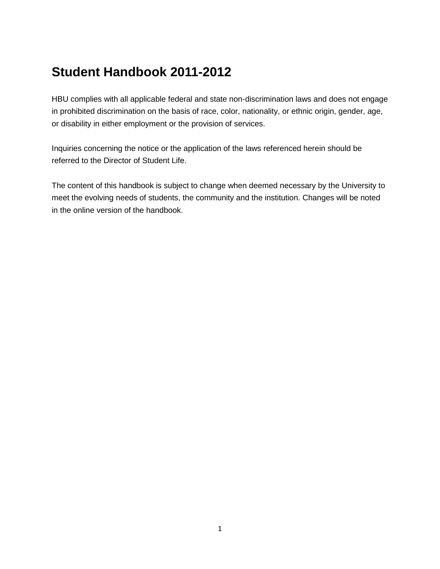# **Student Handbook 2011-2012**

HBU complies with all applicable federal and state non-discrimination laws and does not engage in prohibited discrimination on the basis of race, color, nationality, or ethnic origin, gender, age, or disability in either employment or the provision of services.

Inquiries concerning the notice or the application of the laws referenced herein should be referred to the [Director of Student Life.](http://www.hbu.edu/hbu/Student_Life_Directory.asp?SnID=1794990379)

The content of this handbook is subject to change when deemed necessary by the University to meet the evolving needs of students, the community and the institution. Changes will be noted in the online version of the handbook.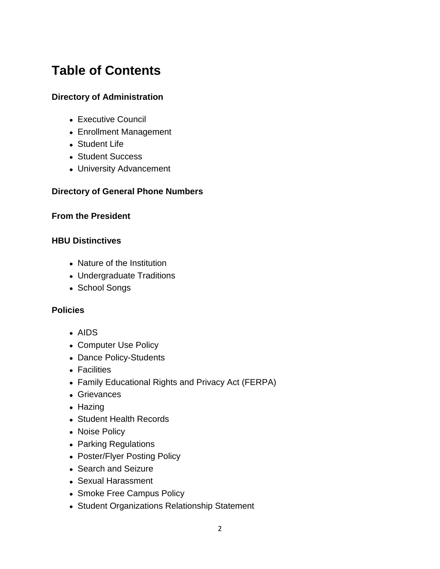# **Table of Contents**

## **[Directory of Administration](https://hbu.edu/About-HBU/General-Information/University-Leadership/University-Administrative-Team.aspx)**

- Executive Council
- Enrollment Management
- Student Life
- Student Success
- University Advancement

## **[Directory of General Phone Numbers](https://hbu.edu/About-HBU/Resources/Directory.aspx)**

#### **[From the President](https://hbu.edu/Students-Alumni/Student-Resources/Student-Handbook/From-the-President.aspx)**

### **[HBU Distinctives](https://hbu.edu/Students-Alumni/Student-Resources/Student-Handbook/HBU-Distinctives.aspx)**

- Nature of the Institution
- Undergraduate Traditions
- School Songs

### **[Policies](https://hbu.edu/Students-Alumni/Student-Resources/Student-Handbook/Policies.aspx)**

- AIDS
- Computer Use Policy
- Dance Policy-Students
- Facilities
- Family Educational Rights and Privacy Act (FERPA)
- Grievances
- Hazing
- Student Health Records
- Noise Policy
- Parking Regulations
- Poster/Flyer Posting Policy
- Search and Seizure
- Sexual Harassment
- Smoke Free Campus Policy
- Student Organizations Relationship Statement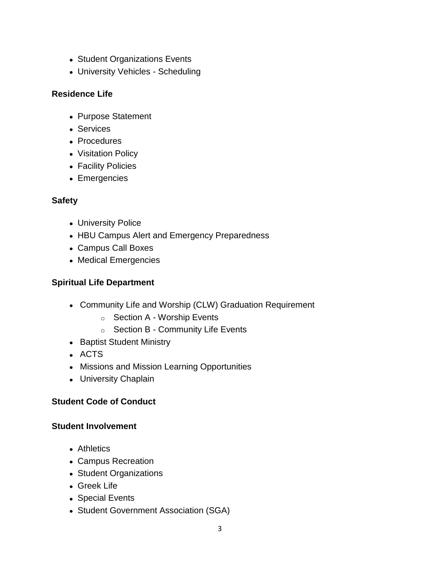- Student Organizations Events
- University Vehicles Scheduling

## **[Residence Life](https://hbu.edu/Students-Alumni/Student-Resources/Student-Handbook/Residence-Life.aspx)**

- Purpose Statement
- Services
- Procedures
- Visitation Policy
- Facility Policies
- Emergencies

## **[Safety](https://hbu.edu/Students-Alumni/Student-Resources/Student-Handbook/Safety.aspx)**

- University Police
- HBU Campus Alert and Emergency Preparedness
- Campus Call Boxes
- Medical Emergencies

## **[Spiritual Life Department](https://hbu.edu/Students-Alumni/Student-Resources/Student-Handbook/Spiritual-Life-Department.aspx)**

- Community Life and Worship (CLW) Graduation Requirement
	- o Section A Worship Events
	- o Section B Community Life Events
- Baptist Student Ministry
- ACTS
- Missions and Mission Learning Opportunities
- University Chaplain

## **[Student Code of Conduct](https://hbu.edu/Students-Alumni/Student-Resources/Student-Handbook/Student-Code-of-Conduct.aspx)**

#### **Student [Involvement](https://hbu.edu/Students-Alumni/Student-Resources/Student-Handbook/Student-Involvment.aspx)**

- Athletics
- Campus Recreation
- Student Organizations
- Greek Life
- Special Events
- Student Government Association (SGA)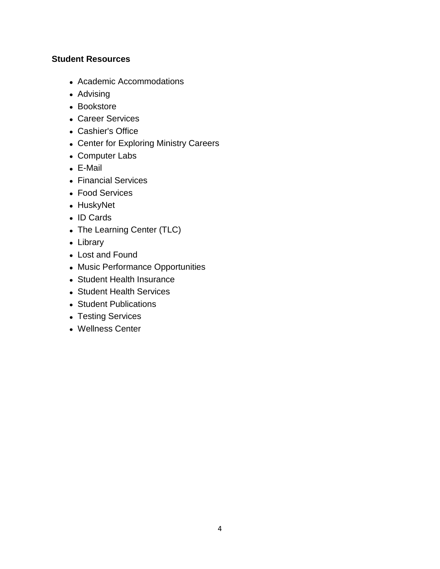### **[Student Resources](https://hbu.edu/Students-Alumni/Student-Resources/Student-Handbook/Student-Resources.aspx)**

- Academic Accommodations
- Advising
- Bookstore
- Career Services
- Cashier's Office
- Center for Exploring Ministry Careers
- Computer Labs
- E-Mail
- Financial Services
- Food Services
- HuskyNet
- ID Cards
- The Learning Center (TLC)
- Library
- Lost and Found
- Music Performance Opportunities
- Student Health Insurance
- Student Health Services
- Student Publications
- Testing Services
- Wellness Center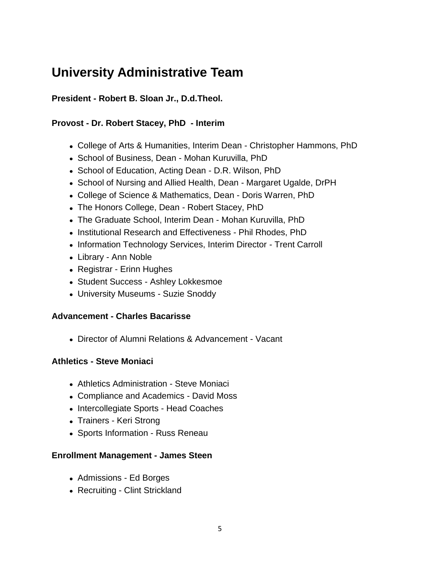# **University Administrative Team**

## **President - [Robert B. Sloan Jr., D.d.Theol.](https://hbu.edu/About-HBU/General-Information/University-Leadership/Presidents-of-HBU/Dr-Robert-B-Sloan,-Jr.aspx)**

## **Provost - [Dr. Robert Stacey,](https://hbu.edu/About-HBU/General-Information/University-Leadership/Executive-Council/Dr-Robert-Stacey.aspx) PhD - Interim**

- College of Arts & Humanities, Interim Dean [Christopher Hammons, PhD](https://hbu.edu/Choosing-HBU/Academics/Colleges-Schools/College-of-Arts-Humanities/Departments/Department-of-Government/Faculty/Christopher-Hammons.aspx)
- School of Business, Dean [Mohan Kuruvilla, PhD](https://hbu.edu/Choosing-HBU/Academics/Colleges-Schools/School-of-Business/Departments/Department-of-Accounting/Faculty/Mohan-Kuruvilla.aspx)
- School of Education, Acting Dean [D.R. Wilson, PhD](https://hbu.edu/Choosing-HBU/Academics/Colleges-Schools/College-of-Arts-Humanities/Departments/Department-of-Behavioral-Sciences/Faculty/D-R-(Randy)-Wilson.aspx)
- School of Nursing and Allied Health, Dean [Margaret Ugalde, DrPH](https://hbu.edu/Choosing-HBU/Academics/Colleges-Schools/School-of-Nursing-and-Allied-Health/Departments/Department-of-Nursing/Faculty/Margaret-Ugalde.aspx)
- College of Science & Mathematics, Dean [Doris Warren, PhD](https://hbu.edu/Choosing-HBU/Academics/Colleges-Schools/College-of-Science-and-Mathematics/Departments/Department-of-Chemistry/Faculty/Doris-Warren.aspx)
- The Honors College, Dean [Robert Stacey, PhD](https://hbu.edu/About-HBU/General-Information/University-Leadership/Executive-Council/Dr-Robert-Stacey.aspx)
- The Graduate School, Interim Dean [Mohan Kuruvilla, PhD](https://hbu.edu/Choosing-HBU/Academics/Colleges-Schools/School-of-Business/Departments/Department-of-Accounting/Faculty/Mohan-Kuruvilla.aspx)
- Institutional Research and Effectiveness [Phil Rhodes, PhD](https://hbu.edu/About-HBU/Resources/Office-of-Institutional-Research-and-Effectiveness/Contact-Information.aspx)
- Information Technology Services, Interim Director Trent Carroll
- Library Ann Noble
- Registrar [Erinn Hughes](https://hbu.edu/Choosing-HBU/Academics/Registrar/Contact-the-Office-of-the-Registrar.aspx)
- Student Success [Ashley Lokkesmoe](https://hbu.edu/Choosing-HBU/Academics/Resources/The-Learning-Center.aspx)
- University Museums [Suzie Snoddy](https://hbu.edu/About-HBU/The-Campus/Museums/Museum-of-Southern-History.aspx)

## **Advancement - [Charles Bacarisse](https://hbu.edu/About-HBU/General-Information/University-Leadership/Executive-Council/Charles-Bacarisse.aspx)**

Director of Alumni Relations & Advancement - Vacant

## **Athletics - [Steve Moniaci](http://www.hbuhuskies.com/staff.aspx?staff=1)**

- Athletics Administration [Steve Moniaci](http://www.hbuhuskies.com/staff.aspx?staff=1)
- Compliance and Academics David Moss
- Intercollegiate Sports Head Coaches
- Trainers Keri Strong
- Sports Information Russ Reneau

## **Enrollment Management - [James Steen](https://hbu.edu/About-HBU/General-Information/University-Leadership/Executive-Council/James-Steen.aspx)**

- Admissions [Ed Borges](https://hbu.edu/Choosing-HBU/Admissions/Visit-Campus/Contact-Your-HBU-Team/Meet-HBU-Admissions.aspx)
- Recruiting [Clint Strickland](https://hbu.edu/Choosing-HBU/Admissions/Visit-Campus/Contact-Your-HBU-Team/Meet-HBU-Admissions.aspx)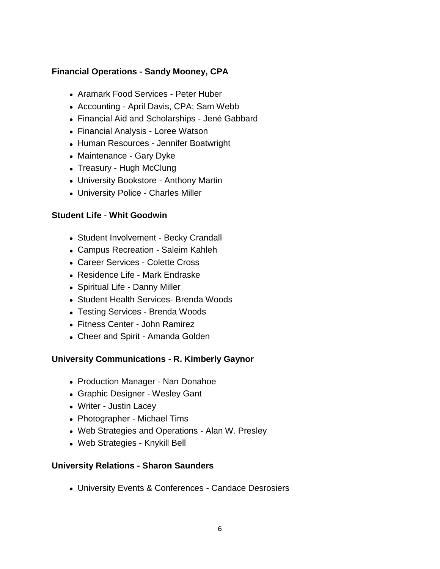## **Financial Operations - [Sandy Mooney,](https://hbu.edu/About-HBU/General-Information/University-Leadership/Executive-Council/Sandy-Mooney,-CPA.aspx) CPA**

- Aramark Food Services Peter Huber
- Accounting April Davis, CPA; Sam Webb
- Financial Aid and Scholarships Jené Gabbard
- Financial Analysis Loree Watson
- Human Resources Jennifer Boatwright
- Maintenance Gary Dyke
- Treasury Hugh McClung
- University Bookstore Anthony Martin
- University Police [Charles Miller](https://hbu.edu/About-HBU/The-Campus/Police-Parking/Contact-HBU-Police.aspx)

### **Student Life** - **[Whit Goodwin](https://hbu.edu/About-HBU/General-Information/University-Leadership/Executive-Council/Whit-Goodwin.aspx)**

- Student Involvement [Becky Crandall](https://hbu.edu/Students-Alumni/Student-Information/Student-Life/Student-Life-Directory.aspx)
- Campus Recreation [Saleim Kahleh](https://hbu.edu/Students-Alumni/Student-Information/Student-Life/Campus-Recreation/Contact.aspx)
- Career Services [Colette Cross](https://hbu.edu/Students-Alumni/Student-Resources/The-Career-Center/Contact.aspx)
- Residence Life [Mark Endraske](https://hbu.edu/Students-Alumni/Student-Information/Residence-Life/Residence-Housing/Contact.aspx)
- Spiritual Life Danny Miller
- Student Health Services- [Brenda Woods](https://hbu.edu/About-HBU/Resources/Health-Services/Contact-the-Health-Clinic.aspx)
- Testing Services [Brenda Woods](https://hbu.edu/Students-Alumni/Student-Resources/Testing-Services/Contact-Testing-Services.aspx)
- Fitness Center [John Ramirez](https://hbu.edu/About-HBU/The-Campus/Facilities/Bradshaw-Fitness-Center/Contact-Information.aspx)
- Cheer and Spirit Amanda Golden

## **University Communications** - **[R. Kimberly Gaynor](https://hbu.edu/About-HBU/General-Information/University-Leadership/Executive-Council/R-Kimberly-Gaynor.aspx)**

- Production Manager [Nan Donahoe](mailto:ndonahoe@hbu.edu)
- Graphic Designer [Wesley Gant](mailto:wgant@hbu.edu)
- Writer [Justin Lacey](mailto:jlacey@hbu.edu)
- Photographer [Michael Tims](mailto:mtims@hbu.edu)
- Web Strategies and Operations [Alan W. Presley](mailto:AWPresley@hbu.edu)
- Web Strategies [Knykill Bell](mailto:kbell@hbu.edu)

#### **University Relations - [Sharon Saunders](https://hbu.edu/About-HBU/General-Information/University-Leadership/Executive-Council/Sharon-Saunders.aspx)**

University Events & Conferences - [Candace Desrosiers](https://hbu.edu/About-HBU/Resources/University-Events-and-Conferences.aspx)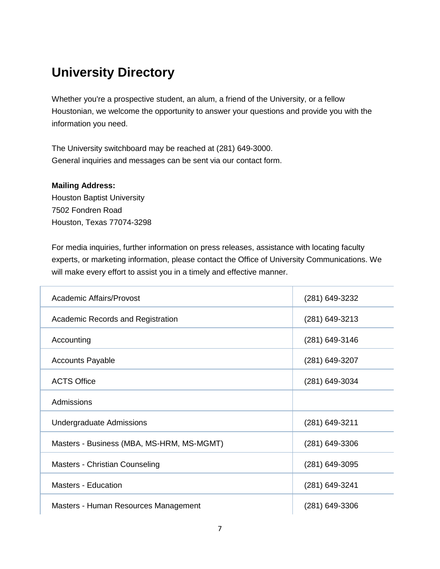# **University Directory**

Whether you're a prospective student, an alum, a friend of the University, or a fellow Houstonian, we welcome the opportunity to answer your questions and provide you with the information you need.

The University switchboard may be reached at (281) 649-3000. General inquiries and messages can be sent via our [contact form.](https://hbu.edu/About-HBU/Resources/Directory/Contact-Form.aspx)

#### **Mailing Address:**

Houston Baptist University 7502 Fondren Road Houston, Texas 77074-3298

For media inquiries, further information on press releases, assistance with locating faculty experts, or marketing information, please [contact the Office of University Communications.](https://hbu.edu/About-HBU/Resources/Directory/Contact-Form.aspx) We will make every effort to assist you in a timely and effective manner.

| <b>Academic Affairs/Provost</b>           | (281) 649-3232   |
|-------------------------------------------|------------------|
| Academic Records and Registration         | (281) 649-3213   |
|                                           |                  |
| Accounting                                | (281) 649-3146   |
| <b>Accounts Payable</b>                   | (281) 649-3207   |
|                                           |                  |
| <b>ACTS Office</b>                        | (281) 649-3034   |
| Admissions                                |                  |
|                                           |                  |
| <b>Undergraduate Admissions</b>           | (281) 649-3211   |
|                                           |                  |
| Masters - Business (MBA, MS-HRM, MS-MGMT) | $(281)$ 649-3306 |
|                                           |                  |
| Masters - Christian Counseling            | (281) 649-3095   |
|                                           |                  |
| <b>Masters - Education</b>                | (281) 649-3241   |
|                                           |                  |
| Masters - Human Resources Management      | $(281)$ 649-3306 |
|                                           |                  |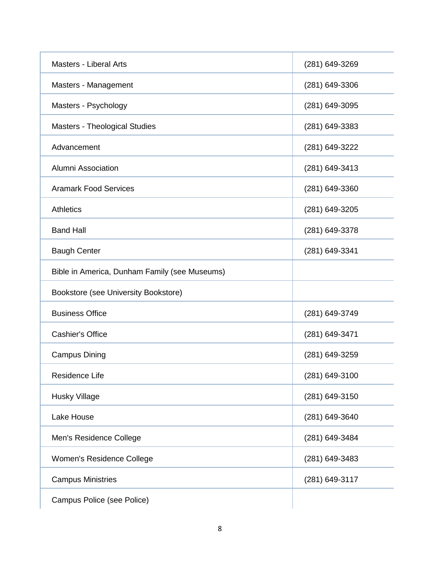| <b>Masters - Liberal Arts</b>                 | (281) 649-3269 |
|-----------------------------------------------|----------------|
| Masters - Management                          | (281) 649-3306 |
| Masters - Psychology                          | (281) 649-3095 |
| <b>Masters - Theological Studies</b>          | (281) 649-3383 |
| Advancement                                   | (281) 649-3222 |
| Alumni Association                            | (281) 649-3413 |
| <b>Aramark Food Services</b>                  | (281) 649-3360 |
| <b>Athletics</b>                              | (281) 649-3205 |
| <b>Band Hall</b>                              | (281) 649-3378 |
| <b>Baugh Center</b>                           | (281) 649-3341 |
| Bible in America, Dunham Family (see Museums) |                |
| Bookstore (see University Bookstore)          |                |
| <b>Business Office</b>                        | (281) 649-3749 |
| <b>Cashier's Office</b>                       | (281) 649-3471 |
| <b>Campus Dining</b>                          | (281) 649-3259 |
| Residence Life                                | (281) 649-3100 |
| <b>Husky Village</b>                          | (281) 649-3150 |
| Lake House                                    | (281) 649-3640 |
| Men's Residence College                       | (281) 649-3484 |
| Women's Residence College                     | (281) 649-3483 |
| <b>Campus Ministries</b>                      | (281) 649-3117 |
| Campus Police (see Police)                    |                |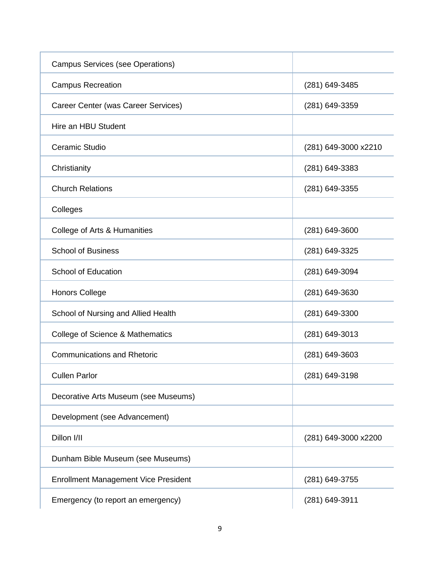| <b>Campus Services (see Operations)</b>     |                      |
|---------------------------------------------|----------------------|
| <b>Campus Recreation</b>                    | (281) 649-3485       |
| Career Center (was Career Services)         | (281) 649-3359       |
| Hire an HBU Student                         |                      |
| Ceramic Studio                              | (281) 649-3000 x2210 |
| Christianity                                | $(281)$ 649-3383     |
| <b>Church Relations</b>                     | (281) 649-3355       |
| Colleges                                    |                      |
| College of Arts & Humanities                | (281) 649-3600       |
| <b>School of Business</b>                   | (281) 649-3325       |
| <b>School of Education</b>                  | (281) 649-3094       |
| <b>Honors College</b>                       | (281) 649-3630       |
| School of Nursing and Allied Health         | (281) 649-3300       |
| College of Science & Mathematics            | (281) 649-3013       |
| <b>Communications and Rhetoric</b>          | (281) 649-3603       |
| <b>Cullen Parlor</b>                        | (281) 649-3198       |
| Decorative Arts Museum (see Museums)        |                      |
| Development (see Advancement)               |                      |
| Dillon I/II                                 | (281) 649-3000 x2200 |
| Dunham Bible Museum (see Museums)           |                      |
| <b>Enrollment Management Vice President</b> | (281) 649-3755       |
| Emergency (to report an emergency)          | (281) 649-3911       |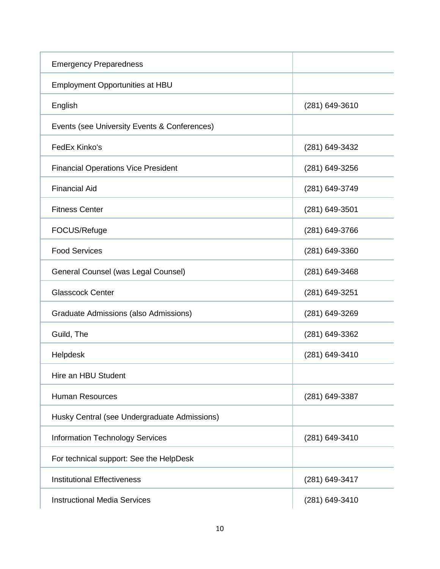| <b>Emergency Preparedness</b>                |                  |
|----------------------------------------------|------------------|
| <b>Employment Opportunities at HBU</b>       |                  |
| English                                      | $(281)$ 649-3610 |
| Events (see University Events & Conferences) |                  |
| FedEx Kinko's                                | (281) 649-3432   |
| <b>Financial Operations Vice President</b>   | $(281)$ 649-3256 |
| <b>Financial Aid</b>                         | (281) 649-3749   |
| <b>Fitness Center</b>                        | $(281)$ 649-3501 |
| FOCUS/Refuge                                 | (281) 649-3766   |
| <b>Food Services</b>                         | (281) 649-3360   |
| General Counsel (was Legal Counsel)          | (281) 649-3468   |
| <b>Glasscock Center</b>                      | $(281)$ 649-3251 |
| Graduate Admissions (also Admissions)        | (281) 649-3269   |
| Guild, The                                   | (281) 649-3362   |
| Helpdesk                                     | (281) 649-3410   |
| Hire an HBU Student                          |                  |
| <b>Human Resources</b>                       | $(281)$ 649-3387 |
| Husky Central (see Undergraduate Admissions) |                  |
| <b>Information Technology Services</b>       | (281) 649-3410   |
| For technical support: See the HelpDesk      |                  |
| <b>Institutional Effectiveness</b>           | (281) 649-3417   |
| <b>Instructional Media Services</b>          | (281) 649-3410   |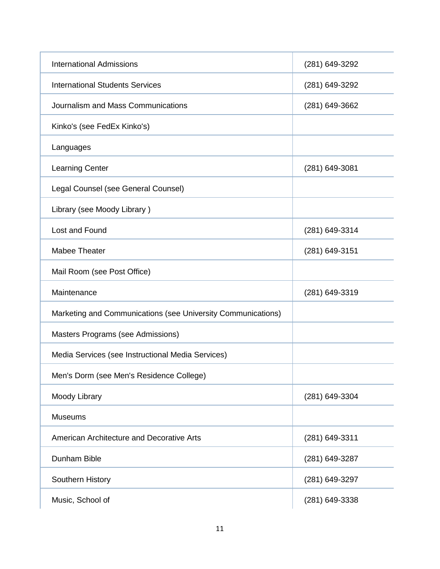| <b>International Admissions</b>                              | (281) 649-3292   |
|--------------------------------------------------------------|------------------|
| <b>International Students Services</b>                       | (281) 649-3292   |
| Journalism and Mass Communications                           | (281) 649-3662   |
| Kinko's (see FedEx Kinko's)                                  |                  |
| Languages                                                    |                  |
| <b>Learning Center</b>                                       | $(281)$ 649-3081 |
| Legal Counsel (see General Counsel)                          |                  |
| Library (see Moody Library)                                  |                  |
| Lost and Found                                               | (281) 649-3314   |
| Mabee Theater                                                | (281) 649-3151   |
| Mail Room (see Post Office)                                  |                  |
| Maintenance                                                  | (281) 649-3319   |
| Marketing and Communications (see University Communications) |                  |
| Masters Programs (see Admissions)                            |                  |
| Media Services (see Instructional Media Services)            |                  |
| Men's Dorm (see Men's Residence College)                     |                  |
| Moody Library                                                | (281) 649-3304   |
| <b>Museums</b>                                               |                  |
| American Architecture and Decorative Arts                    | (281) 649-3311   |
| Dunham Bible                                                 | (281) 649-3287   |
| Southern History                                             | (281) 649-3297   |
| Music, School of                                             | (281) 649-3338   |
|                                                              |                  |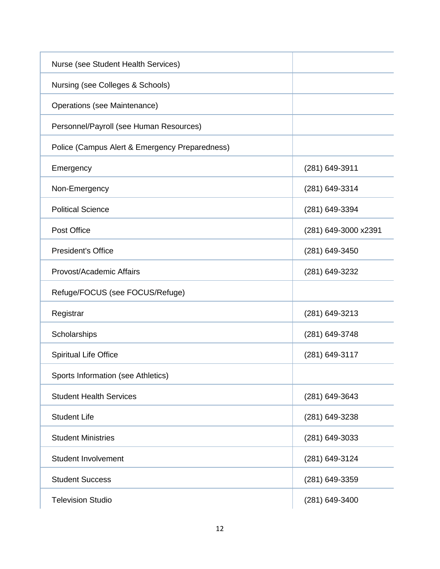| Nurse (see Student Health Services)            |                      |
|------------------------------------------------|----------------------|
| Nursing (see Colleges & Schools)               |                      |
| Operations (see Maintenance)                   |                      |
| Personnel/Payroll (see Human Resources)        |                      |
| Police (Campus Alert & Emergency Preparedness) |                      |
| Emergency                                      | (281) 649-3911       |
| Non-Emergency                                  | (281) 649-3314       |
| <b>Political Science</b>                       | (281) 649-3394       |
| Post Office                                    | (281) 649-3000 x2391 |
| <b>President's Office</b>                      | (281) 649-3450       |
| Provost/Academic Affairs                       | (281) 649-3232       |
| Refuge/FOCUS (see FOCUS/Refuge)                |                      |
| Registrar                                      | (281) 649-3213       |
| Scholarships                                   | (281) 649-3748       |
| <b>Spiritual Life Office</b>                   | (281) 649-3117       |
| Sports Information (see Athletics)             |                      |
| <b>Student Health Services</b>                 | (281) 649-3643       |
| <b>Student Life</b>                            | (281) 649-3238       |
| <b>Student Ministries</b>                      | (281) 649-3033       |
| <b>Student Involvement</b>                     | (281) 649-3124       |
| <b>Student Success</b>                         | (281) 649-3359       |
| <b>Television Studio</b>                       | (281) 649-3400       |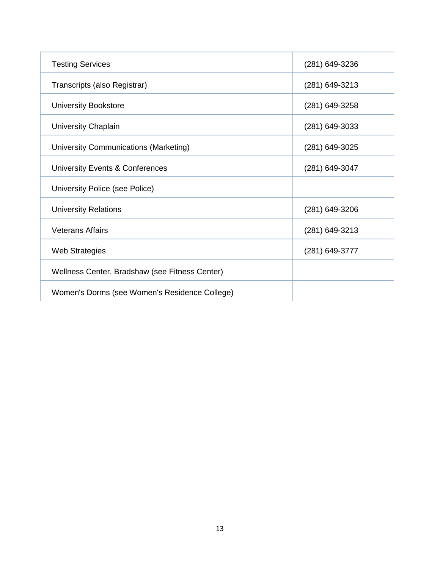| <b>Testing Services</b>                        | (281) 649-3236   |
|------------------------------------------------|------------------|
| Transcripts (also Registrar)                   | (281) 649-3213   |
| <b>University Bookstore</b>                    | (281) 649-3258   |
| University Chaplain                            | $(281)$ 649-3033 |
| University Communications (Marketing)          | (281) 649-3025   |
| University Events & Conferences                | (281) 649-3047   |
| University Police (see Police)                 |                  |
| <b>University Relations</b>                    | (281) 649-3206   |
| <b>Veterans Affairs</b>                        | $(281)$ 649-3213 |
| <b>Web Strategies</b>                          | (281) 649-3777   |
| Wellness Center, Bradshaw (see Fitness Center) |                  |
| Women's Dorms (see Women's Residence College)  |                  |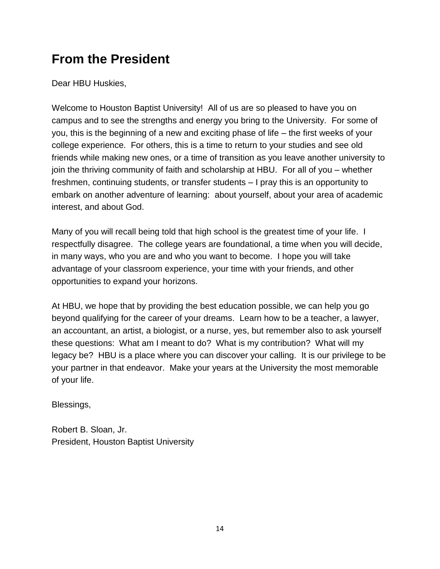# **From the President**

Dear HBU Huskies,

Welcome to Houston Baptist University! All of us are so pleased to have you on campus and to see the strengths and energy you bring to the University. For some of you, this is the beginning of a new and exciting phase of life – the first weeks of your college experience. For others, this is a time to return to your studies and see old friends while making new ones, or a time of transition as you leave another university to join the thriving community of faith and scholarship at HBU. For all of you – whether freshmen, continuing students, or transfer students – I pray this is an opportunity to embark on another adventure of learning: about yourself, about your area of academic interest, and about God.

Many of you will recall being told that high school is the greatest time of your life. I respectfully disagree. The college years are foundational, a time when you will decide, in many ways, who you are and who you want to become. I hope you will take advantage of your classroom experience, your time with your friends, and other opportunities to expand your horizons.

At HBU, we hope that by providing the best education possible, we can help you go beyond qualifying for the career of your dreams. Learn how to be a teacher, a lawyer, an accountant, an artist, a biologist, or a nurse, yes, but remember also to ask yourself these questions: What am I meant to do? What is my contribution? What will my legacy be? HBU is a place where you can discover your calling. It is our privilege to be your partner in that endeavor. Make your years at the University the most memorable of your life.

Blessings,

Robert B. Sloan, Jr. President, Houston Baptist University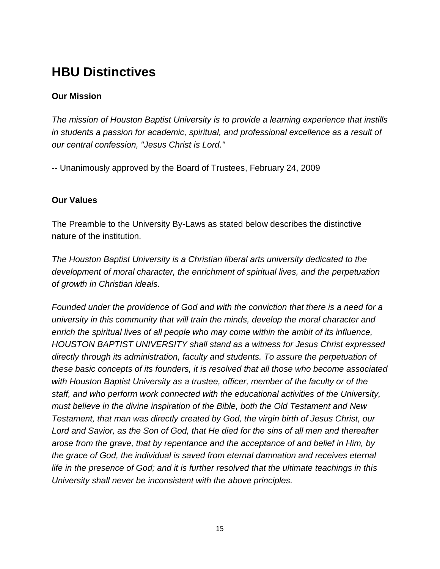# **HBU Distinctives**

## **Our Mission**

*The mission of Houston Baptist University is to provide a learning experience that instills in students a passion for academic, spiritual, and professional excellence as a result of our central confession, "Jesus Christ is Lord."*

-- Unanimously approved by the Board of Trustees, February 24, 2009

## **Our Values**

The Preamble to the University By-Laws as stated below describes the distinctive nature of the institution.

*The Houston Baptist University is a Christian liberal arts university dedicated to the development of moral character, the enrichment of spiritual lives, and the perpetuation of growth in Christian ideals.*

*Founded under the providence of God and with the conviction that there is a need for a university in this community that will train the minds, develop the moral character and enrich the spiritual lives of all people who may come within the ambit of its influence, HOUSTON BAPTIST UNIVERSITY shall stand as a witness for Jesus Christ expressed directly through its administration, faculty and students. To assure the perpetuation of these basic concepts of its founders, it is resolved that all those who become associated with Houston Baptist University as a trustee, officer, member of the faculty or of the staff, and who perform work connected with the educational activities of the University, must believe in the divine inspiration of the Bible, both the Old Testament and New Testament, that man was directly created by God, the virgin birth of Jesus Christ, our Lord and Savior, as the Son of God, that He died for the sins of all men and thereafter arose from the grave, that by repentance and the acceptance of and belief in Him, by the grace of God, the individual is saved from eternal damnation and receives eternal life in the presence of God; and it is further resolved that the ultimate teachings in this University shall never be inconsistent with the above principles.*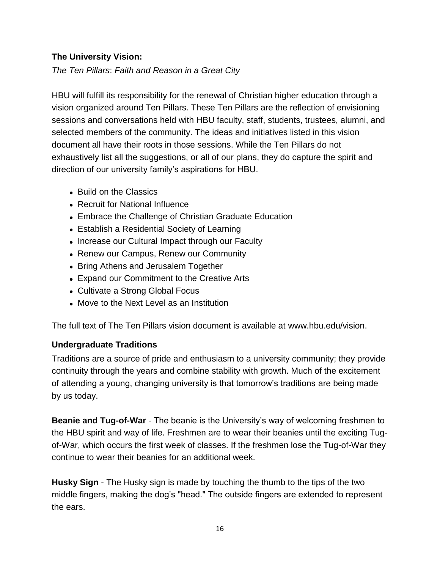## **The University Vision:**

*The Ten Pillars*: *Faith and Reason in a Great City* 

HBU will fulfill its responsibility for the renewal of Christian higher education through a vision organized around Ten Pillars. These Ten Pillars are the reflection of envisioning sessions and conversations held with HBU faculty, staff, students, trustees, alumni, and selected members of the community. The ideas and initiatives listed in this vision document all have their roots in those sessions. While the Ten Pillars do not exhaustively list all the suggestions, or all of our plans, they do capture the spirit and direction of our university family's aspirations for HBU.

- Build on the Classics
- Recruit for National Influence
- Embrace the Challenge of Christian Graduate Education
- Establish a Residential Society of Learning
- Increase our Cultural Impact through our Faculty
- Renew our Campus, Renew our Community
- Bring Athens and Jerusalem Together
- Expand our Commitment to the Creative Arts
- Cultivate a Strong Global Focus
- Move to the Next Level as an Institution

The full text of The Ten Pillars vision document is available at [www.hbu.edu/vision.](http://www.hbu.edu/vision)

## **Undergraduate Traditions**

Traditions are a source of pride and enthusiasm to a university community; they provide continuity through the years and combine stability with growth. Much of the excitement of attending a young, changing university is that tomorrow's traditions are being made by us today.

**Beanie and Tug-of-War** - The beanie is the University's way of welcoming freshmen to the HBU spirit and way of life. Freshmen are to wear their beanies until the exciting Tugof-War, which occurs the first week of classes. If the freshmen lose the Tug-of-War they continue to wear their beanies for an additional week.

**Husky Sign** - The Husky sign is made by touching the thumb to the tips of the two middle fingers, making the dog's "head." The outside fingers are extended to represent the ears.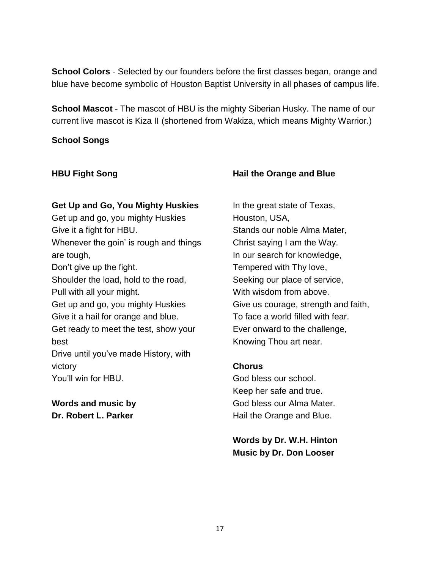**School Colors** - Selected by our founders before the first classes began, orange and blue have become symbolic of Houston Baptist University in all phases of campus life.

**School Mascot** - The mascot of HBU is the mighty Siberian Husky. The name of our current live mascot is Kiza II (shortened from Wakiza, which means Mighty Warrior.)

#### **School Songs**

#### **HBU Fight Song**

#### **Get Up and Go, You Mighty Huskies**

Get up and go, you mighty Huskies Give it a fight for HBU. Whenever the goin' is rough and things are tough,

Don't give up the fight.

Shoulder the load, hold to the road, Pull with all your might.

Get up and go, you mighty Huskies Give it a hail for orange and blue.

Get ready to meet the test, show your best

Drive until you've made History, with victory

You'll win for HBU.

## **Words and music by Dr. Robert L. Parker**

### **Hail the Orange and Blue**

In the great state of Texas, Houston, USA, Stands our noble Alma Mater, Christ saying I am the Way. In our search for knowledge, Tempered with Thy love, Seeking our place of service, With wisdom from above. Give us courage, strength and faith, To face a world filled with fear. Ever onward to the challenge, Knowing Thou art near.

#### **Chorus**

God bless our school. Keep her safe and true. God bless our Alma Mater. Hail the Orange and Blue.

**Words by [Dr. W.H. Hinton](https://hbu.edu/About-HBU/General-Information/University-Leadership/Presidents-of-HBU/Dr-William-H-Hinton.aspx) Music by Dr. Don Looser**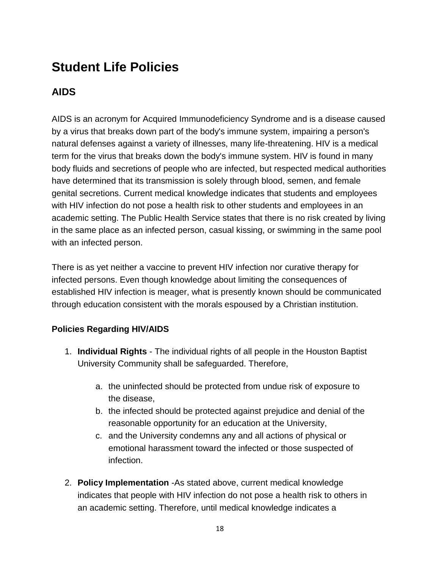# **Student Life Policies**

# **AIDS**

AIDS is an acronym for Acquired Immunodeficiency Syndrome and is a disease caused by a virus that breaks down part of the body's immune system, impairing a person's natural defenses against a variety of illnesses, many life-threatening. HIV is a medical term for the virus that breaks down the body's immune system. HIV is found in many body fluids and secretions of people who are infected, but respected medical authorities have determined that its transmission is solely through blood, semen, and female genital secretions. Current medical knowledge indicates that students and employees with HIV infection do not pose a health risk to other students and employees in an academic setting. The Public Health Service states that there is no risk created by living in the same place as an infected person, casual kissing, or swimming in the same pool with an infected person.

There is as yet neither a vaccine to prevent HIV infection nor curative therapy for infected persons. Even though knowledge about limiting the consequences of established HIV infection is meager, what is presently known should be communicated through education consistent with the morals espoused by a Christian institution.

## **Policies Regarding HIV/AIDS**

- 1. **Individual Rights**  The individual rights of all people in the Houston Baptist University Community shall be safeguarded. Therefore,
	- a. the uninfected should be protected from undue risk of exposure to the disease,
	- b. the infected should be protected against prejudice and denial of the reasonable opportunity for an education at the University,
	- c. and the University condemns any and all actions of physical or emotional harassment toward the infected or those suspected of infection.
- 2. **Policy Implementation** -As stated above, current medical knowledge indicates that people with HIV infection do not pose a health risk to others in an academic setting. Therefore, until medical knowledge indicates a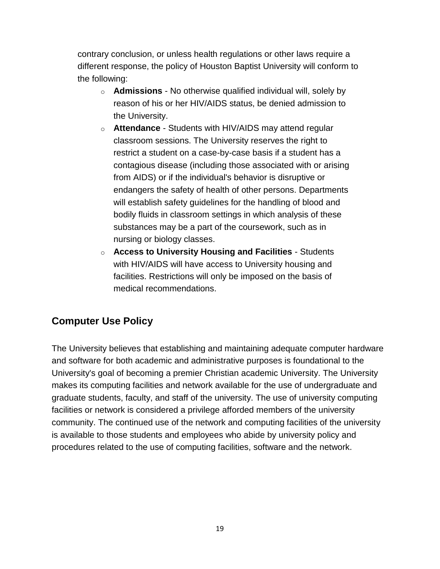contrary conclusion, or unless health regulations or other laws require a different response, the policy of Houston Baptist University will conform to the following:

- o **Admissions** No otherwise qualified individual will, solely by reason of his or her HIV/AIDS status, be denied admission to the University.
- o **Attendance** Students with HIV/AIDS may attend regular classroom sessions. The University reserves the right to restrict a student on a case-by-case basis if a student has a contagious disease (including those associated with or arising from AIDS) or if the individual's behavior is disruptive or endangers the safety of health of other persons. Departments will establish safety guidelines for the handling of blood and bodily fluids in classroom settings in which analysis of these substances may be a part of the coursework, such as in nursing or biology classes.
- o **Access to University Housing and Facilities** Students with HIV/AIDS will have access to University housing and facilities. Restrictions will only be imposed on the basis of medical recommendations.

## **Computer Use Policy**

The University believes that establishing and maintaining adequate computer hardware and software for both academic and administrative purposes is foundational to the University's goal of becoming a premier Christian academic University. The University makes its computing facilities and network available for the use of undergraduate and graduate students, faculty, and staff of the university. The use of university computing facilities or network is considered a privilege afforded members of the university community. The continued use of the network and computing facilities of the university is available to those students and employees who abide by university policy and procedures related to the use of computing facilities, software and the network.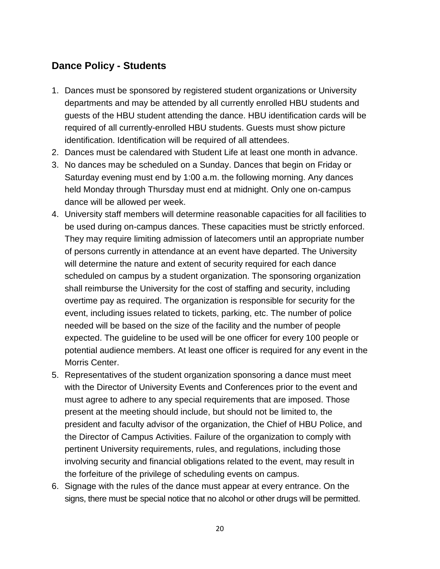## **Dance Policy - Students**

- 1. Dances must be sponsored by registered student organizations or University departments and may be attended by all currently enrolled HBU students and guests of the HBU student attending the dance. HBU identification cards will be required of all currently-enrolled HBU students. Guests must show picture identification. Identification will be required of all attendees.
- 2. Dances must be calendared with Student Life at least one month in advance.
- 3. No dances may be scheduled on a Sunday. Dances that begin on Friday or Saturday evening must end by 1:00 a.m. the following morning. Any dances held Monday through Thursday must end at midnight. Only one on-campus dance will be allowed per week.
- 4. University staff members will determine reasonable capacities for all facilities to be used during on-campus dances. These capacities must be strictly enforced. They may require limiting admission of latecomers until an appropriate number of persons currently in attendance at an event have departed. The University will determine the nature and extent of security required for each dance scheduled on campus by a student organization. The sponsoring organization shall reimburse the University for the cost of staffing and security, including overtime pay as required. The organization is responsible for security for the event, including issues related to tickets, parking, etc. The number of police needed will be based on the size of the facility and the number of people expected. The guideline to be used will be one officer for every 100 people or potential audience members. At least one officer is required for any event in the Morris Center.
- 5. Representatives of the student organization sponsoring a dance must meet with the Director of University Events and Conferences prior to the event and must agree to adhere to any special requirements that are imposed. Those present at the meeting should include, but should not be limited to, the president and faculty advisor of the organization, the Chief of HBU Police, and the Director of Campus Activities. Failure of the organization to comply with pertinent University requirements, rules, and regulations, including those involving security and financial obligations related to the event, may result in the forfeiture of the privilege of scheduling events on campus.
- 6. Signage with the rules of the dance must appear at every entrance. On the signs, there must be special notice that no alcohol or other drugs will be permitted.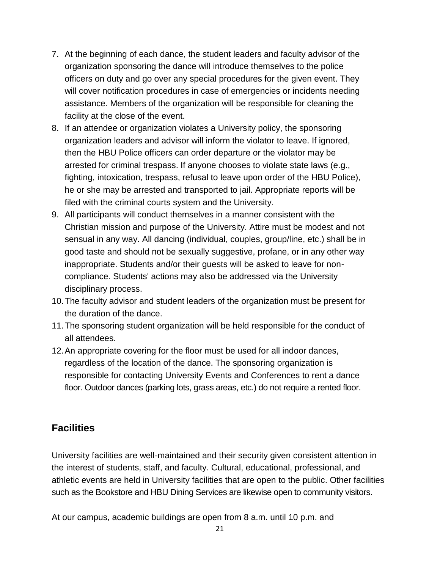- 7. At the beginning of each dance, the student leaders and faculty advisor of the organization sponsoring the dance will introduce themselves to the police officers on duty and go over any special procedures for the given event. They will cover notification procedures in case of emergencies or incidents needing assistance. Members of the organization will be responsible for cleaning the facility at the close of the event.
- 8. If an attendee or organization violates a University policy, the sponsoring organization leaders and advisor will inform the violator to leave. If ignored, then the HBU Police officers can order departure or the violator may be arrested for criminal trespass. If anyone chooses to violate state laws (e.g., fighting, intoxication, trespass, refusal to leave upon order of the HBU Police), he or she may be arrested and transported to jail. Appropriate reports will be filed with the criminal courts system and the University.
- 9. All participants will conduct themselves in a manner consistent with the Christian mission and purpose of the University. Attire must be modest and not sensual in any way. All dancing (individual, couples, group/line, etc.) shall be in good taste and should not be sexually suggestive, profane, or in any other way inappropriate. Students and/or their guests will be asked to leave for noncompliance. Students' actions may also be addressed via the University disciplinary process.
- 10.The faculty advisor and student leaders of the organization must be present for the duration of the dance.
- 11.The sponsoring student organization will be held responsible for the conduct of all attendees.
- 12.An appropriate covering for the floor must be used for all indoor dances, regardless of the location of the dance. The sponsoring organization is responsible for contacting University Events and Conferences to rent a dance floor. Outdoor dances (parking lots, grass areas, etc.) do not require a rented floor.

## **Facilities**

University facilities are well-maintained and their security given consistent attention in the interest of students, staff, and faculty. Cultural, educational, professional, and athletic events are held in University facilities that are open to the public. Other facilities such as the [Bookstore](http://www.hbubookstore.com/) and [HBU Dining Services](http://www.campusdish.com/en-US/CSSW/HoustonBaptist) are likewise open to community visitors.

At our campus, academic buildings are open from 8 a.m. until 10 p.m. and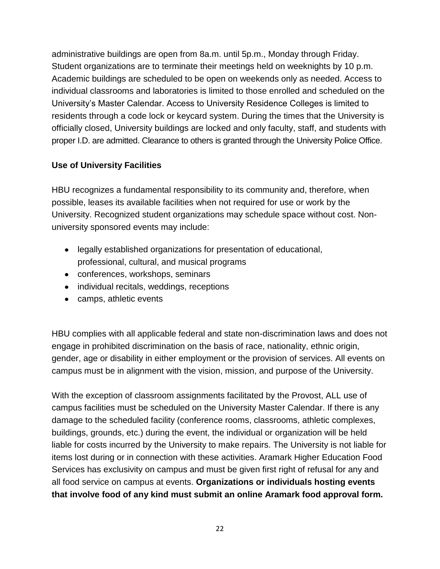administrative buildings are open from 8a.m. until 5p.m., Monday through Friday. Student organizations are to terminate their meetings held on weeknights by 10 p.m. Academic buildings are scheduled to be open on weekends only as needed. Access to individual classrooms and laboratories is limited to those enrolled and scheduled on the University's Master Calendar. Access to University Residence Colleges is limited to residents through a code lock or keycard system. During the times that the University is officially closed, University buildings are locked and only faculty, staff, and students with proper I.D. are admitted. Clearance to others is granted through the University Police Office.

## **Use of University Facilities**

HBU recognizes a fundamental responsibility to its community and, therefore, when possible, leases its available facilities when not required for use or work by the University. Recognized student organizations may schedule space without cost. Nonuniversity sponsored events may include:

- legally established organizations for presentation of educational, professional, cultural, and musical programs
- conferences, workshops, seminars
- individual recitals, weddings, receptions
- camps, athletic events

HBU complies with all applicable federal and state non-discrimination laws and does not engage in prohibited discrimination on the basis of race, nationality, ethnic origin, gender, age or disability in either employment or the provision of services. All events on campus must be in alignment with the vision, mission, and purpose of the University.

With the exception of classroom assignments facilitated by the Provost, ALL use of campus facilities must be scheduled on the University Master Calendar. If there is any damage to the scheduled facility (conference rooms, classrooms, athletic complexes, buildings, grounds, etc.) during the event, the individual or organization will be held liable for costs incurred by the University to make repairs. The University is not liable for items lost during or in connection with these activities. Aramark Higher Education Food Services has exclusivity on campus and must be given first right of refusal for any and all food service on campus at events. **Organizations or individuals hosting events that involve food of any kind must submit an online Aramark food approval form.**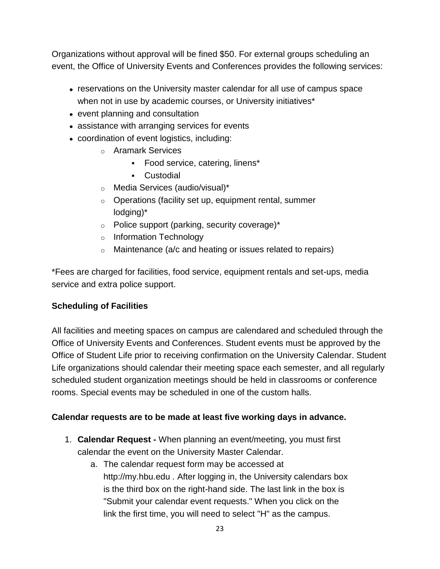Organizations without approval will be fined \$50. For external groups scheduling an event, the Office of University Events and Conferences provides the following services:

- reservations on the University master calendar for all use of campus space when not in use by academic courses, or University initiatives<sup>\*</sup>
- event planning and consultation
- assistance with arranging services for events
- coordination of event logistics, including:
	- o Aramark Services
		- Food service, catering, linens\*
		- Custodial
	- o Media Services (audio/visual)\*
	- o Operations (facility set up, equipment rental, summer lodging)\*
	- o Police support (parking, security coverage)\*
	- o Information Technology
	- o Maintenance (a/c and heating or issues related to repairs)

\*Fees are charged for facilities, food service, equipment rentals and set-ups, media service and extra police support.

## **Scheduling of Facilities**

All facilities and meeting spaces on campus are calendared and scheduled through the [Office of University Events and Conferences.](https://hbu.edu/About-HBU/Resources/University-Events-and-Conferences.aspx) Student events must be approved by the Office of Student Life prior to receiving confirmation on the University Calendar. Student Life organizations should calendar their meeting space each semester, and all regularly scheduled student organization meetings should be held in classrooms or conference rooms. Special events may be scheduled in one of the custom halls.

## **Calendar requests are to be made at least five working days in advance.**

- 1. **Calendar Request -** When planning an event/meeting, you must first calendar the event on the University Master Calendar.
	- a. The calendar request form may be accessed at [http://my.hbu.edu](http://my.hbu.edu/) *.* After logging in, the University calendars box is the third box on the right-hand side. The last link in the box is "Submit your calendar event requests." When you click on the link the first time, you will need to select "H" as the campus.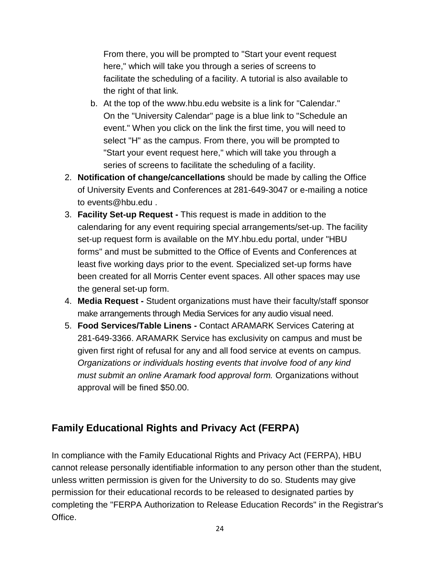From there, you will be prompted to "Start your event request here," which will take you through a series of screens to facilitate the scheduling of a facility. A tutorial is also available to the right of that link*.*

- b. At the top of the [www.hbu.edu](http://www.hbu.edu/) website is a link for "Calendar." On the "University Calendar" page is a blue link to "Schedule an event." When you click on the link the first time, you will need to select "H" as the campus. From there, you will be prompted to "Start your event request here," which will take you through a series of screens to facilitate the scheduling of a facility.
- 2. **Notification of change/cancellations** should be made by calling the Office of University Events and Conferences at 281-649-3047 or e-mailing a notice to [events@hbu.edu](mailto:events@hbu.edu) .
- 3. **Facility Set-up Request -** This request is made in addition to the calendaring for any event requiring special arrangements/set-up. The facility set-up request form is available on the [MY.hbu.edu](http://my.hbu.edu/) portal, under "HBU forms" and must be submitted to the Office of Events and Conferences at least five working days prior to the event. Specialized set-up forms have been created for all Morris Center event spaces. All other spaces may use the general set-up form.
- 4. **Media Request -** Student organizations must have their faculty/staff sponsor make arrangements through Media Services for any audio visual need.
- 5. **Food Services/Table Linens -** Contact ARAMARK Services Catering at 281-649-3366. ARAMARK Service has exclusivity on campus and must be given first right of refusal for any and all food service at events on campus. *Organizations or individuals hosting events that involve food of any kind must submit an online Aramark food approval form.* Organizations without approval will be fined \$50.00.

## **Family Educational Rights and Privacy Act (FERPA)**

In compliance with the Family Educational Rights and Privacy Act (FERPA), HBU cannot release personally identifiable information to any person other than the student, unless written permission is given for the University to do so. Students may give permission for their educational records to be released to designated parties by completing the "FERPA Authorization to Release Education Records" in the Registrar's Office.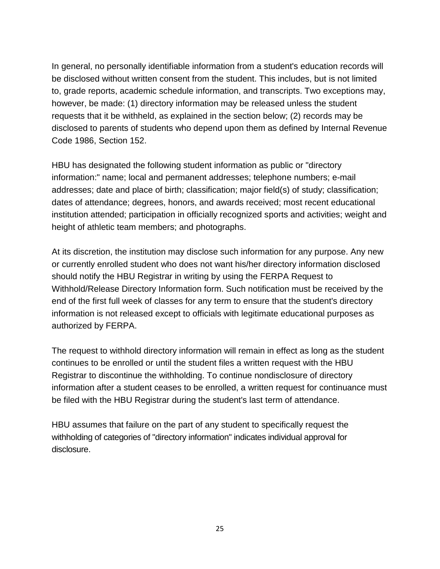In general, no personally identifiable information from a student's education records will be disclosed without written consent from the student. This includes, but is not limited to, grade reports, academic schedule information, and transcripts. Two exceptions may, however, be made: (1) directory information may be released unless the student requests that it be withheld, as explained in the section below; (2) records may be disclosed to parents of students who depend upon them as defined by Internal Revenue Code 1986, Section 152.

HBU has designated the following student information as public or "directory information:" name; local and permanent addresses; telephone numbers; e-mail addresses; date and place of birth; classification; major field(s) of study; classification; dates of attendance; degrees, honors, and awards received; most recent educational institution attended; participation in officially recognized sports and activities; weight and height of athletic team members; and photographs.

At its discretion, the institution may disclose such information for any purpose. Any new or currently enrolled student who does not want his/her directory information disclosed should notify the HBU Registrar in writing by using the FERPA Request to Withhold/Release Directory Information form. Such notification must be received by the end of the first full week of classes for any term to ensure that the student's directory information is not released except to officials with legitimate educational purposes as authorized by FERPA.

The request to withhold directory information will remain in effect as long as the student continues to be enrolled or until the student files a written request with the HBU Registrar to discontinue the withholding. To continue nondisclosure of directory information after a student ceases to be enrolled, a written request for continuance must be filed with the HBU Registrar during the student's last term of attendance.

HBU assumes that failure on the part of any student to specifically request the withholding of categories of "directory information" indicates individual approval for disclosure.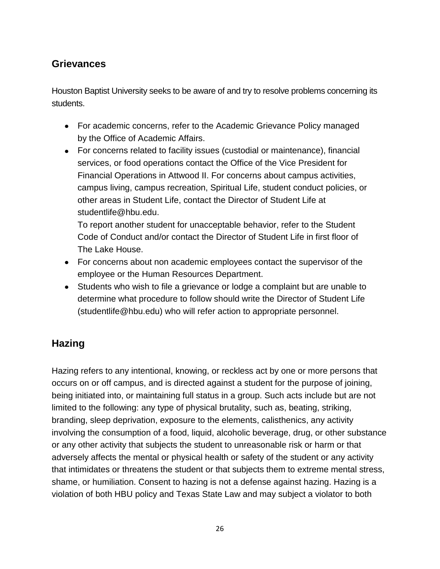## **Grievances**

Houston Baptist University seeks to be aware of and try to resolve problems concerning its students.

- For academic concerns, refer to the Academic [Grievance Policy](https://hbu.edu/HBU/media/HBU/publications/academics/AcademicGrievanceProcess.pdf) managed by the Office of Academic Affairs.
- For concerns related to facility issues (custodial or maintenance), financial services, or food operations contact the Office of the Vice President for Financial Operations in Attwood II. For concerns about campus activities, campus living, campus recreation, Spiritual Life, student conduct policies, or other areas in Student Life, contact the Director of Student Life at [studentlife@hbu.edu.](mailto:studentlife@hbu.edu)

To report another student for unacceptable behavior, refer to the Student Code of Conduct and/or contact the Director of Student Life in first floor of The Lake House.

- For concerns about non academic employees contact the supervisor of the employee or the [Human Resources Department.](https://hbu.edu/About-HBU/Resources/Directory.aspx)
- Students who wish to file a grievance or lodge a complaint but are unable to determine what procedure to follow should write the Director of Student Life [\(studentlife@hbu.edu\)](mailto:studentlife@hbu.edu) who will refer action to appropriate personnel.

## **Hazing**

Hazing refers to any intentional, knowing, or reckless act by one or more persons that occurs on or off campus, and is directed against a student for the purpose of joining, being initiated into, or maintaining full status in a group. Such acts include but are not limited to the following: any type of physical brutality, such as, beating, striking, branding, sleep deprivation, exposure to the elements, calisthenics, any activity involving the consumption of a food, liquid, alcoholic beverage, drug, or other substance or any other activity that subjects the student to unreasonable risk or harm or that adversely affects the mental or physical health or safety of the student or any activity that intimidates or threatens the student or that subjects them to extreme mental stress, shame, or humiliation. Consent to hazing is not a defense against hazing. Hazing is a violation of both HBU policy and Texas State Law and may subject a violator to both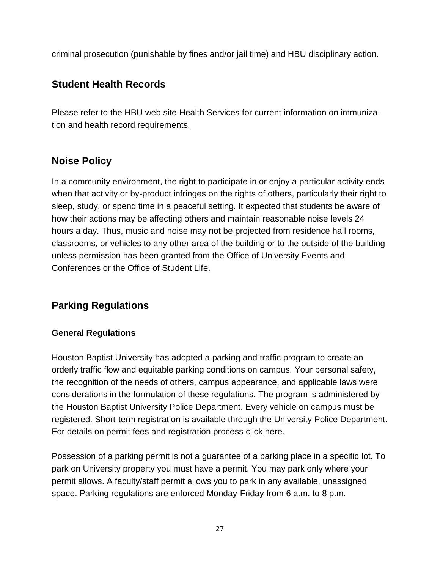criminal prosecution (punishable by fines and/or jail time) and HBU disciplinary action.

## **Student Health Records**

Please refer to the HBU web site [Health Services](https://hbu.edu/About-HBU/Resources/Health-Services/New-Student-Requirements.aspx) for current information on immunization and health record requirements.

## **Noise Policy**

In a community environment, the right to participate in or enjoy a particular activity ends when that activity or by-product infringes on the rights of others, particularly their right to sleep, study, or spend time in a peaceful setting. It expected that students be aware of how their actions may be affecting others and maintain reasonable noise levels 24 hours a day. Thus, music and noise may not be projected from residence hall rooms, classrooms, or vehicles to any other area of the building or to the outside of the building unless permission has been granted from the [Office of University Events and](https://hbu.edu/About-HBU/Resources/University-Events-and-Conferences.aspx)  [Conferences](https://hbu.edu/About-HBU/Resources/University-Events-and-Conferences.aspx) or the [Office of Student Life.](https://hbu.edu/Students-Alumni/Student-Information/Student-Life/Student-Life-Directory.aspx)

## **Parking Regulations**

## **General Regulations**

Houston Baptist University has adopted a parking and traffic program to create an orderly traffic flow and equitable parking conditions on campus. Your personal safety, the recognition of the needs of others, campus appearance, and applicable laws were considerations in the formulation of these regulations. The program is administered by the [Houston Baptist University Police Department.](https://hbu.edu/About-HBU/Resources/HBU-Alert-System/University-Police.aspx) Every vehicle on campus must be registered. Short-term registration is available through the University Police Department. For details on permit fees and registration process [click here.](https://hbu.edu/About-HBU/The-Campus/Police-Parking.aspx)

Possession of a parking permit is not a guarantee of a parking place in a specific lot. To park on University property you must have a permit. You may park only where your permit allows. A faculty/staff permit allows you to park in any available, unassigned space. Parking regulations are enforced Monday-Friday from 6 a.m. to 8 p.m.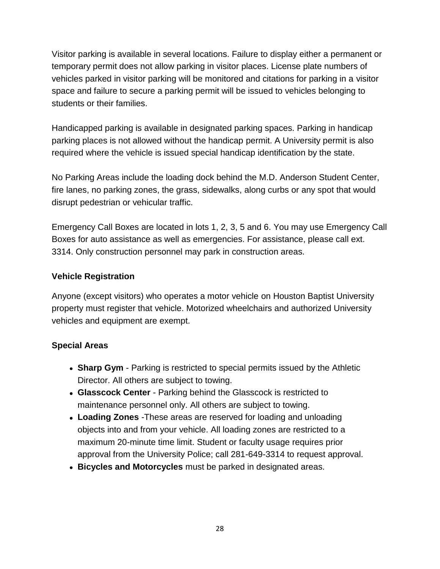Visitor parking is available in several locations. Failure to display either a permanent or temporary permit does not allow parking in visitor places. License plate numbers of vehicles parked in visitor parking will be monitored and citations for parking in a visitor space and failure to secure a parking permit will be issued to vehicles belonging to students or their families.

Handicapped parking is available in designated parking spaces. Parking in handicap parking places is not allowed without the handicap permit. A University permit is also required where the vehicle is issued special handicap identification by the state.

No Parking Areas include the loading dock behind the M.D. Anderson Student Center, fire lanes, no parking zones, the grass, sidewalks, along curbs or any spot that would disrupt pedestrian or vehicular traffic.

Emergency Call Boxes are located in lots 1, 2, 3, 5 and 6. You may use Emergency Call Boxes for auto assistance as well as emergencies. For assistance, please call ext. 3314. Only construction personnel may park in construction areas.

## **Vehicle Registration**

Anyone (except visitors) who operates a motor vehicle on Houston Baptist University property must register that vehicle. Motorized wheelchairs and authorized University vehicles and equipment are exempt.

## **Special Areas**

- **Sharp Gym**  Parking is restricted to special permits issued by the Athletic Director. All others are subject to towing.
- **Glasscock Center**  Parking behind the Glasscock is restricted to maintenance personnel only. All others are subject to towing.
- **Loading Zones** -These areas are reserved for loading and unloading objects into and from your vehicle. All loading zones are restricted to a maximum 20-minute time limit. Student or faculty usage requires prior approval from the University Police; call 281-649-3314 to request approval.
- **Bicycles and Motorcycles** must be parked in designated areas.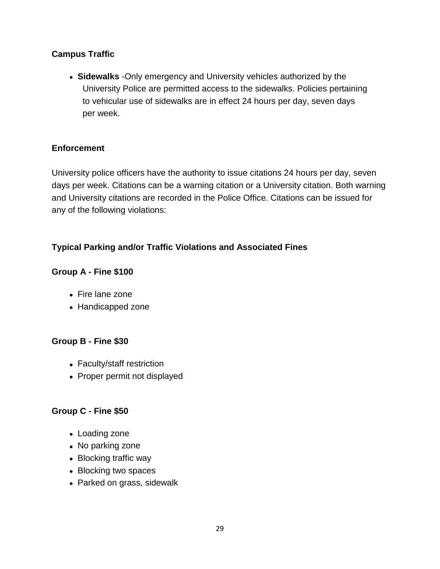## **Campus Traffic**

**Sidewalks** -Only emergency and University vehicles authorized by the University Police are permitted access to the sidewalks. Policies pertaining to vehicular use of sidewalks are in effect 24 hours per day, seven days per week.

## **Enforcement**

University police officers have the authority to issue citations 24 hours per day, seven days per week. Citations can be a warning citation or a University citation. Both warning and University citations are recorded in the Police Office. Citations can be issued for any of the following violations:

## **Typical Parking and/or Traffic Violations and Associated Fines**

## **Group A - Fine \$100**

- Fire lane zone
- Handicapped zone

#### **Group B - Fine \$30**

- Faculty/staff restriction
- Proper permit not displayed

## **Group C - Fine \$50**

- Loading zone
- No parking zone
- Blocking traffic way
- Blocking two spaces
- Parked on grass, sidewalk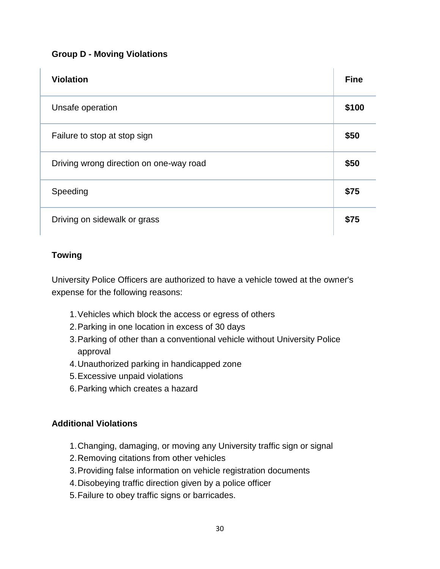## **Group D - Moving Violations**

| <b>Violation</b>                        | <b>Fine</b> |
|-----------------------------------------|-------------|
| Unsafe operation                        | \$100       |
| Failure to stop at stop sign            | \$50        |
| Driving wrong direction on one-way road | \$50        |
| Speeding                                | \$75        |
| Driving on sidewalk or grass            | \$75        |

## **Towing**

University Police Officers are authorized to have a vehicle towed at the owner's expense for the following reasons:

- 1.Vehicles which block the access or egress of others
- 2.Parking in one location in excess of 30 days
- 3.Parking of other than a conventional vehicle without University Police approval
- 4.Unauthorized parking in handicapped zone
- 5.Excessive unpaid violations
- 6.Parking which creates a hazard

## **Additional Violations**

- 1.Changing, damaging, or moving any University traffic sign or signal
- 2.Removing citations from other vehicles
- 3.Providing false information on vehicle registration documents
- 4.Disobeying traffic direction given by a police officer
- 5.Failure to obey traffic signs or barricades.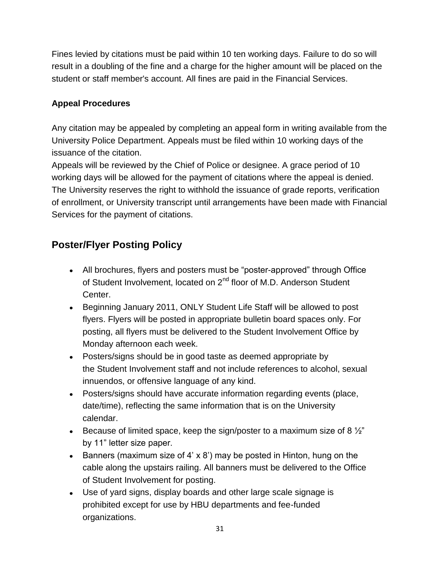Fines levied by citations must be paid within 10 ten working days. Failure to do so will result in a doubling of the fine and a charge for the higher amount will be placed on the student or staff member's account. All fines are paid in the Financial Services.

## **Appeal Procedures**

Any citation may be appealed by completing an appeal form in writing available from the University Police Department. Appeals must be filed within 10 working days of the issuance of the citation.

Appeals will be reviewed by the Chief of Police or designee. A grace period of 10 working days will be allowed for the payment of citations where the appeal is denied. The University reserves the right to withhold the issuance of grade reports, verification of enrollment, or University transcript until arrangements have been made with Financial Services for the payment of citations.

# **Poster/Flyer Posting Policy**

- All brochures, flyers and posters must be "poster-approved" through Office of Student Involvement, located on 2<sup>nd</sup> floor of M.D. Anderson Student Center.
- Beginning January 2011, ONLY Student Life Staff will be allowed to post flyers. Flyers will be posted in appropriate bulletin board spaces only. For posting, all flyers must be delivered to the Student Involvement Office by Monday afternoon each week.
- Posters/signs should be in good taste as deemed appropriate by the Student Involvement staff and not include references to alcohol, sexual innuendos, or offensive language of any kind.
- Posters/signs should have accurate information regarding events (place, date/time), reflecting the same information that is on the University calendar.
- Because of limited space, keep the sign/poster to a maximum size of 8  $\frac{1}{2}$ " by 11" letter size paper.
- Banners (maximum size of 4'  $\times$  8') may be posted in Hinton, hung on the cable along the upstairs railing. All banners must be delivered to the Office of Student Involvement for posting.
- Use of yard signs, display boards and other large scale signage is prohibited except for use by HBU departments and fee-funded organizations.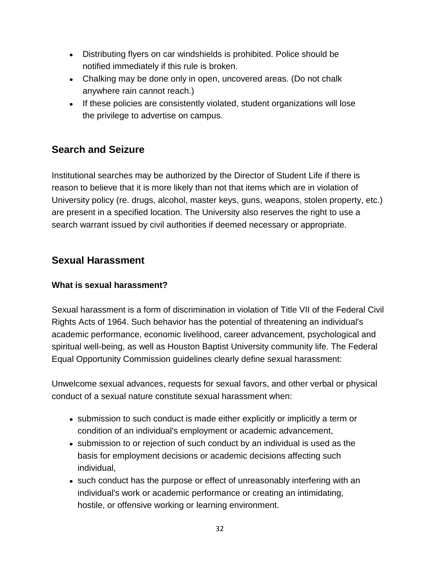- Distributing flyers on car windshields is prohibited. Police should be notified immediately if this rule is broken.
- Chalking may be done only in open, uncovered areas. (Do not chalk anywhere rain cannot reach.)
- If these policies are consistently violated, student organizations will lose the privilege to advertise on campus.

## **Search and Seizure**

Institutional searches may be authorized by the Director of Student Life if there is reason to believe that it is more likely than not that items which are in violation of University policy (re. drugs, alcohol, master keys, guns, weapons, stolen property, etc.) are present in a specified location. The University also reserves the right to use a search warrant issued by civil authorities if deemed necessary or appropriate.

## **Sexual Harassment**

## **What is sexual harassment?**

Sexual harassment is a form of discrimination in violation of Title VII of the Federal Civil Rights Acts of 1964. Such behavior has the potential of threatening an individual's academic performance, economic livelihood, career advancement, psychological and spiritual well-being, as well as Houston Baptist University community life. The Federal Equal Opportunity Commission guidelines clearly define sexual harassment:

Unwelcome sexual advances, requests for sexual favors, and other verbal or physical conduct of a sexual nature constitute sexual harassment when:

- submission to such conduct is made either explicitly or implicitly a term or condition of an individual's employment or academic advancement,
- submission to or rejection of such conduct by an individual is used as the basis for employment decisions or academic decisions affecting such individual,
- such conduct has the purpose or effect of unreasonably interfering with an individual's work or academic performance or creating an intimidating, hostile, or offensive working or learning environment.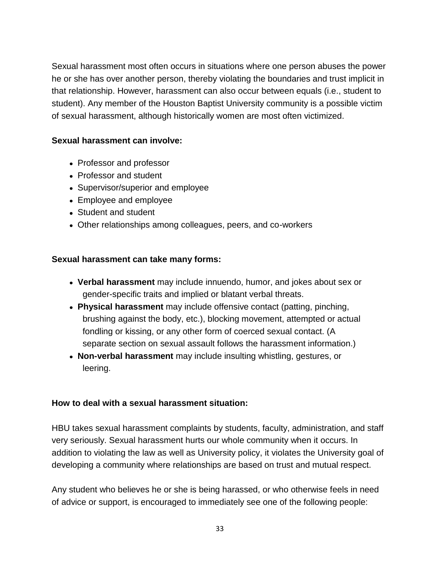Sexual harassment most often occurs in situations where one person abuses the power he or she has over another person, thereby violating the boundaries and trust implicit in that relationship. However, harassment can also occur between equals (i.e., student to student). Any member of the Houston Baptist University community is a possible victim of sexual harassment, although historically women are most often victimized.

## **Sexual harassment can involve:**

- Professor and professor
- Professor and student
- Supervisor/superior and employee
- Employee and employee
- Student and student
- Other relationships among colleagues, peers, and co-workers

### **Sexual harassment can take many forms:**

- **Verbal harassment** may include innuendo, humor, and jokes about sex or gender-specific traits and implied or blatant verbal threats.
- **Physical harassment** may include offensive contact (patting, pinching, brushing against the body, etc.), blocking movement, attempted or actual fondling or kissing, or any other form of coerced sexual contact. (A separate section on sexual assault follows the harassment information.)
- **Non-verbal harassment** may include insulting whistling, gestures, or leering.

## **How to deal with a sexual harassment situation:**

HBU takes sexual harassment complaints by students, faculty, administration, and staff very seriously. Sexual harassment hurts our whole community when it occurs. In addition to violating the law as well as University policy, it violates the University goal of developing a community where relationships are based on trust and mutual respect.

Any student who believes he or she is being harassed, or who otherwise feels in need of advice or support, is encouraged to immediately see one of the following people: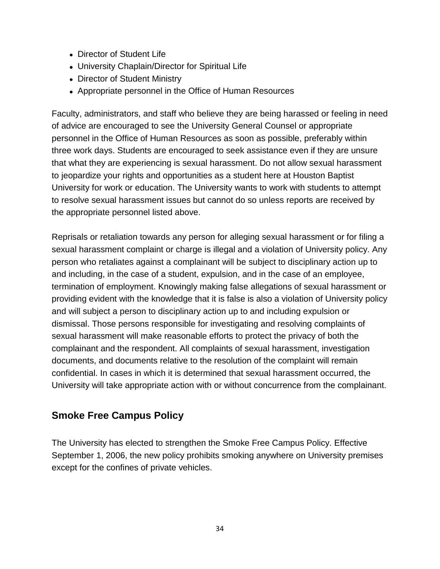- [Director of Student Life](https://hbu.edu/Students-Alumni/Student-Information/Student-Life.aspx)
- [University Chaplain/Director for Spiritual Life](https://hbu.edu/Students-Alumni/Student-Information/Spiritual-Life/Spiritual-Life-Department/Meet-Our-Staff/Colette-Cross.aspx)
- [Director of Student Ministry](https://hbu.edu/Students-Alumni/Student-Information/Spiritual-Life/Spiritual-Life-Department/Meet-Our-Staff/Danny-Miller.aspx)
- [Appropriate personnel in the Office of Human Resources](lc:SNID$)

Faculty, administrators, and staff who believe they are being harassed or feeling in need of advice are encouraged to see the University General Counsel or appropriate personnel in the Office of Human Resources as soon as possible, preferably within three work days. Students are encouraged to seek assistance even if they are unsure that what they are experiencing is sexual harassment. Do not allow sexual harassment to jeopardize your rights and opportunities as a student here at Houston Baptist University for work or education. The University wants to work with students to attempt to resolve sexual harassment issues but cannot do so unless reports are received by the appropriate personnel listed above.

Reprisals or retaliation towards any person for alleging sexual harassment or for filing a sexual harassment complaint or charge is illegal and a violation of University policy. Any person who retaliates against a complainant will be subject to disciplinary action up to and including, in the case of a student, expulsion, and in the case of an employee, termination of employment. Knowingly making false allegations of sexual harassment or providing evident with the knowledge that it is false is also a violation of University policy and will subject a person to disciplinary action up to and including expulsion or dismissal. Those persons responsible for investigating and resolving complaints of sexual harassment will make reasonable efforts to protect the privacy of both the complainant and the respondent. All complaints of sexual harassment, investigation documents, and documents relative to the resolution of the complaint will remain confidential. In cases in which it is determined that sexual harassment occurred, the University will take appropriate action with or without concurrence from the complainant.

## **Smoke Free Campus Policy**

The University has elected to strengthen the Smoke Free Campus Policy. Effective September 1, 2006, the new policy prohibits smoking anywhere on University premises except for the confines of private vehicles.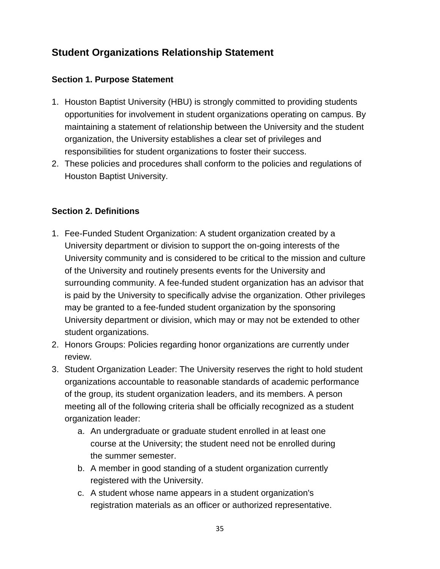# **Student Organizations Relationship Statement**

## **Section 1. Purpose Statement**

- 1. Houston Baptist University (HBU) is strongly committed to providing students opportunities for involvement in student organizations operating on campus. By maintaining a statement of relationship between the University and the student organization, the University establishes a clear set of privileges and responsibilities for student organizations to foster their success.
- 2. These policies and procedures shall conform to the policies and regulations of Houston Baptist University.

## **Section 2. Definitions**

- 1. Fee-Funded Student Organization: A student organization created by a University department or division to support the on-going interests of the University community and is considered to be critical to the mission and culture of the University and routinely presents events for the University and surrounding community. A fee-funded student organization has an advisor that is paid by the University to specifically advise the organization. Other privileges may be granted to a fee-funded student organization by the sponsoring University department or division, which may or may not be extended to other student organizations.
- 2. Honors Groups: Policies regarding honor organizations are currently under review.
- 3. Student Organization Leader: The University reserves the right to hold student organizations accountable to reasonable standards of academic performance of the group, its student organization leaders, and its members. A person meeting all of the following criteria shall be officially recognized as a student organization leader:
	- a. An undergraduate or graduate student enrolled in at least one course at the University; the student need not be enrolled during the summer semester.
	- b. A member in good standing of a student organization currently registered with the University.
	- c. A student whose name appears in a student organization's registration materials as an officer or authorized representative.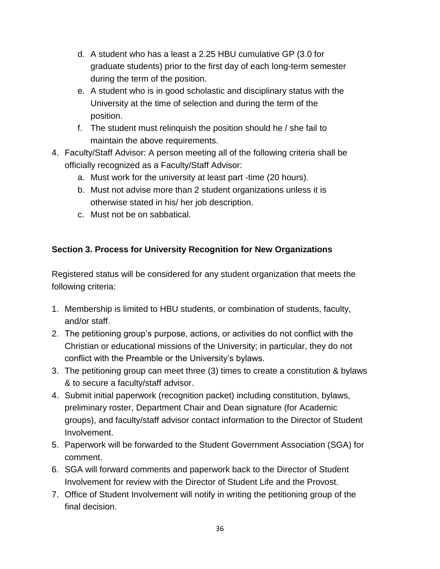- d. A student who has a least a 2.25 HBU cumulative GP (3.0 for graduate students) prior to the first day of each long-term semester during the term of the position.
- e. A student who is in good scholastic and disciplinary status with the University at the time of selection and during the term of the position.
- f. The student must relinquish the position should he / she fail to maintain the above requirements.
- 4. Faculty/Staff Advisor: A person meeting all of the following criteria shall be officially recognized as a Faculty/Staff Advisor:
	- a. Must work for the university at least part -time (20 hours).
	- b. Must not advise more than 2 student organizations unless it is otherwise stated in his/ her job description.
	- c. Must not be on sabbatical.

## **Section 3. Process for University Recognition for New Organizations**

Registered status will be considered for any student organization that meets the following criteria:

- 1. Membership is limited to HBU students, or combination of students, faculty, and/or staff.
- 2. The petitioning group's purpose, actions, or activities do not conflict with the Christian or educational missions of the University; in particular, they do not conflict with the Preamble or the University's bylaws.
- 3. The petitioning group can meet three (3) times to create a constitution & bylaws & to secure a faculty/staff advisor.
- 4. Submit initial paperwork (recognition packet) including constitution, bylaws, preliminary roster, Department Chair and Dean signature (for Academic groups), and faculty/staff advisor contact information to the Director of Student Involvement.
- 5. Paperwork will be forwarded to the Student Government Association (SGA) for comment.
- 6. SGA will forward comments and paperwork back to the Director of Student Involvement for review with the Director of Student Life and the Provost.
- 7. Office of Student Involvement will notify in writing the petitioning group of the final decision.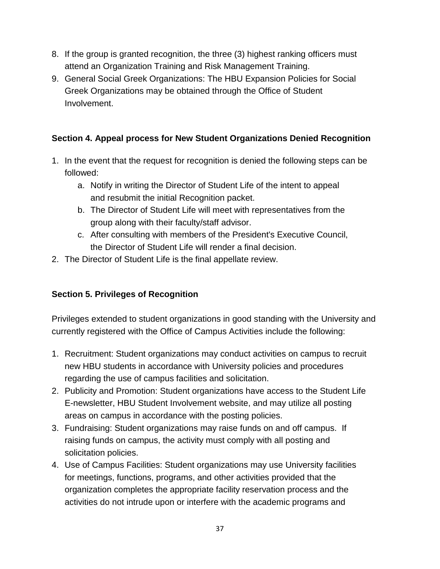- 8. If the group is granted recognition, the three (3) highest ranking officers must attend an Organization Training and Risk Management Training.
- 9. General Social Greek Organizations: The HBU Expansion Policies for Social Greek Organizations may be obtained through the Office of Student Involvement.

### **Section 4. Appeal process for New Student Organizations Denied Recognition**

- 1. In the event that the request for recognition is denied the following steps can be followed:
	- a. Notify in writing the Director of Student Life of the intent to appeal and resubmit the initial Recognition packet.
	- b. The Director of Student Life will meet with representatives from the group along with their faculty/staff advisor.
	- c. After consulting with members of the President's Executive Council, the Director of Student Life will render a final decision.
- 2. The Director of Student Life is the final appellate review.

### **Section 5. Privileges of Recognition**

Privileges extended to student organizations in good standing with the University and currently registered with the Office of Campus Activities include the following:

- 1. Recruitment: Student organizations may conduct activities on campus to recruit new HBU students in accordance with University policies and procedures regarding the use of campus facilities and solicitation.
- 2. Publicity and Promotion: Student organizations have access to the Student Life E-newsletter, HBU Student Involvement website, and may utilize all posting areas on campus in accordance with the posting policies.
- 3. Fundraising: Student organizations may raise funds on and off campus. If raising funds on campus, the activity must comply with all posting and solicitation policies.
- 4. Use of Campus Facilities: Student organizations may use University facilities for meetings, functions, programs, and other activities provided that the organization completes the appropriate facility reservation process and the activities do not intrude upon or interfere with the academic programs and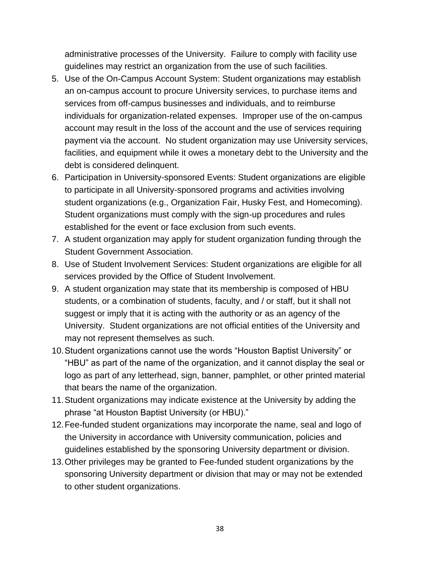administrative processes of the University. Failure to comply with facility use guidelines may restrict an organization from the use of such facilities.

- 5. Use of the On-Campus Account System: Student organizations may establish an on-campus account to procure University services, to purchase items and services from off-campus businesses and individuals, and to reimburse individuals for organization-related expenses. Improper use of the on-campus account may result in the loss of the account and the use of services requiring payment via the account. No student organization may use University services, facilities, and equipment while it owes a monetary debt to the University and the debt is considered delinquent.
- 6. Participation in University-sponsored Events: Student organizations are eligible to participate in all University-sponsored programs and activities involving student organizations (e.g., Organization Fair, Husky Fest, and Homecoming). Student organizations must comply with the sign-up procedures and rules established for the event or face exclusion from such events.
- 7. A student organization may apply for student organization funding through the Student Government Association.
- 8. Use of Student Involvement Services: Student organizations are eligible for all services provided by the Office of Student Involvement.
- 9. A student organization may state that its membership is composed of HBU students, or a combination of students, faculty, and / or staff, but it shall not suggest or imply that it is acting with the authority or as an agency of the University. Student organizations are not official entities of the University and may not represent themselves as such.
- 10.Student organizations cannot use the words "Houston Baptist University" or "HBU" as part of the name of the organization, and it cannot display the seal or logo as part of any letterhead, sign, banner, pamphlet, or other printed material that bears the name of the organization.
- 11.Student organizations may indicate existence at the University by adding the phrase "at Houston Baptist University (or HBU)."
- 12.Fee-funded student organizations may incorporate the name, seal and logo of the University in accordance with University communication, policies and guidelines established by the sponsoring University department or division.
- 13.Other privileges may be granted to Fee-funded student organizations by the sponsoring University department or division that may or may not be extended to other student organizations.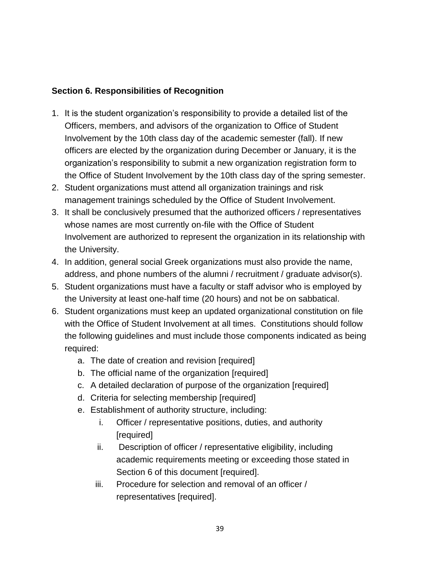#### **Section 6. Responsibilities of Recognition**

- 1. It is the student organization's responsibility to provide a detailed list of the Officers, members, and advisors of the organization to Office of Student Involvement by the 10th class day of the academic semester (fall). If new officers are elected by the organization during December or January, it is the organization's responsibility to submit a new organization registration form to the Office of Student Involvement by the 10th class day of the spring semester.
- 2. Student organizations must attend all organization trainings and risk management trainings scheduled by the Office of Student Involvement.
- 3. It shall be conclusively presumed that the authorized officers / representatives whose names are most currently on-file with the Office of Student Involvement are authorized to represent the organization in its relationship with the University.
- 4. In addition, general social Greek organizations must also provide the name, address, and phone numbers of the alumni / recruitment / graduate advisor(s).
- 5. Student organizations must have a faculty or staff advisor who is employed by the University at least one-half time (20 hours) and not be on sabbatical.
- 6. Student organizations must keep an updated organizational constitution on file with the Office of Student Involvement at all times. Constitutions should follow the following guidelines and must include those components indicated as being required:
	- a. The date of creation and revision [required]
	- b. The official name of the organization [required]
	- c. A detailed declaration of purpose of the organization [required]
	- d. Criteria for selecting membership [required]
	- e. Establishment of authority structure, including:
		- i. Officer / representative positions, duties, and authority [required]
		- ii. Description of officer / representative eligibility, including academic requirements meeting or exceeding those stated in Section 6 of this document [required].
		- iii. Procedure for selection and removal of an officer / representatives [required].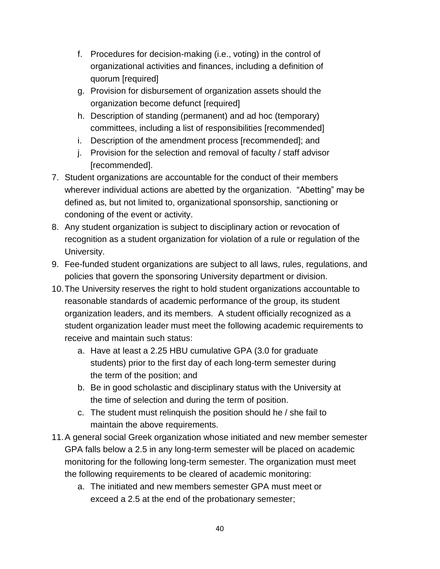- f. Procedures for decision-making (i.e., voting) in the control of organizational activities and finances, including a definition of quorum [required]
- g. Provision for disbursement of organization assets should the organization become defunct [required]
- h. Description of standing (permanent) and ad hoc (temporary) committees, including a list of responsibilities [recommended]
- i. Description of the amendment process [recommended]; and
- j. Provision for the selection and removal of faculty / staff advisor [recommended].
- 7. Student organizations are accountable for the conduct of their members wherever individual actions are abetted by the organization. "Abetting" may be defined as, but not limited to, organizational sponsorship, sanctioning or condoning of the event or activity.
- 8. Any student organization is subject to disciplinary action or revocation of recognition as a student organization for violation of a rule or regulation of the University.
- 9. Fee-funded student organizations are subject to all laws, rules, regulations, and policies that govern the sponsoring University department or division.
- 10.The University reserves the right to hold student organizations accountable to reasonable standards of academic performance of the group, its student organization leaders, and its members. A student officially recognized as a student organization leader must meet the following academic requirements to receive and maintain such status:
	- a. Have at least a 2.25 HBU cumulative GPA (3.0 for graduate students) prior to the first day of each long-term semester during the term of the position; and
	- b. Be in good scholastic and disciplinary status with the University at the time of selection and during the term of position.
	- c. The student must relinquish the position should he / she fail to maintain the above requirements.
- 11.A general social Greek organization whose initiated and new member semester GPA falls below a 2.5 in any long-term semester will be placed on academic monitoring for the following long-term semester. The organization must meet the following requirements to be cleared of academic monitoring:
	- a. The initiated and new members semester GPA must meet or exceed a 2.5 at the end of the probationary semester;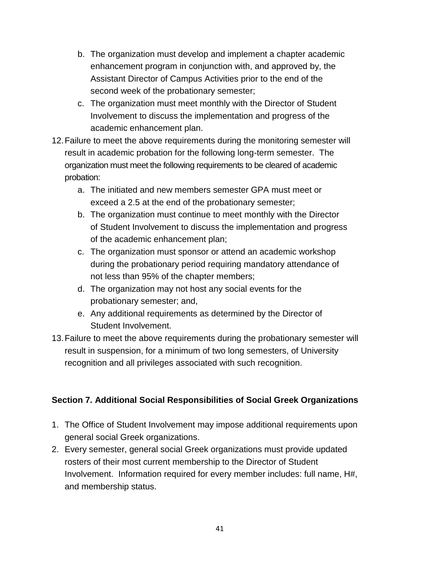- b. The organization must develop and implement a chapter academic enhancement program in conjunction with, and approved by, the Assistant Director of Campus Activities prior to the end of the second week of the probationary semester;
- c. The organization must meet monthly with the Director of Student Involvement to discuss the implementation and progress of the academic enhancement plan.
- 12.Failure to meet the above requirements during the monitoring semester will result in academic probation for the following long-term semester. The organization must meet the following requirements to be cleared of academic probation:
	- a. The initiated and new members semester GPA must meet or exceed a 2.5 at the end of the probationary semester;
	- b. The organization must continue to meet monthly with the Director of Student Involvement to discuss the implementation and progress of the academic enhancement plan;
	- c. The organization must sponsor or attend an academic workshop during the probationary period requiring mandatory attendance of not less than 95% of the chapter members;
	- d. The organization may not host any social events for the probationary semester; and,
	- e. Any additional requirements as determined by the Director of Student Involvement.
- 13.Failure to meet the above requirements during the probationary semester will result in suspension, for a minimum of two long semesters, of University recognition and all privileges associated with such recognition.

### **Section 7. Additional Social Responsibilities of Social Greek Organizations**

- 1. The Office of Student Involvement may impose additional requirements upon general social Greek organizations.
- 2. Every semester, general social Greek organizations must provide updated rosters of their most current membership to the Director of Student Involvement. Information required for every member includes: full name, H#, and membership status.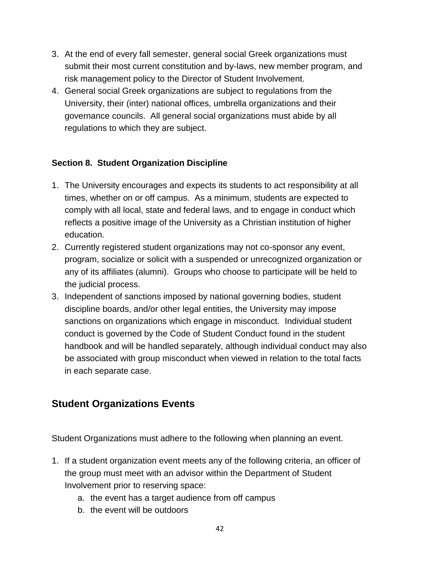- 3. At the end of every fall semester, general social Greek organizations must submit their most current constitution and by-laws, new member program, and risk management policy to the Director of Student Involvement.
- 4. General social Greek organizations are subject to regulations from the University, their (inter) national offices, umbrella organizations and their governance councils. All general social organizations must abide by all regulations to which they are subject.

### **Section 8. Student Organization Discipline**

- 1. The University encourages and expects its students to act responsibility at all times, whether on or off campus. As a minimum, students are expected to comply with all local, state and federal laws, and to engage in conduct which reflects a positive image of the University as a Christian institution of higher education.
- 2. Currently registered student organizations may not co-sponsor any event, program, socialize or solicit with a suspended or unrecognized organization or any of its affiliates (alumni). Groups who choose to participate will be held to the judicial process.
- 3. Independent of sanctions imposed by national governing bodies, student discipline boards, and/or other legal entities, the University may impose sanctions on organizations which engage in misconduct. Individual student conduct is governed by the Code of Student Conduct found in the student handbook and will be handled separately, although individual conduct may also be associated with group misconduct when viewed in relation to the total facts in each separate case.

# **Student Organizations Events**

Student Organizations must adhere to the following when planning an event.

- 1. If a student organization event meets any of the following criteria, an officer of the group must meet with an advisor within the Department of Student Involvement prior to reserving space:
	- a. the event has a target audience from off campus
	- b. the event will be outdoors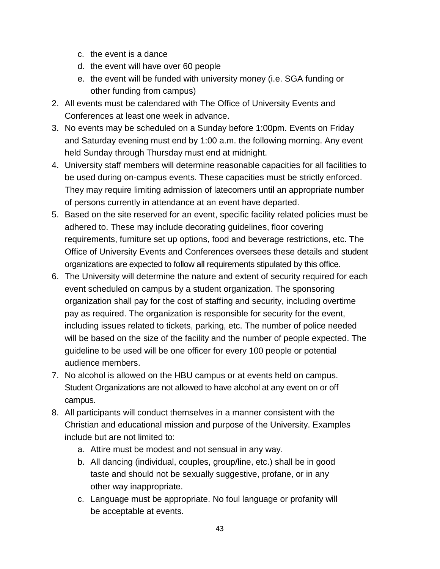- c. the event is a dance
- d. the event will have over 60 people
- e. the event will be funded with university money (i.e. SGA funding or other funding from campus)
- 2. All events must be calendared with The Office of University Events and Conferences at least one week in advance.
- 3. No events may be scheduled on a Sunday before 1:00pm. Events on Friday and Saturday evening must end by 1:00 a.m. the following morning. Any event held Sunday through Thursday must end at midnight.
- 4. University staff members will determine reasonable capacities for all facilities to be used during on-campus events. These capacities must be strictly enforced. They may require limiting admission of latecomers until an appropriate number of persons currently in attendance at an event have departed.
- 5. Based on the site reserved for an event, specific facility related policies must be adhered to. These may include decorating guidelines, floor covering requirements, furniture set up options, food and beverage restrictions, etc. The Office of University Events and Conferences oversees these details and student organizations are expected to follow all requirements stipulated by this office.
- 6. The University will determine the nature and extent of security required for each event scheduled on campus by a student organization. The sponsoring organization shall pay for the cost of staffing and security, including overtime pay as required. The organization is responsible for security for the event, including issues related to tickets, parking, etc. The number of police needed will be based on the size of the facility and the number of people expected. The guideline to be used will be one officer for every 100 people or potential audience members.
- 7. No alcohol is allowed on the HBU campus or at events held on campus. Student Organizations are not allowed to have alcohol at any event on or off campus.
- 8. All participants will conduct themselves in a manner consistent with the Christian and educational mission and purpose of the University. Examples include but are not limited to:
	- a. Attire must be modest and not sensual in any way.
	- b. All dancing (individual, couples, group/line, etc.) shall be in good taste and should not be sexually suggestive, profane, or in any other way inappropriate.
	- c. Language must be appropriate. No foul language or profanity will be acceptable at events.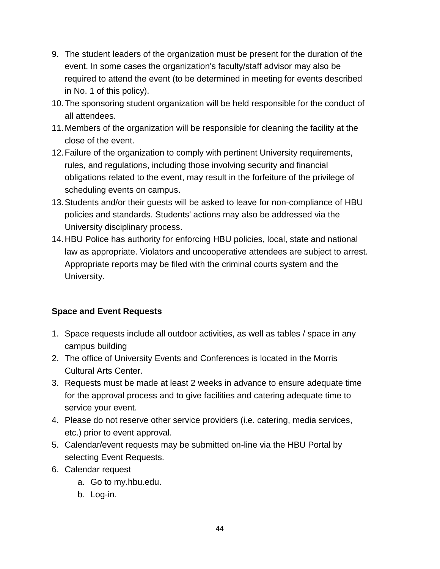- 9. The student leaders of the organization must be present for the duration of the event. In some cases the organization's faculty/staff advisor may also be required to attend the event (to be determined in meeting for events described in No. 1 of this policy).
- 10.The sponsoring student organization will be held responsible for the conduct of all attendees.
- 11.Members of the organization will be responsible for cleaning the facility at the close of the event.
- 12.Failure of the organization to comply with pertinent University requirements, rules, and regulations, including those involving security and financial obligations related to the event, may result in the forfeiture of the privilege of scheduling events on campus.
- 13.Students and/or their guests will be asked to leave for non-compliance of HBU policies and standards. Students' actions may also be addressed via the University disciplinary process.
- 14.HBU Police has authority for enforcing HBU policies, local, state and national law as appropriate. Violators and uncooperative attendees are subject to arrest. Appropriate reports may be filed with the criminal courts system and the University.

### **Space and Event Requests**

- 1. Space requests include all outdoor activities, as well as tables / space in any campus building
- 2. The office of University Events and Conferences is located in the Morris Cultural Arts Center.
- 3. Requests must be made at least 2 weeks in advance to ensure adequate time for the approval process and to give facilities and catering adequate time to service your event.
- 4. Please do not reserve other service providers (i.e. catering, media services, etc.) prior to event approval.
- 5. Calendar/event requests may be submitted on-line via the HBU Portal by selecting Event Requests.
- 6. Calendar request
	- a. Go to my.hbu.edu.
	- b. Log-in.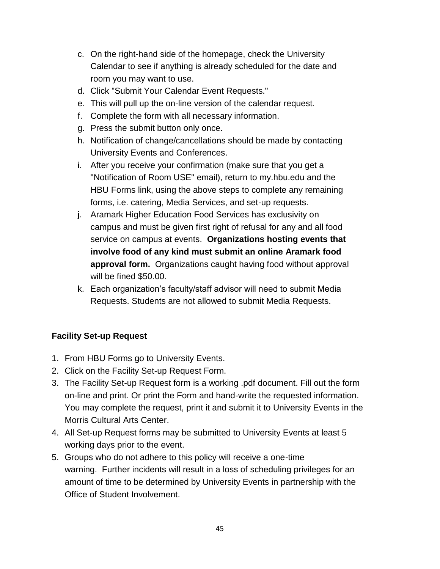- c. On the right-hand side of the homepage, check the University Calendar to see if anything is already scheduled for the date and room you may want to use.
- d. Click "Submit Your Calendar Event Requests."
- e. This will pull up the on-line version of the calendar request.
- f. Complete the form with all necessary information.
- g. Press the submit button only once.
- h. Notification of change/cancellations should be made by contacting University Events and Conferences.
- i. After you receive your confirmation (make sure that you get a "Notification of Room USE" email), return to my.hbu.edu and the HBU Forms link, using the above steps to complete any remaining forms, i.e. catering, Media Services, and set-up requests.
- j. Aramark Higher Education Food Services has exclusivity on campus and must be given first right of refusal for any and all food service on campus at events. **Organizations hosting events that involve food of any kind must submit an online Aramark food approval form.** Organizations caught having food without approval will be fined \$50.00.
- k. Each organization's faculty/staff advisor will need to submit Media Requests. Students are not allowed to submit Media Requests.

#### **Facility Set-up Request**

- 1. From HBU Forms go to University Events.
- 2. Click on the Facility Set-up Request Form.
- 3. The Facility Set-up Request form is a working .pdf document. Fill out the form on-line and print. Or print the Form and hand-write the requested information. You may complete the request, print it and submit it to University Events in the Morris Cultural Arts Center.
- 4. All Set-up Request forms may be submitted to University Events at least 5 working days prior to the event.
- 5. Groups who do not adhere to this policy will receive a one-time warning. Further incidents will result in a loss of scheduling privileges for an amount of time to be determined by University Events in partnership with the Office of Student Involvement.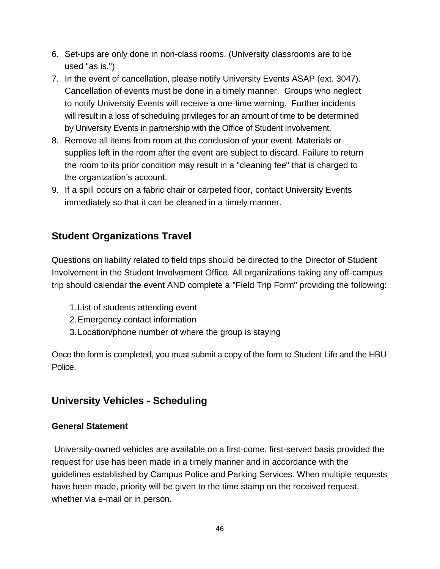- 6. Set-ups are only done in non-class rooms. (University classrooms are to be used "as is.")
- 7. In the event of cancellation, please notify University Events ASAP (ext. 3047). Cancellation of events must be done in a timely manner. Groups who neglect to notify University Events will receive a one-time warning. Further incidents will result in a loss of scheduling privileges for an amount of time to be determined by University Events in partnership with the Office of Student Involvement.
- 8. Remove all items from room at the conclusion of your event. Materials or supplies left in the room after the event are subject to discard. Failure to return the room to its prior condition may result in a "cleaning fee" that is charged to the organization's account.
- 9. If a spill occurs on a fabric chair or carpeted floor, contact University Events immediately so that it can be cleaned in a timely manner.

### **Student Organizations Travel**

Questions on liability related to field trips should be directed to the Director of Student Involvement in the Student Involvement Office. All organizations taking any off-campus trip should calendar the event AND complete a "Field Trip Form" providing the following:

- 1.List of students attending event
- 2.Emergency contact information
- 3.Location/phone number of where the group is staying

Once the form is completed, you must submit a copy of the form to Student Life and the HBU Police.

### **University Vehicles - Scheduling**

#### **General Statement**

University-owned vehicles are available on a first-come, first-served basis provided the request for use has been made in a timely manner and in accordance with the guidelines established by Campus Police and Parking Services. When multiple requests have been made, priority will be given to the time stamp on the received request, whether via e-mail or in person.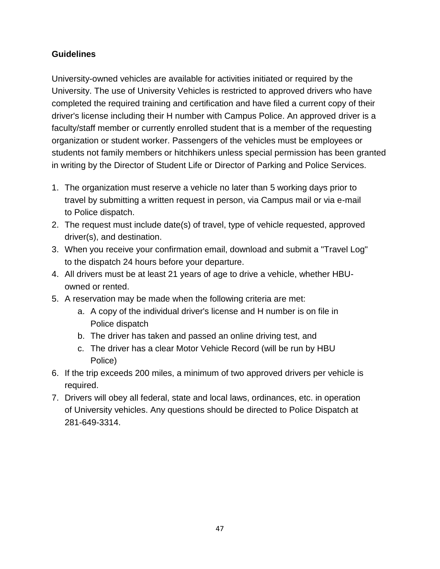### **Guidelines**

University-owned vehicles are available for activities initiated or required by the University. The use of University Vehicles is restricted to approved drivers who have completed the required training and certification and have filed a current copy of their driver's license including their H number with Campus Police. An approved driver is a faculty/staff member or currently enrolled student that is a member of the requesting organization or student worker. Passengers of the vehicles must be employees or students not family members or hitchhikers unless special permission has been granted in writing by the Director of Student Life or Director of Parking and Police Services.

- 1. The organization must reserve a vehicle no later than 5 working days prior to travel by submitting a written request in person, via Campus mail or via e-mail to Police dispatch.
- 2. The request must include date(s) of travel, type of vehicle requested, approved driver(s), and destination.
- 3. When you receive your confirmation email, download and submit a "Travel Log" to the dispatch 24 hours before your departure.
- 4. All drivers must be at least 21 years of age to drive a vehicle, whether HBUowned or rented.
- 5. A reservation may be made when the following criteria are met:
	- a. A copy of the individual driver's license and H number is on file in Police dispatch
	- b. The driver has taken and passed an online driving test, and
	- c. The driver has a clear Motor Vehicle Record (will be run by HBU Police)
- 6. If the trip exceeds 200 miles, a minimum of two approved drivers per vehicle is required.
- 7. Drivers will obey all federal, state and local laws, ordinances, etc. in operation of University vehicles. Any questions should be directed to Police Dispatch at 281-649-3314.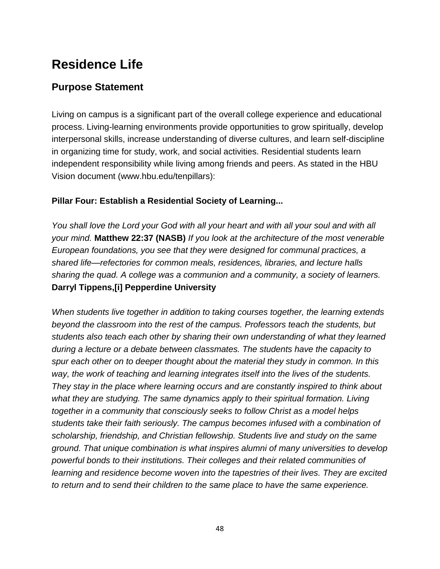# **Residence Life**

### **Purpose Statement**

Living on campus is a significant part of the overall college experience and educational process. Living-learning environments provide opportunities to grow spiritually, develop interpersonal skills, increase understanding of diverse cultures, and learn self-discipline in organizing time for study, work, and social activities. Residential students learn independent responsibility while living among friends and peers. As stated in the HBU Vision document [\(www.hbu.edu/tenpillars\)](https://hbu.edu/About-HBU/General-Information/The-Ten-Pillars.aspx):

### **[Pillar Four: Establish a Residential Society of Learning...](https://hbu.edu/About-HBU/General-Information/The-Ten-Pillars/A-Residential-Society.aspx)**

*You shall love the Lord your God with all your heart and with all your soul and with all your mind.* **Matthew 22:37 (NASB)** *If you look at the architecture of the most venerable European foundations, you see that they were designed for communal practices, a shared life—refectories for common meals, residences, libraries, and lecture halls sharing the quad. A college was a communion and a community, a society of learners.*  **Darryl Tippens,[i] Pepperdine University** 

*When students live together in addition to taking courses together, the learning extends beyond the classroom into the rest of the campus. Professors teach the students, but students also teach each other by sharing their own understanding of what they learned during a lecture or a debate between classmates. The students have the capacity to spur each other on to deeper thought about the material they study in common. In this way, the work of teaching and learning integrates itself into the lives of the students. They stay in the place where learning occurs and are constantly inspired to think about*  what they are studying. The same dynamics apply to their spiritual formation. Living *together in a community that consciously seeks to follow Christ as a model helps students take their faith seriously. The campus becomes infused with a combination of scholarship, friendship, and Christian fellowship. Students live and study on the same ground. That unique combination is what inspires alumni of many universities to develop powerful bonds to their institutions. Their colleges and their related communities of learning and residence become woven into the tapestries of their lives. They are excited to return and to send their children to the same place to have the same experience.*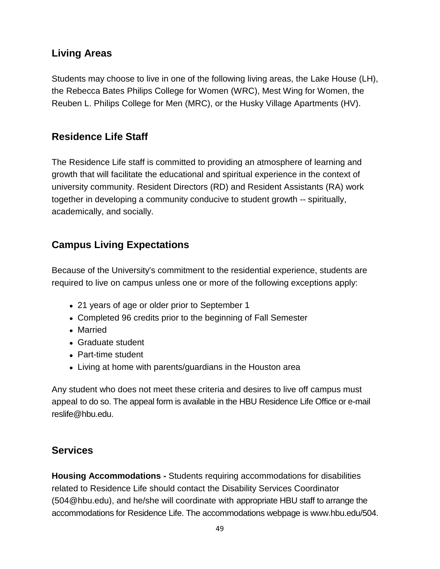# **Living Areas**

Students may choose to live in one of the following living areas, the [Lake House](https://hbu.edu/Students-Alumni/Student-Information/Residence-Life/Residence-Housing/The-Lake-House.aspx) (LH), the [Rebecca Bates Philips College for Women](https://hbu.edu/Students-Alumni/Student-Information/Residence-Life/Residence-Housing/Residence-Colleges.aspx) (WRC), [Mest Wing for Women,](https://hbu.edu/Students-Alumni/Student-Information/Residence-Life/Residence-Housing/Residence-Colleges.aspx) the [Reuben L. Philips College for Men \(](https://hbu.edu/Students-Alumni/Student-Information/Residence-Life/Residence-Housing/Residence-Colleges.aspx)MRC), or the [Husky Village Apartments \(](https://hbu.edu/Students-Alumni/Student-Information/Residence-Life/Residence-Housing/Husky-Village.aspx)HV).

# **Residence Life Staff**

The Residence Life staff is committed to providing an atmosphere of learning and growth that will facilitate the educational and spiritual experience in the context of university community. Resident Directors (RD) and Resident Assistants (RA) work together in developing a community conducive to student growth -- spiritually, academically, and socially.

# **Campus Living Expectations**

Because of the University's commitment to the residential experience, students are required to live on campus unless one or more of the following exceptions apply:

- 21 years of age or older prior to September 1
- Completed 96 credits prior to the beginning of Fall Semester
- Married
- Graduate student
- Part-time student
- Living at home with parents/guardians in the Houston area

Any student who does not meet these criteria and desires to live off campus must appeal to do so. The appeal form is available in the HBU Residence Life Office or e-mail [reslife@hbu.edu.](mailto:reslife@hbu.edu)

# **Services**

**Housing Accommodations -** Students requiring accommodations for disabilities related to Residence Life should contact the Disability Services Coordinator (504@hbu.edu), and he/she will coordinate with appropriate HBU staff to arrange the accommodations for Residence Life. The accommodations webpage is [www.hbu.edu/504.](http://www.hbu.edu/504)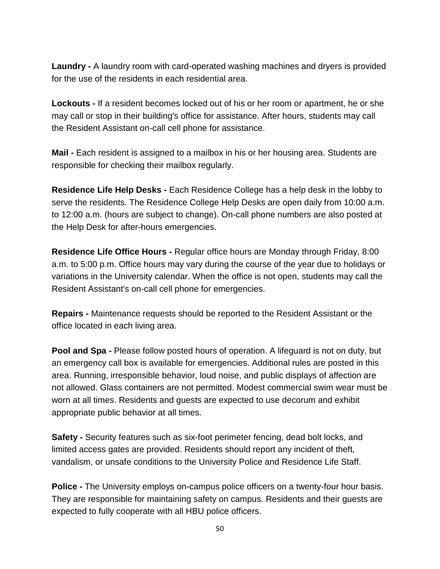**Laundry -** A laundry room with card-operated washing machines and dryers is provided for the use of the residents in each residential area.

**Lockouts -** If a resident becomes locked out of his or her room or apartment, he or she may call or stop in their building's office for assistance. After hours, students may call the Resident Assistant on-call cell phone for assistance.

**Mail -** Each resident is assigned to a mailbox in his or her housing area. Students are responsible for checking their mailbox regularly.

**Residence Life Help Desks -** Each Residence College has a help desk in the lobby to serve the residents. The Residence College Help Desks are open daily from 10:00 a.m. to 12:00 a.m. (hours are subject to change). On-call phone numbers are also posted at the Help Desk for after-hours emergencies.

**Residence Life Office Hours -** Regular office hours are Monday through Friday, 8:00 a.m. to 5:00 p.m. Office hours may vary during the course of the year due to holidays or variations in the University calendar. When the office is not open, students may call the Resident Assistant's on-call cell phone for emergencies.

**Repairs -** Maintenance requests should be reported to the Resident Assistant or the office located in each living area.

**Pool and Spa -** Please follow posted hours of operation. A lifeguard is not on duty, but an emergency call box is available for emergencies. Additional rules are posted in this area. Running, irresponsible behavior, loud noise, and public displays of affection are not allowed. Glass containers are not permitted. Modest commercial swim wear must be worn at all times. Residents and guests are expected to use decorum and exhibit appropriate public behavior at all times.

**Safety -** Security features such as six-foot perimeter fencing, dead bolt locks, and limited access gates are provided. Residents should report any incident of theft, vandalism, or unsafe conditions to the University Police and Residence Life Staff.

**Police -** The University employs on-campus police officers on a twenty-four hour basis. They are responsible for maintaining safety on campus. Residents and their guests are expected to fully cooperate with all HBU police officers.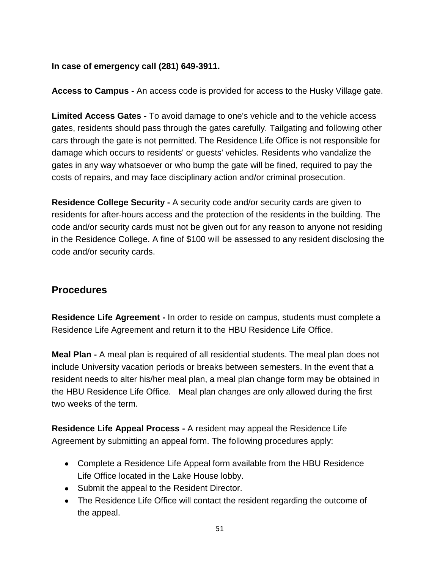#### **In case of emergency call (281) 649-3911.**

**Access to Campus -** An access code is provided for access to the Husky Village gate.

**Limited Access Gates -** To avoid damage to one's vehicle and to the vehicle access gates, residents should pass through the gates carefully. Tailgating and following other cars through the gate is not permitted. The Residence Life Office is not responsible for damage which occurs to residents' or guests' vehicles. Residents who vandalize the gates in any way whatsoever or who bump the gate will be fined, required to pay the costs of repairs, and may face disciplinary action and/or criminal prosecution.

**Residence College Security -** A security code and/or security cards are given to residents for after-hours access and the protection of the residents in the building. The code and/or security cards must not be given out for any reason to anyone not residing in the Residence College. A fine of \$100 will be assessed to any resident disclosing the code and/or security cards.

### **Procedures**

**Residence Life Agreement -** In order to reside on campus, students must complete a [Residence Life Agreement](https://hbu.edu/Students-Alumni/Student-Information/Residence-Life/Residence-Housing/Housing-Details/Housing-Agreement.aspx) and return it to the [HBU Residence Life Office.](https://hbu.edu/Students-Alumni/Student-Information/Residence-Life/Residence-Housing/Contact.aspx)

**Meal Plan -** A [meal plan](https://hbu.edu/Students-Alumni/Student-Information/Residence-Life/Residence-Housing/Housing-Details/Dining-Memberships.aspx) is required of all residential students. The meal plan does not include University vacation periods or breaks between semesters. In the event that a resident needs to alter his/her meal plan, a meal plan change form may be obtained in the HBU Residence Life Office. Meal plan changes are only allowed during the first two weeks of the term.

**Residence Life Appeal Process -** A resident may appeal the Residence Life Agreement by submitting an appeal form. The following procedures apply:

- Complete a Residence Life Appeal form available from the HBU Residence Life Office located in the Lake House lobby.
- Submit the appeal to the Resident Director.
- The Residence Life Office will contact the resident regarding the outcome of the appeal.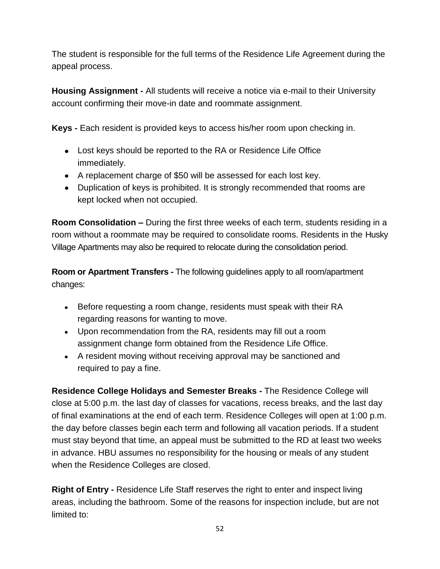The student is responsible for the full terms of the Residence Life Agreement during the appeal process.

**Housing Assignment -** All students will receive a notice via e-mail to their University account confirming their move-in date and roommate assignment.

**Keys -** Each resident is provided keys to access his/her room upon checking in.

- Lost keys should be reported to the RA or Residence Life Office immediately.
- A replacement charge of \$50 will be assessed for each lost key.
- Duplication of keys is prohibited. It is strongly recommended that rooms are kept locked when not occupied.

**Room Consolidation –** During the first three weeks of each term, students residing in a room without a roommate may be required to consolidate rooms. Residents in the Husky Village Apartments may also be required to relocate during the consolidation period.

**Room or Apartment Transfers -** The following guidelines apply to all room/apartment changes:

- Before requesting a room change, residents must speak with their RA regarding reasons for wanting to move.
- Upon recommendation from the RA, residents may fill out a room assignment change form obtained from the Residence Life Office.
- A resident moving without receiving approval may be sanctioned and required to pay a fine.

**Residence College Holidays and Semester Breaks -** The Residence College will close at 5:00 p.m. the last day of classes for vacations, recess breaks, and the last day of final examinations at the end of each term. Residence Colleges will open at 1:00 p.m. the day before classes begin each term and following all vacation periods. If a student must stay beyond that time, an appeal must be submitted to the RD at least two weeks in advance. HBU assumes no responsibility for the housing or meals of any student when the Residence Colleges are closed.

**Right of Entry -** Residence Life Staff reserves the right to enter and inspect living areas, including the bathroom. Some of the reasons for inspection include, but are not limited to: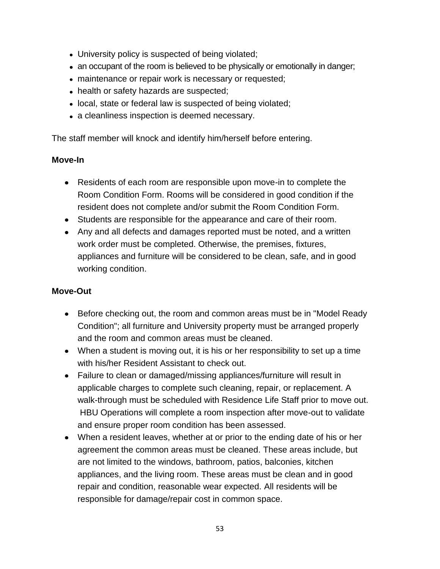- University policy is suspected of being violated;
- an occupant of the room is believed to be physically or emotionally in danger;
- maintenance or repair work is necessary or requested;
- health or safety hazards are suspected;
- local, state or federal law is suspected of being violated;
- a cleanliness inspection is deemed necessary.

The staff member will knock and identify him/herself before entering.

#### **Move-In**

- Residents of each room are responsible upon move-in to complete the Room Condition Form. Rooms will be considered in good condition if the resident does not complete and/or submit the Room Condition Form.
- Students are responsible for the appearance and care of their room.
- Any and all defects and damages reported must be noted, and a written work order must be completed. Otherwise, the premises, fixtures, appliances and furniture will be considered to be clean, safe, and in good working condition.

#### **Move-Out**

- Before checking out, the room and common areas must be in "Model Ready" Condition"; all furniture and University property must be arranged properly and the room and common areas must be cleaned.
- When a student is moving out, it is his or her responsibility to set up a time with his/her Resident Assistant to check out.
- Failure to clean or damaged/missing appliances/furniture will result in applicable charges to complete such cleaning, repair, or replacement. A walk-through must be scheduled with Residence Life Staff prior to move out. HBU Operations will complete a room inspection after move-out to validate and ensure proper room condition has been assessed.
- When a resident leaves, whether at or prior to the ending date of his or her agreement the common areas must be cleaned. These areas include, but are not limited to the windows, bathroom, patios, balconies, kitchen appliances, and the living room. These areas must be clean and in good repair and condition, reasonable wear expected. All residents will be responsible for damage/repair cost in common space.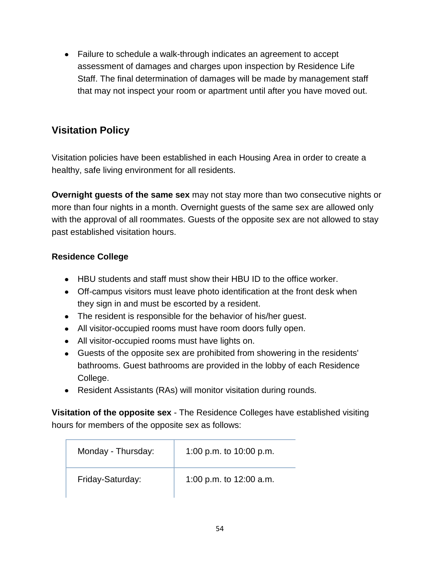Failure to schedule a walk-through indicates an agreement to accept assessment of damages and charges upon inspection by Residence Life Staff. The final determination of damages will be made by management staff that may not inspect your room or apartment until after you have moved out.

# **Visitation Policy**

Visitation policies have been established in each Housing Area in order to create a healthy, safe living environment for all residents.

**Overnight guests of the same sex** may not stay more than two consecutive nights or more than four nights in a month. Overnight guests of the same sex are allowed only with the approval of all roommates. Guests of the opposite sex are not allowed to stay past established visitation hours.

### **Residence College**

- HBU students and staff must show their HBU ID to the office worker.
- Off-campus visitors must leave photo identification at the front desk when they sign in and must be escorted by a resident.
- The resident is responsible for the behavior of his/her guest.
- All visitor-occupied rooms must have room doors fully open.
- All visitor-occupied rooms must have lights on.
- Guests of the opposite sex are prohibited from showering in the residents' bathrooms. Guest bathrooms are provided in the lobby of each Residence College.
- Resident Assistants (RAs) will monitor visitation during rounds.

**Visitation of the opposite sex** - The Residence Colleges have established visiting hours for members of the opposite sex as follows:

| Monday - Thursday: | 1:00 p.m. to $10:00$ p.m. |
|--------------------|---------------------------|
| Friday-Saturday:   | 1:00 p.m. to $12:00$ a.m. |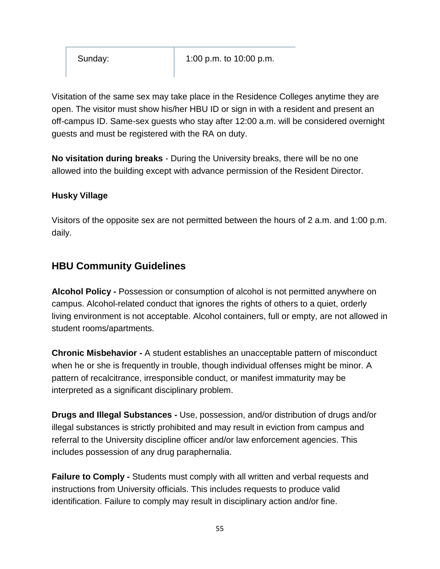Sunday: 1:00 p.m. to 10:00 p.m.

Visitation of the same sex may take place in the Residence Colleges anytime they are open. The visitor must show his/her HBU ID or sign in with a resident and present an off-campus ID. Same-sex guests who stay after 12:00 a.m. will be considered overnight guests and must be registered with the RA on duty.

**No visitation during breaks** - During the University breaks, there will be no one allowed into the building except with advance permission of the Resident Director.

#### **Husky Village**

Visitors of the opposite sex are not permitted between the hours of 2 a.m. and 1:00 p.m. daily.

### **HBU Community Guidelines**

**Alcohol Policy -** Possession or consumption of alcohol is not permitted anywhere on campus. Alcohol-related conduct that ignores the rights of others to a quiet, orderly living environment is not acceptable. Alcohol containers, full or empty, are not allowed in student rooms/apartments.

**Chronic Misbehavior -** A student establishes an unacceptable pattern of misconduct when he or she is frequently in trouble, though individual offenses might be minor. A pattern of recalcitrance, irresponsible conduct, or manifest immaturity may be interpreted as a significant disciplinary problem.

**Drugs and Illegal Substances -** Use, possession, and/or distribution of drugs and/or illegal substances is strictly prohibited and may result in eviction from campus and referral to the University discipline officer and/or law enforcement agencies. This includes possession of any drug paraphernalia.

**Failure to Comply -** Students must comply with all written and verbal requests and instructions from University officials. This includes requests to produce valid identification. Failure to comply may result in disciplinary action and/or fine.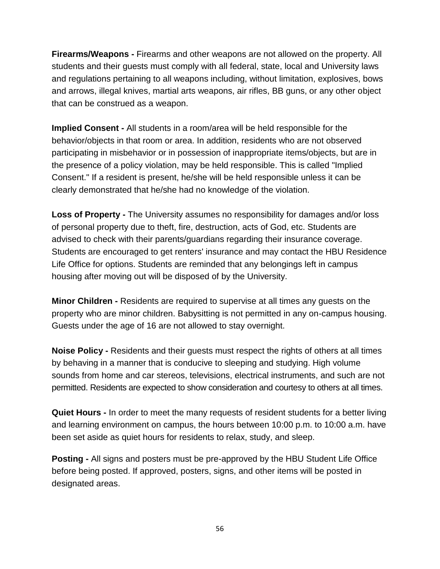**Firearms/Weapons -** Firearms and other weapons are not allowed on the property. All students and their guests must comply with all federal, state, local and University laws and regulations pertaining to all weapons including, without limitation, explosives, bows and arrows, illegal knives, martial arts weapons, air rifles, BB guns, or any other object that can be construed as a weapon.

**Implied Consent -** All students in a room/area will be held responsible for the behavior/objects in that room or area. In addition, residents who are not observed participating in misbehavior or in possession of inappropriate items/objects, but are in the presence of a policy violation, may be held responsible. This is called "Implied Consent." If a resident is present, he/she will be held responsible unless it can be clearly demonstrated that he/she had no knowledge of the violation.

**Loss of Property -** The University assumes no responsibility for damages and/or loss of personal property due to theft, fire, destruction, acts of God, etc. Students are advised to check with their parents/guardians regarding their insurance coverage. Students are encouraged to get renters' insurance and may contact the HBU Residence Life Office for options. Students are reminded that any belongings left in campus housing after moving out will be disposed of by the University.

**Minor Children -** Residents are required to supervise at all times any guests on the property who are minor children. Babysitting is not permitted in any on-campus housing. Guests under the age of 16 are not allowed to stay overnight.

**Noise Policy -** Residents and their guests must respect the rights of others at all times by behaving in a manner that is conducive to sleeping and studying. High volume sounds from home and car stereos, televisions, electrical instruments, and such are not permitted. Residents are expected to show consideration and courtesy to others at all times.

**Quiet Hours -** In order to meet the many requests of resident students for a better living and learning environment on campus, the hours between 10:00 p.m. to 10:00 a.m. have been set aside as quiet hours for residents to relax, study, and sleep.

**Posting -** All signs and posters must be pre-approved by the HBU Student Life Office before being posted. If approved, posters, signs, and other items will be posted in designated areas.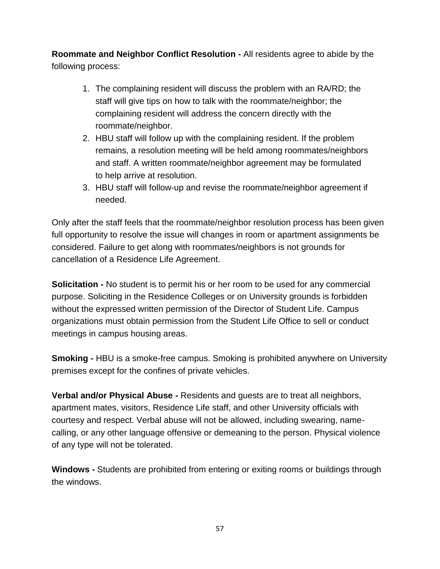**Roommate and Neighbor Conflict Resolution -** All residents agree to abide by the following process:

- 1. The complaining resident will discuss the problem with an RA/RD; the staff will give tips on how to talk with the roommate/neighbor; the complaining resident will address the concern directly with the roommate/neighbor.
- 2. HBU staff will follow up with the complaining resident. If the problem remains, a resolution meeting will be held among roommates/neighbors and staff. A written roommate/neighbor agreement may be formulated to help arrive at resolution.
- 3. HBU staff will follow-up and revise the roommate/neighbor agreement if needed.

Only after the staff feels that the roommate/neighbor resolution process has been given full opportunity to resolve the issue will changes in room or apartment assignments be considered. Failure to get along with roommates/neighbors is not grounds for cancellation of a Residence Life Agreement.

**Solicitation -** No student is to permit his or her room to be used for any commercial purpose. Soliciting in the Residence Colleges or on University grounds is forbidden without the expressed written permission of the Director of Student Life. Campus organizations must obtain permission from the Student Life Office to sell or conduct meetings in campus housing areas.

**Smoking -** HBU is a smoke-free campus. Smoking is prohibited anywhere on University premises except for the confines of private vehicles.

**Verbal and/or Physical Abuse -** Residents and guests are to treat all neighbors, apartment mates, visitors, Residence Life staff, and other University officials with courtesy and respect. Verbal abuse will not be allowed, including swearing, namecalling, or any other language offensive or demeaning to the person. Physical violence of any type will not be tolerated.

**Windows -** Students are prohibited from entering or exiting rooms or buildings through the windows.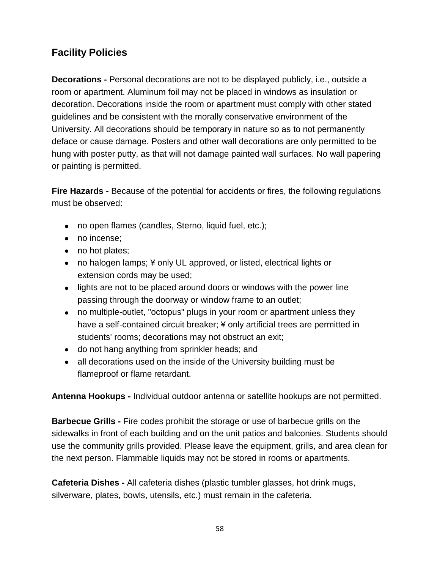# **Facility Policies**

**Decorations -** Personal decorations are not to be displayed publicly, i.e., outside a room or apartment. Aluminum foil may not be placed in windows as insulation or decoration. Decorations inside the room or apartment must comply with other stated guidelines and be consistent with the morally conservative environment of the University. All decorations should be temporary in nature so as to not permanently deface or cause damage. Posters and other wall decorations are only permitted to be hung with poster putty, as that will not damage painted wall surfaces. No wall papering or painting is permitted.

**Fire Hazards -** Because of the potential for accidents or fires, the following regulations must be observed:

- no open flames (candles, Sterno, liquid fuel, etc.);
- no incense:
- no hot plates:
- no halogen lamps; ¥ only UL approved, or listed, electrical lights or extension cords may be used;
- lights are not to be placed around doors or windows with the power line passing through the doorway or window frame to an outlet;
- no multiple-outlet, "octopus" plugs in your room or apartment unless they have a self-contained circuit breaker; ¥ only artificial trees are permitted in students' rooms; decorations may not obstruct an exit;
- do not hang anything from sprinkler heads; and
- all decorations used on the inside of the University building must be flameproof or flame retardant.

**Antenna Hookups -** Individual outdoor antenna or satellite hookups are not permitted.

**Barbecue Grills -** Fire codes prohibit the storage or use of barbecue grills on the sidewalks in front of each building and on the unit patios and balconies. Students should use the community grills provided. Please leave the equipment, grills, and area clean for the next person. Flammable liquids may not be stored in rooms or apartments.

**Cafeteria Dishes -** All cafeteria dishes (plastic tumbler glasses, hot drink mugs, silverware, plates, bowls, utensils, etc.) must remain in the cafeteria.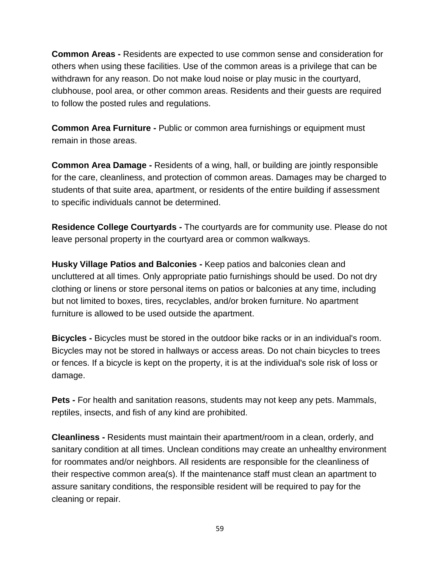**Common Areas -** Residents are expected to use common sense and consideration for others when using these facilities. Use of the common areas is a privilege that can be withdrawn for any reason. Do not make loud noise or play music in the courtyard, clubhouse, pool area, or other common areas. Residents and their guests are required to follow the posted rules and regulations.

**Common Area Furniture -** Public or common area furnishings or equipment must remain in those areas.

**Common Area Damage -** Residents of a wing, hall, or building are jointly responsible for the care, cleanliness, and protection of common areas. Damages may be charged to students of that suite area, apartment, or residents of the entire building if assessment to specific individuals cannot be determined.

**Residence College Courtyards -** The courtyards are for community use. Please do not leave personal property in the courtyard area or common walkways.

**Husky Village Patios and Balconies -** Keep patios and balconies clean and uncluttered at all times. Only appropriate patio furnishings should be used. Do not dry clothing or linens or store personal items on patios or balconies at any time, including but not limited to boxes, tires, recyclables, and/or broken furniture. No apartment furniture is allowed to be used outside the apartment.

**Bicycles -** Bicycles must be stored in the outdoor bike racks or in an individual's room. Bicycles may not be stored in hallways or access areas. Do not chain bicycles to trees or fences. If a bicycle is kept on the property, it is at the individual's sole risk of loss or damage.

**Pets -** For health and sanitation reasons, students may not keep any pets. Mammals, reptiles, insects, and fish of any kind are prohibited.

**Cleanliness -** Residents must maintain their apartment/room in a clean, orderly, and sanitary condition at all times. Unclean conditions may create an unhealthy environment for roommates and/or neighbors. All residents are responsible for the cleanliness of their respective common area(s). If the maintenance staff must clean an apartment to assure sanitary conditions, the responsible resident will be required to pay for the cleaning or repair.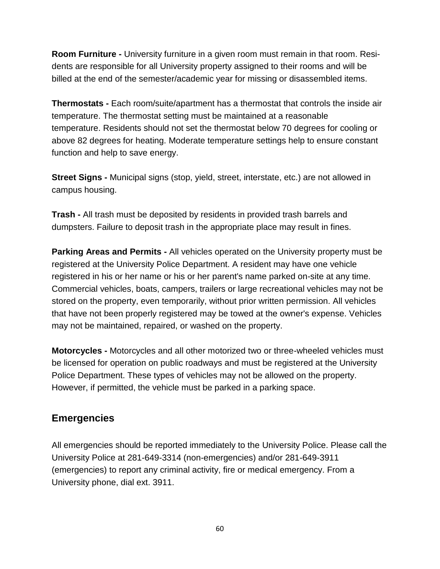**Room Furniture -** University furniture in a given room must remain in that room. Residents are responsible for all University property assigned to their rooms and will be billed at the end of the semester/academic year for missing or disassembled items.

**Thermostats -** Each room/suite/apartment has a thermostat that controls the inside air temperature. The thermostat setting must be maintained at a reasonable temperature. Residents should not set the thermostat below 70 degrees for cooling or above 82 degrees for heating. Moderate temperature settings help to ensure constant function and help to save energy.

**Street Signs -** Municipal signs (stop, yield, street, interstate, etc.) are not allowed in campus housing.

**Trash -** All trash must be deposited by residents in provided trash barrels and dumpsters. Failure to deposit trash in the appropriate place may result in fines.

**Parking Areas and Permits -** All vehicles operated on the University property must be registered at the University Police Department. A resident may have one vehicle registered in his or her name or his or her parent's name parked on-site at any time. Commercial vehicles, boats, campers, trailers or large recreational vehicles may not be stored on the property, even temporarily, without prior written permission. All vehicles that have not been properly registered may be towed at the owner's expense. Vehicles may not be maintained, repaired, or washed on the property.

**Motorcycles -** Motorcycles and all other motorized two or three-wheeled vehicles must be licensed for operation on public roadways and must be registered at the University Police Department. These types of vehicles may not be allowed on the property. However, if permitted, the vehicle must be parked in a parking space.

### **Emergencies**

All emergencies should be reported immediately to the University Police. Please call the University Police at 281-649-3314 (non-emergencies) and/or 281-649-3911 (emergencies) to report any criminal activity, fire or medical emergency. From a University phone, dial ext. 3911.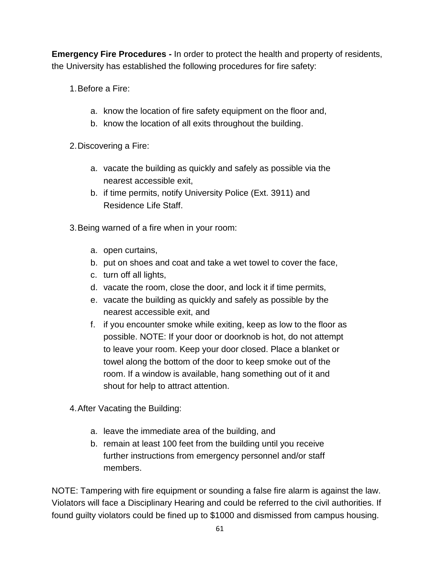**Emergency Fire Procedures -** In order to protect the health and property of residents, the University has established the following procedures for fire safety:

- 1.Before a Fire:
	- a. know the location of fire safety equipment on the floor and,
	- b. know the location of all exits throughout the building.
- 2.Discovering a Fire:
	- a. vacate the building as quickly and safely as possible via the nearest accessible exit,
	- b. if time permits, notify University Police (Ext. 3911) and Residence Life Staff.
- 3.Being warned of a fire when in your room:
	- a. open curtains,
	- b. put on shoes and coat and take a wet towel to cover the face,
	- c. turn off all lights,
	- d. vacate the room, close the door, and lock it if time permits,
	- e. vacate the building as quickly and safely as possible by the nearest accessible exit, and
	- f. if you encounter smoke while exiting, keep as low to the floor as possible. NOTE: If your door or doorknob is hot, do not attempt to leave your room. Keep your door closed. Place a blanket or towel along the bottom of the door to keep smoke out of the room. If a window is available, hang something out of it and shout for help to attract attention.
- 4.After Vacating the Building:
	- a. leave the immediate area of the building, and
	- b. remain at least 100 feet from the building until you receive further instructions from emergency personnel and/or staff members.

NOTE: Tampering with fire equipment or sounding a false fire alarm is against the law. Violators will face a Disciplinary Hearing and could be referred to the civil authorities. If found guilty violators could be fined up to \$1000 and dismissed from campus housing.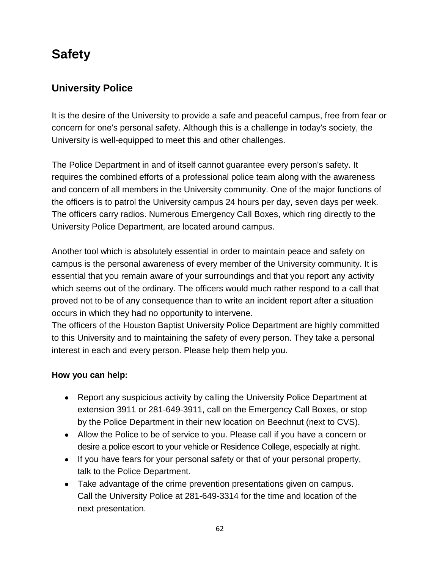# **Safety**

# **University Police**

It is the desire of the University to provide a safe and peaceful campus, free from fear or concern for one's personal safety. Although this is a challenge in today's society, the University is well-equipped to meet this and other challenges.

The Police Department in and of itself cannot guarantee every person's safety. It requires the combined efforts of a professional police team along with the awareness and concern of all members in the University community. One of the major functions of the officers is to patrol the University campus 24 hours per day, seven days per week. The officers carry radios. Numerous Emergency Call Boxes, which ring directly to the University Police Department, are located around campus.

Another tool which is absolutely essential in order to maintain peace and safety on campus is the personal awareness of every member of the University community. It is essential that you remain aware of your surroundings and that you report any activity which seems out of the ordinary. The officers would much rather respond to a call that proved not to be of any consequence than to write an incident report after a situation occurs in which they had no opportunity to intervene.

The officers of the Houston Baptist University Police Department are highly committed to this University and to maintaining the safety of every person. They take a personal interest in each and every person. Please help them help you.

### **How you can help:**

- Report any suspicious activity by calling the University Police Department at extension 3911 or 281-649-3911, call on the Emergency Call Boxes, or stop by the Police Department in their new location on Beechnut (next to CVS).
- Allow the Police to be of service to you. Please call if you have a concern or desire a police escort to your vehicle or Residence College, especially at night.
- If you have fears for your personal safety or that of your personal property, talk to the Police Department.
- Take advantage of the crime prevention presentations given on campus. Call the University Police at 281-649-3314 for the time and location of the next presentation.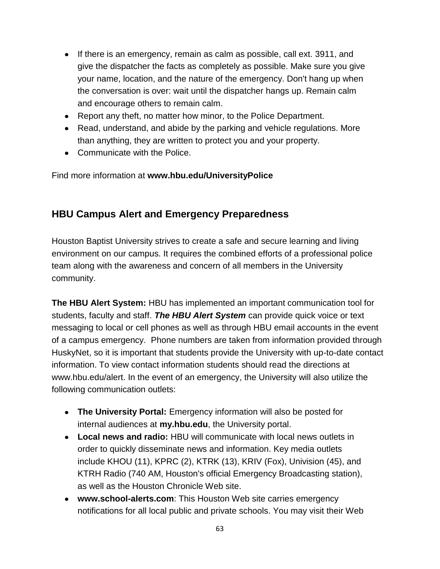- If there is an emergency, remain as calm as possible, call ext. 3911, and give the dispatcher the facts as completely as possible. Make sure you give your name, location, and the nature of the emergency. Don't hang up when the conversation is over: wait until the dispatcher hangs up. Remain calm and encourage others to remain calm.
- Report any theft, no matter how minor, to the Police Department.
- Read, understand, and abide by the parking and vehicle regulations. More than anything, they are written to protect you and your property.
- Communicate with the Police.

Find more information at **[www.hbu.edu/UniversityPolice](http://www.hbu.edu/UniversityPolice)**

# **HBU Campus Alert and Emergency Preparedness**

Houston Baptist University strives to create a safe and secure learning and living environment on our campus. It requires the combined efforts of a professional police team along with the awareness and concern of all members in the University community.

**The HBU Alert System:** HBU has implemented an important communication tool for students, faculty and staff. *The HBU Alert System* can provide quick voice or text messaging to local or cell phones as well as through HBU email accounts in the event of a campus emergency. Phone numbers are taken from information provided through HuskyNet, so it is important that students provide the University with up-to-date contact information. To view contact information students should read the directions at [www.hbu.edu/alert.](http://www.hbu.edu/alert) In the event of an emergency, the University will also utilize the following communication outlets:

- **The University Portal:** Emergency information will also be posted for internal audiences at **[my.hbu.edu](http://my.hbu.edu/)**, the University portal.
- **Local news and radio:** HBU will communicate with local news outlets in order to quickly disseminate news and information. Key media outlets include KHOU (11), KPRC (2), KTRK (13), KRIV (Fox), Univision (45), and KTRH Radio (740 AM, Houston's official Emergency Broadcasting station), as well as the Houston Chronicle Web site.
- **[www.school-alerts.com](http://www.school-alerts.com/)**: This Houston Web site carries emergency notifications for all local public and private schools. You may visit their Web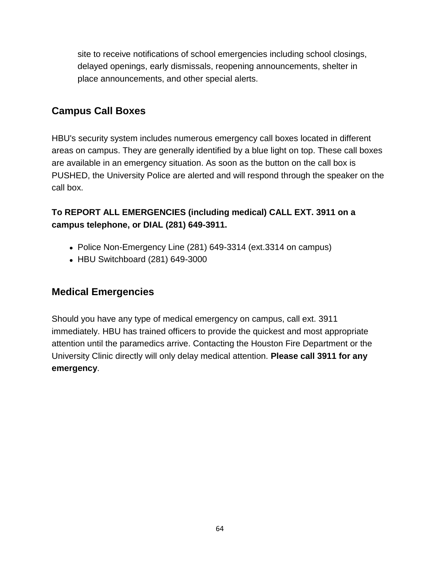site to receive notifications of school emergencies including school closings, delayed openings, early dismissals, reopening announcements, shelter in place announcements, and other special alerts.

### **Campus Call Boxes**

HBU's security system includes numerous emergency call boxes located in different areas on campus. They are generally identified by a blue light on top. These call boxes are available in an emergency situation. As soon as the button on the call box is PUSHED, the University Police are alerted and will respond through the speaker on the call box.

### **To REPORT ALL EMERGENCIES (including medical) CALL EXT. 3911 on a campus telephone, or DIAL (281) 649-3911.**

- Police Non-Emergency Line (281) 649-3314 (ext.3314 on campus)
- HBU Switchboard (281) 649-3000

# **Medical Emergencies**

Should you have any type of medical emergency on campus, call ext. 3911 immediately. HBU has trained officers to provide the quickest and most appropriate attention until the paramedics arrive. Contacting the Houston Fire Department or the University Clinic directly will only delay medical attention. **Please call 3911 for any emergency**.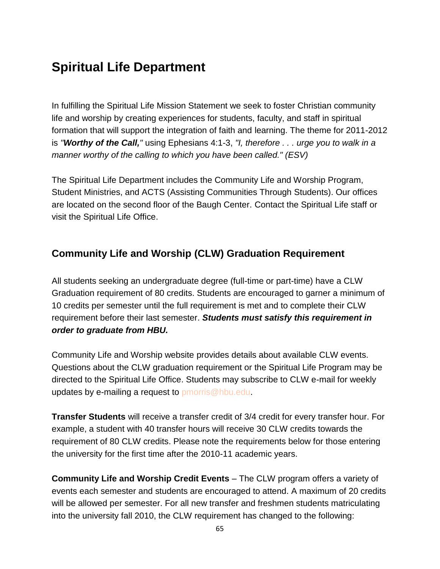# **Spiritual Life Department**

In fulfilling the Spiritual Life Mission Statement we seek to foster Christian community life and worship by creating experiences for students, faculty, and staff in spiritual formation that will support the integration of faith and learning. The theme for 2011-2012 is *"Worthy of the Call,"* using Ephesians 4:1-3, *"I, therefore . . . urge you to walk in a manner worthy of the calling to which you have been called." (ESV)*

The Spiritual Life Department includes the Community Life and Worship Program, Student Ministries, and ACTS (Assisting Communities Through Students). Our offices are located on the second floor of the Baugh Center. [Contact the Spiritual Life staff](https://hbu.edu/Students-Alumni/Student-Information/Spiritual-Life/Spiritual-Life-Department/Meet-Our-Staff.aspx) or visit the [Spiritual Life Office.](https://hbu.edu/Students-Alumni/Student-Information/Spiritual-Life/Community-Life-and-Worship/Ministry-Opportunities/ACTS-(Assisting-Communities-Through-Students).aspx)

# **Community Life and Worship (CLW) Graduation Requirement**

All students seeking an undergraduate degree (full-time or part-time) have a CLW Graduation requirement of 80 credits. Students are encouraged to garner a minimum of 10 credits per semester until the full requirement is met and to complete their CLW requirement before their last semester. *Students must satisfy this requirement in order to graduate from HBU.*

[Community Life and Worship website](https://hbu.edu/Students-Alumni/Student-Information/Spiritual-Life/Community-Life-and-Worship.aspx) provides details about available CLW events. Questions about the CLW graduation requirement or the Spiritual Life Program may be directed to the [Spiritual Life Office.](https://hbu.edu/Students-Alumni/Student-Information/Spiritual-Life/Spiritual-Life-Department/Meet-Our-Staff.aspx) Students may subscribe to CLW e-mail for weekly updates by e-mailing a request to [pmorris@hbu.edu.](mailto:pmorris@hbu.edu)

**Transfer Students** will receive a transfer credit of 3/4 credit for every transfer hour. For example, a student with 40 transfer hours will receive 30 CLW credits towards the requirement of 80 CLW credits. Please note the requirements below for those entering the university for the first time after the 2010-11 academic years.

**Community Life and Worship Credit Events** – The CLW program offers a variety of events each semester and students are encouraged to attend. A maximum of 20 credits will be allowed per semester. For all new transfer and freshmen students matriculating into the university fall 2010, the CLW requirement has changed to the following: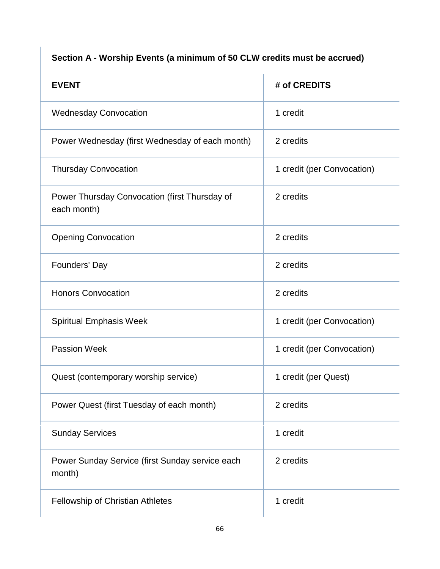# **Section A - Worship Events (a minimum of 50 CLW credits must be accrued)**

| <b>EVENT</b>                                                 | # of CREDITS               |
|--------------------------------------------------------------|----------------------------|
| <b>Wednesday Convocation</b>                                 | 1 credit                   |
| Power Wednesday (first Wednesday of each month)              | 2 credits                  |
| <b>Thursday Convocation</b>                                  | 1 credit (per Convocation) |
| Power Thursday Convocation (first Thursday of<br>each month) | 2 credits                  |
| <b>Opening Convocation</b>                                   | 2 credits                  |
| Founders' Day                                                | 2 credits                  |
| <b>Honors Convocation</b>                                    | 2 credits                  |
| <b>Spiritual Emphasis Week</b>                               | 1 credit (per Convocation) |
| <b>Passion Week</b>                                          | 1 credit (per Convocation) |
| Quest (contemporary worship service)                         | 1 credit (per Quest)       |
| Power Quest (first Tuesday of each month)                    | 2 credits                  |
| <b>Sunday Services</b>                                       | 1 credit                   |
| Power Sunday Service (first Sunday service each<br>month)    | 2 credits                  |
| Fellowship of Christian Athletes                             | 1 credit                   |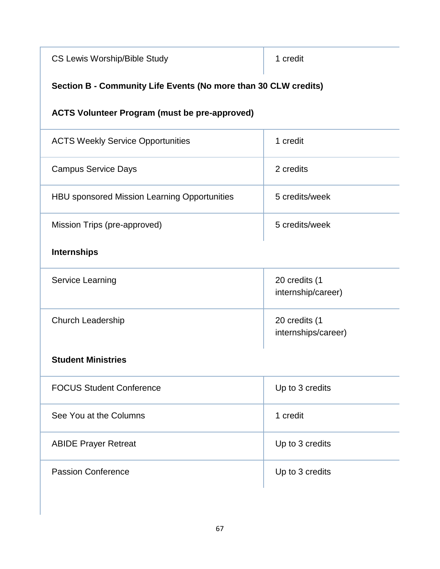| <b>CS Lewis Worship/Bible Study</b>                             | 1 credit                             |  |
|-----------------------------------------------------------------|--------------------------------------|--|
| Section B - Community Life Events (No more than 30 CLW credits) |                                      |  |
| <b>ACTS Volunteer Program (must be pre-approved)</b>            |                                      |  |
| <b>ACTS Weekly Service Opportunities</b>                        | 1 credit                             |  |
| <b>Campus Service Days</b>                                      | 2 credits                            |  |
| <b>HBU sponsored Mission Learning Opportunities</b>             | 5 credits/week                       |  |
| Mission Trips (pre-approved)                                    | 5 credits/week                       |  |
| <b>Internships</b>                                              |                                      |  |
| <b>Service Learning</b>                                         | 20 credits (1<br>internship/career)  |  |
| Church Leadership                                               | 20 credits (1<br>internships/career) |  |
| <b>Student Ministries</b>                                       |                                      |  |
| <b>FOCUS Student Conference</b>                                 | Up to 3 credits                      |  |
| See You at the Columns                                          | 1 credit                             |  |
| <b>ABIDE Prayer Retreat</b>                                     | Up to 3 credits                      |  |
| <b>Passion Conference</b>                                       | Up to 3 credits                      |  |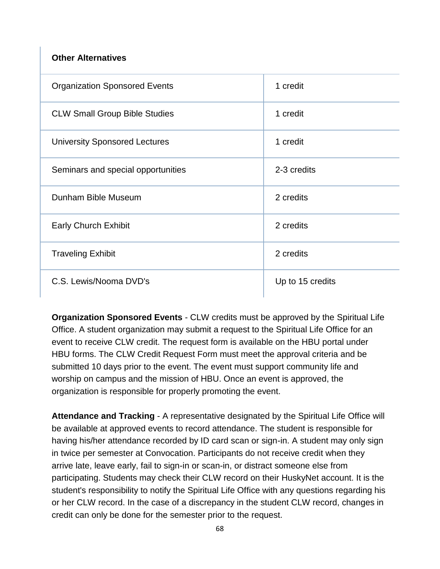#### **Other Alternatives**

| <b>Organization Sponsored Events</b> | 1 credit         |
|--------------------------------------|------------------|
| <b>CLW Small Group Bible Studies</b> | 1 credit         |
| <b>University Sponsored Lectures</b> | 1 credit         |
| Seminars and special opportunities   | 2-3 credits      |
| Dunham Bible Museum                  | 2 credits        |
| <b>Early Church Exhibit</b>          | 2 credits        |
| <b>Traveling Exhibit</b>             | 2 credits        |
| C.S. Lewis/Nooma DVD's               | Up to 15 credits |

**Organization Sponsored Events** - CLW credits must be approved by the [Spiritual Life](https://hbu.edu/Students-Alumni/Student-Information/Spiritual-Life/Spiritual-Life-Department/Meet-Our-Staff.aspx)  [Office.](https://hbu.edu/Students-Alumni/Student-Information/Spiritual-Life/Spiritual-Life-Department/Meet-Our-Staff.aspx) A student organization may submit a request to the Spiritual Life Office for an event to receive CLW credit. The request form is available on the HBU portal under HBU forms. The CLW Credit Request Form must meet the approval criteria and be submitted 10 days prior to the event. The event must support community life and worship on campus and the mission of HBU. Once an event is approved, the organization is responsible for properly promoting the event.

**Attendance and Tracking** - A representative designated by the Spiritual Life Office will be available at approved events to record attendance. The student is responsible for having his/her attendance recorded by ID card scan or sign-in. A student may only sign in twice per semester at Convocation. Participants do not receive credit when they arrive late, leave early, fail to sign-in or scan-in, or distract someone else from participating. Students may check their CLW record on their HuskyNet account. It is the student's responsibility to notify the Spiritual Life Office with any questions regarding his or her CLW record. In the case of a discrepancy in the student CLW record, changes in credit can only be done for the semester prior to the request.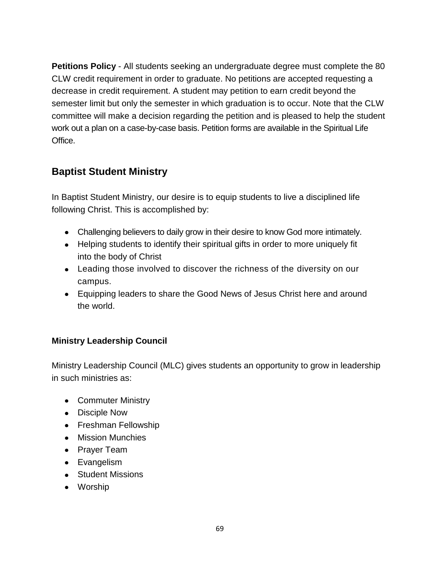**Petitions Policy** - All students seeking an undergraduate degree must complete the 80 CLW credit requirement in order to graduate. No petitions are accepted requesting a decrease in credit requirement. A student may petition to earn credit beyond the semester limit but only the semester in which graduation is to occur. Note that the CLW committee will make a decision regarding the petition and is pleased to help the student work out a plan on a case-by-case basis. Petition forms are available in the Spiritual Life Office.

# **Baptist Student Ministry**

In [Baptist Student Ministry,](https://hbu.edu/Students-Alumni/Student-Information/Spiritual-Life/Community-Life-and-Worship/Ministry-Opportunities/Baptist-Student-Ministries.aspx) our desire is to equip students to live a disciplined life following Christ. This is accomplished by:

- Challenging believers to daily grow in their desire to know God more intimately.
- Helping students to identify their spiritual gifts in order to more uniquely fit into the body of Christ
- Leading those involved to discover the richness of the diversity on our campus.
- Equipping leaders to share the Good News of Jesus Christ here and around the world.

### **Ministry Leadership Council**

[Ministry Leadership Council](https://hbu.edu/Students-Alumni/Student-Information/Spiritual-Life/Community-Life-and-Worship/Ministry-Opportunities/Ministry-Leadership-Council.aspx) (MLC) gives students an opportunity to grow in leadership in such ministries as:

- Commuter Ministry
- Disciple Now
- Freshman Fellowship
- Mission Munchies
- Prayer Team
- Evangelism
- Student Missions
- Worship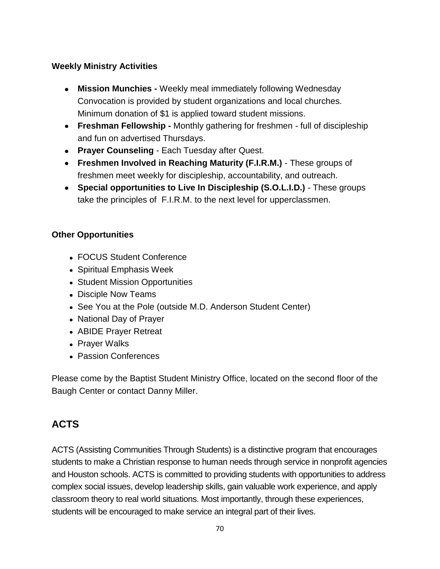### **Weekly Ministry Activities**

- **Mission Munchies -** Weekly meal immediately following Wednesday Convocation is provided by student organizations and local churches. Minimum donation of \$1 is applied toward student missions.
- **Freshman Fellowship -** Monthly gathering for freshmen full of discipleship and fun on advertised Thursdays.
- **Prayer Counseling**  Each Tuesday after Quest.
- **Freshmen Involved in Reaching Maturity (F.I.R.M.)**  These groups of freshmen meet weekly for discipleship, accountability, and outreach.
- **Special opportunities to Live In Discipleship (S.O.L.I.D.)**  These groups take the principles of F.I.R.M. to the next level for upperclassmen.

### **Other Opportunities**

- FOCUS Student Conference
- Spiritual Emphasis Week
- Student Mission Opportunities
- Disciple Now Teams
- See You at the Pole (outside M.D. Anderson Student Center)
- National Day of Prayer
- ABIDE Prayer Retreat
- Prayer Walks
- Passion Conferences

Please come by the Baptist Student Ministry Office, located on the second floor of the Baugh Center or [contact Danny Miller.](https://hbu.edu/Students-Alumni/Student-Information/Spiritual-Life/Spiritual-Life-Department/Meet-Our-Staff/Danny-Miller.aspx)

# **ACTS**

[ACTS](https://hbu.edu/Students-Alumni/Student-Information/Spiritual-Life/Community-Life-and-Worship/Ministry-Opportunities/ACTS-(Assisting-Communities-Through-Students).aspx) (Assisting Communities Through Students) is a distinctive program that encourages students to make a Christian response to human needs through service in nonprofit agencies and Houston schools. ACTS is committed to providing students with opportunities to address complex social issues, develop leadership skills, gain valuable work experience, and apply classroom theory to real world situations. Most importantly, through these experiences, students will be encouraged to make service an integral part of their lives.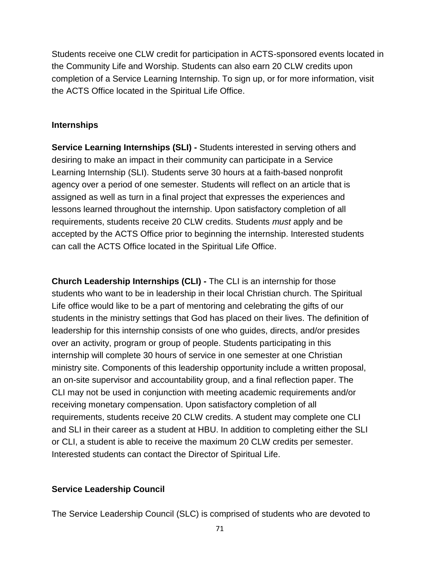Students receive one CLW credit for participation in ACTS-sponsored events located in the Community Life and Worship. Students can also earn 20 CLW credits upon completion of a Service Learning Internship. To sign up, or for more information, visit the ACTS Office located in the [Spiritual Life Office.](https://hbu.edu/Students-Alumni/Student-Information/Spiritual-Life/Spiritual-Life-Department/Meet-Our-Staff.aspx)

#### **Internships**

**Service Learning Internships (SLI) -** Students interested in serving others and desiring to make an impact in their community can participate in a [Service](https://hbu.edu/Students-Alumni/Student-Information/Spiritual-Life/Community-Life-and-Worship/Ministry-Opportunities/Service-Learning-Internship.aspx)  [Learning Internship](https://hbu.edu/Students-Alumni/Student-Information/Spiritual-Life/Community-Life-and-Worship/Ministry-Opportunities/Service-Learning-Internship.aspx) (SLI). Students serve 30 hours at a faith-based nonprofit agency over a period of one semester. Students will reflect on an article that is assigned as well as turn in a final project that expresses the experiences and lessons learned throughout the internship. Upon satisfactory completion of all requirements, students receive 20 CLW credits. Students *must* apply and be accepted by the ACTS Office prior to beginning the internship. Interested students can call the ACTS Office located in the [Spiritual Life Office.](https://hbu.edu/Students-Alumni/Student-Information/Spiritual-Life/Spiritual-Life-Department/Meet-Our-Staff.aspx)

**Church Leadership Internships (CLI) -** The [CLI](https://hbu.edu/Students-Alumni/Student-Information/Spiritual-Life/Community-Life-and-Worship/Ministry-Opportunities/Church-Leadership-Internships.aspx) is an internship for those students who want to be in leadership in their local Christian church. The Spiritual Life office would like to be a part of mentoring and celebrating the gifts of our students in the ministry settings that God has placed on their lives. The definition of leadership for this internship consists of one who guides, directs, and/or presides over an activity, program or group of people. Students participating in this internship will complete 30 hours of service in one semester at one Christian ministry site. Components of this leadership opportunity include a written proposal, an on-site supervisor and accountability group, and a final reflection paper. The CLI may not be used in conjunction with meeting academic requirements and/or receiving monetary compensation. Upon satisfactory completion of all requirements, students receive 20 CLW credits. A student may complete one CLI and SLI in their career as a student at HBU. In addition to completing either the SLI or CLI, a student is able to receive the maximum 20 CLW credits per semester. Interested students can contact the [Director of Spiritual Life.](https://hbu.edu/Students-Alumni/Student-Information/Spiritual-Life/Spiritual-Life-Department/Meet-Our-Staff/Colette-Cross.aspx)

#### **Service Leadership Council**

The [Service Leadership Council](https://hbu.edu/Students-Alumni/Student-Information/Spiritual-Life/Community-Life-and-Worship/Ministry-Opportunities/Service-Leadership-Council.aspx) (SLC) is comprised of students who are devoted to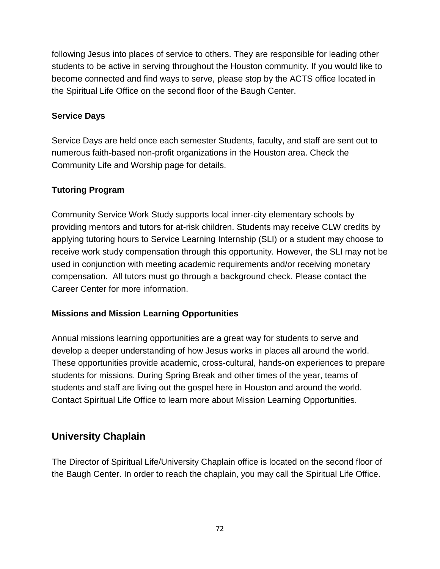following Jesus into places of service to others. They are responsible for leading other students to be active in serving throughout the Houston community. If you would like to become connected and find ways to serve, please stop by the ACTS office located in the [Spiritual Life Office](https://hbu.edu/Students-Alumni/Student-Information/Spiritual-Life/Spiritual-Life-Department/Meet-Our-Staff.aspx) on the second floor of the Baugh Center.

#### **Service Days**

Service Days are held once each semester Students, faculty, and staff are sent out to numerous faith-based non-profit organizations in the Houston area. Check [the](https://hbu.edu/Students-Alumni/Student-Information/Spiritual-Life/Community-Life-and-Worship.aspx)  [Community Life and Worship page](https://hbu.edu/Students-Alumni/Student-Information/Spiritual-Life/Community-Life-and-Worship.aspx) for details.

#### **Tutoring Program**

Community Service Work Study supports local inner-city elementary schools by providing mentors and tutors for at-risk children. Students may receive CLW credits by applying tutoring hours to Service Learning Internship (SLI) or a student may choose to receive work study compensation through this opportunity. However, the SLI may not be used in conjunction with meeting academic requirements and/or receiving monetary compensation. All tutors must go through a background check. Please [contact the](https://hbu.edu/Students-Alumni/Student-Resources/The-Career-Center/Contact.aspx)  [Career Center](https://hbu.edu/Students-Alumni/Student-Resources/The-Career-Center/Contact.aspx) for more information.

#### **Missions and Mission Learning Opportunities**

Annual missions learning opportunities are a great way for students to serve and develop a deeper understanding of how Jesus works in places all around the world. These opportunities provide academic, cross-cultural, hands-on experiences to prepare students for missions. During Spring Break and other times of the year, teams of students and staff are living out the gospel here in Houston and around the world. Contact [Spiritual Life Office](https://hbu.edu/Students-Alumni/Student-Information/Spiritual-Life/Spiritual-Life-Department/Meet-Our-Staff.aspx) to learn more about Mission Learning Opportunities.

# **University Chaplain**

The Director of Spiritual Life/University Chaplain office is located on the second floor of the Baugh Center. In order to reach the chaplain, you may call the [Spiritual Life Office.](https://hbu.edu/Students-Alumni/Student-Information/Spiritual-Life/Spiritual-Life-Department/Meet-Our-Staff.aspx)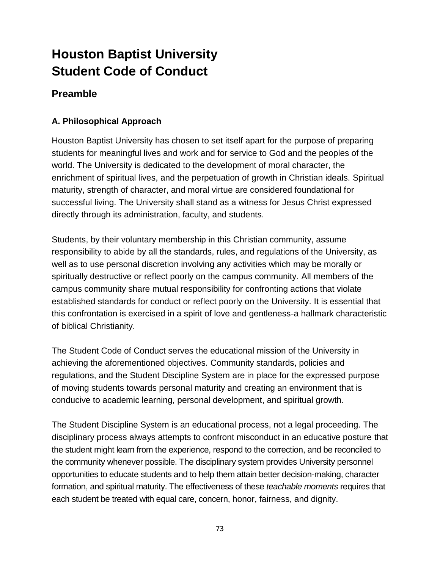# **Houston Baptist University Student Code of Conduct**

# **Preamble**

## **A. Philosophical Approach**

Houston Baptist University has chosen to set itself apart for the purpose of preparing students for meaningful lives and work and for service to God and the peoples of the world. The University is dedicated to the development of moral character, the enrichment of spiritual lives, and the perpetuation of growth in Christian ideals. Spiritual maturity, strength of character, and moral virtue are considered foundational for successful living. The University shall stand as a witness for Jesus Christ expressed directly through its administration, faculty, and students.

Students, by their voluntary membership in this Christian community, assume responsibility to abide by all the standards, rules, and regulations of the University, as well as to use personal discretion involving any activities which may be morally or spiritually destructive or reflect poorly on the campus community. All members of the campus community share mutual responsibility for confronting actions that violate established standards for conduct or reflect poorly on the University. It is essential that this confrontation is exercised in a spirit of love and gentleness-a hallmark characteristic of biblical Christianity.

The Student Code of Conduct serves the educational mission of the University in achieving the aforementioned objectives. Community standards, policies and regulations, and the Student Discipline System are in place for the expressed purpose of moving students towards personal maturity and creating an environment that is conducive to academic learning, personal development, and spiritual growth.

The Student Discipline System is an educational process, not a legal proceeding. The disciplinary process always attempts to confront misconduct in an educative posture that the student might learn from the experience, respond to the correction, and be reconciled to the community whenever possible. The disciplinary system provides University personnel opportunities to educate students and to help them attain better decision-making, character formation, and spiritual maturity. The effectiveness of these *teachable moments* requires that each student be treated with equal care, concern, honor, fairness, and dignity.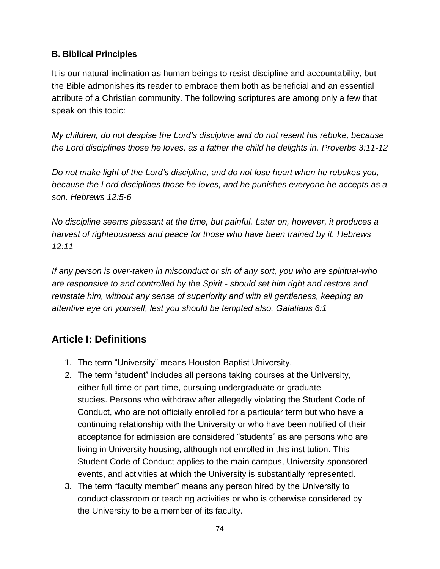## **B. Biblical Principles**

It is our natural inclination as human beings to resist discipline and accountability, but the Bible admonishes its reader to embrace them both as beneficial and an essential attribute of a Christian community. The following scriptures are among only a few that speak on this topic:

*My children, do not despise the Lord's discipline and do not resent his rebuke, because the Lord disciplines those he loves, as a father the child he delights in. Proverbs 3:11-12*

*Do not make light of the Lord's discipline, and do not lose heart when he rebukes you, because the Lord disciplines those he loves, and he punishes everyone he accepts as a son. Hebrews 12:5-6*

*No discipline seems pleasant at the time, but painful. Later on, however, it produces a harvest of righteousness and peace for those who have been trained by it. Hebrews 12:11*

*If any person is over-taken in misconduct or sin of any sort, you who are spiritual-who are responsive to and controlled by the Spirit - should set him right and restore and reinstate him, without any sense of superiority and with all gentleness, keeping an attentive eye on yourself, lest you should be tempted also. Galatians 6:1*

# **Article I: Definitions**

- 1. The term "University" means Houston Baptist University.
- 2. The term "student" includes all persons taking courses at the University, either full-time or part-time, pursuing undergraduate or graduate studies. Persons who withdraw after allegedly violating the Student Code of Conduct, who are not officially enrolled for a particular term but who have a continuing relationship with the University or who have been notified of their acceptance for admission are considered "students" as are persons who are living in University housing, although not enrolled in this institution. This Student Code of Conduct applies to the main campus, University-sponsored events, and activities at which the University is substantially represented.
- 3. The term "faculty member" means any person hired by the University to conduct classroom or teaching activities or who is otherwise considered by the University to be a member of its faculty.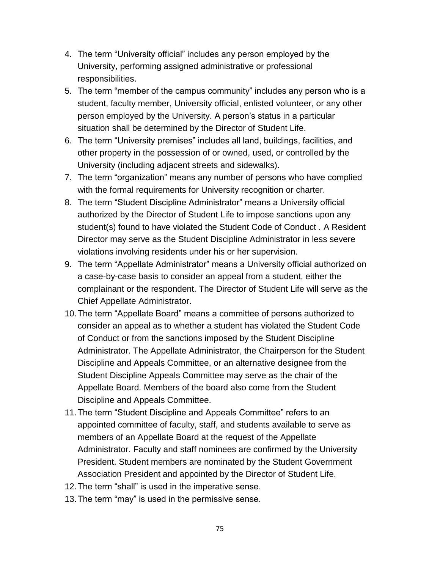- 4. The term "University official" includes any person employed by the University, performing assigned administrative or professional responsibilities.
- 5. The term "member of the campus community" includes any person who is a student, faculty member, University official, enlisted volunteer, or any other person employed by the University. A person's status in a particular situation shall be determined by the Director of Student Life.
- 6. The term "University premises" includes all land, buildings, facilities, and other property in the possession of or owned, used, or controlled by the University (including adjacent streets and sidewalks).
- 7. The term "organization" means any number of persons who have complied with the formal requirements for University recognition or charter.
- 8. The term "Student Discipline Administrator" means a University official authorized by the Director of Student Life to impose sanctions upon any student(s) found to have violated the Student Code of Conduct . A Resident Director may serve as the Student Discipline Administrator in less severe violations involving residents under his or her supervision.
- 9. The term "Appellate Administrator" means a University official authorized on a case-by-case basis to consider an appeal from a student, either the complainant or the respondent. The Director of Student Life will serve as the Chief Appellate Administrator.
- 10.The term "Appellate Board" means a committee of persons authorized to consider an appeal as to whether a student has violated the Student Code of Conduct or from the sanctions imposed by the Student Discipline Administrator. The Appellate Administrator, the Chairperson for the Student Discipline and Appeals Committee, or an alternative designee from the Student Discipline Appeals Committee may serve as the chair of the Appellate Board. Members of the board also come from the Student Discipline and Appeals Committee.
- 11.The term "Student Discipline and Appeals Committee" refers to an appointed committee of faculty, staff, and students available to serve as members of an Appellate Board at the request of the Appellate Administrator. Faculty and staff nominees are confirmed by the University President. Student members are nominated by the Student Government Association President and appointed by the Director of Student Life.
- 12.The term "shall" is used in the imperative sense.
- 13.The term "may" is used in the permissive sense.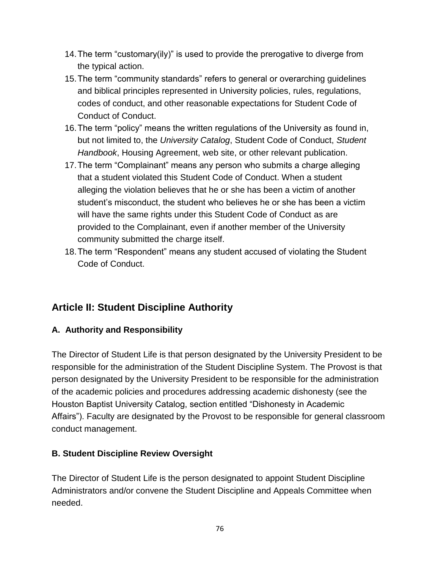- 14.The term "customary(ily)" is used to provide the prerogative to diverge from the typical action.
- 15.The term "community standards" refers to general or overarching guidelines and biblical principles represented in University policies, rules, regulations, codes of conduct, and other reasonable expectations for Student Code of Conduct of Conduct.
- 16.The term "policy" means the written regulations of the University as found in, but not limited to, the *University Catalog*, Student Code of Conduct, *Student Handbook*, Housing Agreement, web site, or other relevant publication.
- 17.The term "Complainant" means any person who submits a charge alleging that a student violated this Student Code of Conduct. When a student alleging the violation believes that he or she has been a victim of another student's misconduct, the student who believes he or she has been a victim will have the same rights under this Student Code of Conduct as are provided to the Complainant, even if another member of the University community submitted the charge itself.
- 18.The term "Respondent" means any student accused of violating the Student Code of Conduct.

# **Article II: Student Discipline Authority**

## **A. Authority and Responsibility**

The Director of Student Life is that person designated by the University President to be responsible for the administration of the Student Discipline System. The Provost is that person designated by the University President to be responsible for the administration of the academic policies and procedures addressing academic dishonesty (see the Houston Baptist University Catalog, section entitled "Dishonesty in Academic Affairs"). Faculty are designated by the Provost to be responsible for general classroom conduct management.

#### **B. Student Discipline Review Oversight**

The Director of Student Life is the person designated to appoint Student Discipline Administrators and/or convene the Student Discipline and Appeals Committee when needed.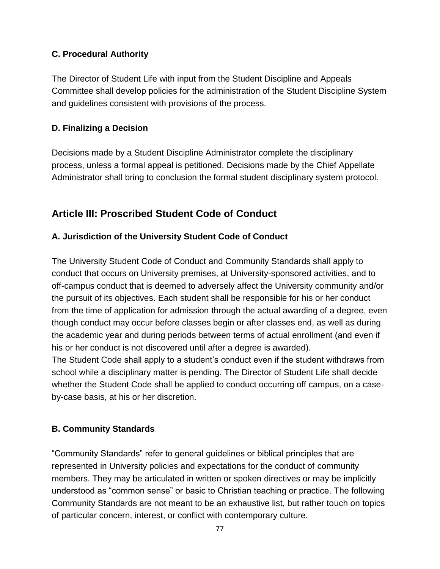#### **C. Procedural Authority**

The Director of Student Life with input from the Student Discipline and Appeals Committee shall develop policies for the administration of the Student Discipline System and guidelines consistent with provisions of the process.

## **D. Finalizing a Decision**

Decisions made by a Student Discipline Administrator complete the disciplinary process, unless a formal appeal is petitioned. Decisions made by the Chief Appellate Administrator shall bring to conclusion the formal student disciplinary system protocol.

# **Article III: Proscribed Student Code of Conduct**

## **A. Jurisdiction of the University Student Code of Conduct**

The University Student Code of Conduct and Community Standards shall apply to conduct that occurs on University premises, at University-sponsored activities, and to off-campus conduct that is deemed to adversely affect the University community and/or the pursuit of its objectives. Each student shall be responsible for his or her conduct from the time of application for admission through the actual awarding of a degree, even though conduct may occur before classes begin or after classes end, as well as during the academic year and during periods between terms of actual enrollment (and even if his or her conduct is not discovered until after a degree is awarded).

The Student Code shall apply to a student's conduct even if the student withdraws from school while a disciplinary matter is pending. The Director of Student Life shall decide whether the Student Code shall be applied to conduct occurring off campus, on a caseby-case basis, at his or her discretion.

#### **B. Community Standards**

"Community Standards" refer to general guidelines or biblical principles that are represented in University policies and expectations for the conduct of community members. They may be articulated in written or spoken directives or may be implicitly understood as "common sense" or basic to Christian teaching or practice. The following Community Standards are not meant to be an exhaustive list, but rather touch on topics of particular concern, interest, or conflict with contemporary culture.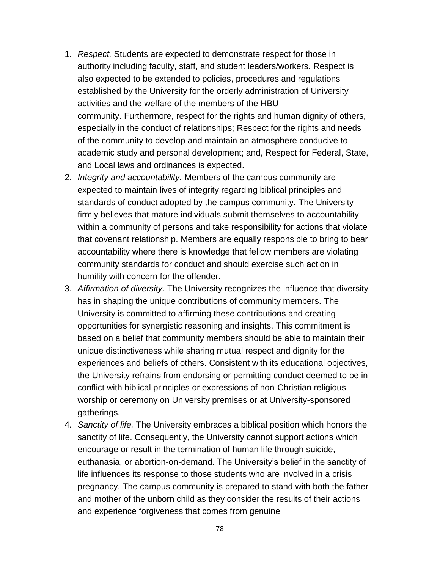- 1. *Respect.* Students are expected to demonstrate respect for those in authority including faculty, staff, and student leaders/workers. Respect is also expected to be extended to policies, procedures and regulations established by the University for the orderly administration of University activities and the welfare of the members of the HBU community. Furthermore, respect for the rights and human dignity of others, especially in the conduct of relationships; Respect for the rights and needs of the community to develop and maintain an atmosphere conducive to academic study and personal development; and, Respect for Federal, State, and Local laws and ordinances is expected.
- 2. *Integrity and accountability.* Members of the campus community are expected to maintain lives of integrity regarding biblical principles and standards of conduct adopted by the campus community. The University firmly believes that mature individuals submit themselves to accountability within a community of persons and take responsibility for actions that violate that covenant relationship. Members are equally responsible to bring to bear accountability where there is knowledge that fellow members are violating community standards for conduct and should exercise such action in humility with concern for the offender.
- 3. *Affirmation of diversity*. The University recognizes the influence that diversity has in shaping the unique contributions of community members. The University is committed to affirming these contributions and creating opportunities for synergistic reasoning and insights. This commitment is based on a belief that community members should be able to maintain their unique distinctiveness while sharing mutual respect and dignity for the experiences and beliefs of others. Consistent with its educational objectives, the University refrains from endorsing or permitting conduct deemed to be in conflict with biblical principles or expressions of non-Christian religious worship or ceremony on University premises or at University-sponsored gatherings.
- 4. *Sanctity of life.* The University embraces a biblical position which honors the sanctity of life. Consequently, the University cannot support actions which encourage or result in the termination of human life through suicide, euthanasia, or abortion-on-demand. The University's belief in the sanctity of life influences its response to those students who are involved in a crisis pregnancy. The campus community is prepared to stand with both the father and mother of the unborn child as they consider the results of their actions and experience forgiveness that comes from genuine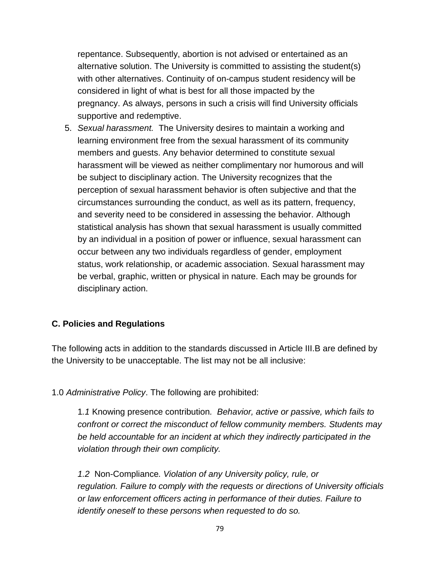repentance. Subsequently, abortion is not advised or entertained as an alternative solution. The University is committed to assisting the student(s) with other alternatives. Continuity of on-campus student residency will be considered in light of what is best for all those impacted by the pregnancy. As always, persons in such a crisis will find University officials supportive and redemptive.

5. *Sexual harassment.* The University desires to maintain a working and learning environment free from the sexual harassment of its community members and guests. Any behavior determined to constitute sexual harassment will be viewed as neither complimentary nor humorous and will be subject to disciplinary action. The University recognizes that the perception of sexual harassment behavior is often subjective and that the circumstances surrounding the conduct, as well as its pattern, frequency, and severity need to be considered in assessing the behavior. Although statistical analysis has shown that sexual harassment is usually committed by an individual in a position of power or influence, sexual harassment can occur between any two individuals regardless of gender, employment status, work relationship, or academic association. Sexual harassment may be verbal, graphic, written or physical in nature. Each may be grounds for disciplinary action.

#### **C. Policies and Regulations**

The following acts in addition to the standards discussed in Article III.B are defined by the University to be unacceptable. The list may not be all inclusive:

1.0 *Administrative Policy*. The following are prohibited:

1*.1* Knowing presence contribution*. Behavior, active or passive, which fails to confront or correct the misconduct of fellow community members. Students may be held accountable for an incident at which they indirectly participated in the violation through their own complicity.*

*1.2* Non-Compliance*. Violation of any University policy, rule, or regulation. Failure to comply with the requests or directions of University officials or law enforcement officers acting in performance of their duties. Failure to identify oneself to these persons when requested to do so.*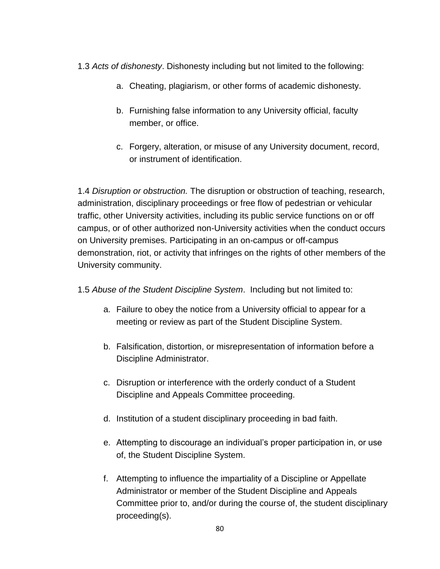- 1.3 *Acts of dishonesty*. Dishonesty including but not limited to the following:
	- a. Cheating, plagiarism, or other forms of academic dishonesty.
	- b. Furnishing false information to any University official, faculty member, or office.
	- c. Forgery, alteration, or misuse of any University document, record, or instrument of identification.

1.4 *Disruption or obstruction.* The disruption or obstruction of teaching, research, administration, disciplinary proceedings or free flow of pedestrian or vehicular traffic, other University activities, including its public service functions on or off campus, or of other authorized non-University activities when the conduct occurs on University premises. Participating in an on-campus or off-campus demonstration, riot, or activity that infringes on the rights of other members of the University community.

- 1.5 *Abuse of the Student Discipline System*. Including but not limited to:
	- a. Failure to obey the notice from a University official to appear for a meeting or review as part of the Student Discipline System.
	- b. Falsification, distortion, or misrepresentation of information before a Discipline Administrator.
	- c. Disruption or interference with the orderly conduct of a Student Discipline and Appeals Committee proceeding.
	- d. Institution of a student disciplinary proceeding in bad faith.
	- e. Attempting to discourage an individual's proper participation in, or use of, the Student Discipline System.
	- f. Attempting to influence the impartiality of a Discipline or Appellate Administrator or member of the Student Discipline and Appeals Committee prior to, and/or during the course of, the student disciplinary proceeding(s).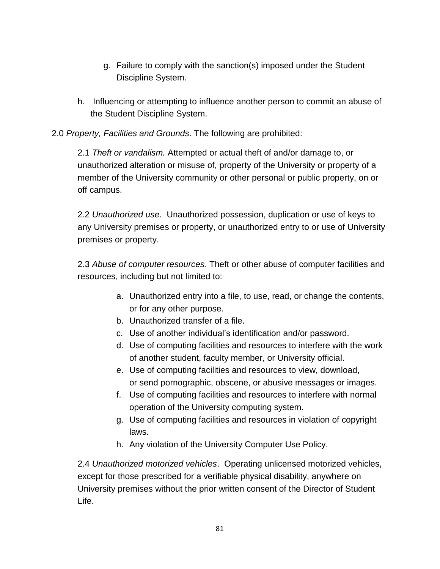- g. Failure to comply with the sanction(s) imposed under the Student Discipline System.
- h. Influencing or attempting to influence another person to commit an abuse of the Student Discipline System.

## 2.0 *Property, Facilities and Grounds*. The following are prohibited:

2.1 *Theft or vandalism.* Attempted or actual theft of and/or damage to, or unauthorized alteration or misuse of, property of the University or property of a member of the University community or other personal or public property, on or off campus.

2.2 *Unauthorized use.* Unauthorized possession, duplication or use of keys to any University premises or property, or unauthorized entry to or use of University premises or property.

2.3 *Abuse of computer resources*. Theft or other abuse of computer facilities and resources, including but not limited to:

- a. Unauthorized entry into a file, to use, read, or change the contents, or for any other purpose.
- b. Unauthorized transfer of a file.
- c. Use of another individual's identification and/or password.
- d. Use of computing facilities and resources to interfere with the work of another student, faculty member, or University official.
- e. Use of computing facilities and resources to view, download, or send pornographic, obscene, or abusive messages or images.
- f. Use of computing facilities and resources to interfere with normal operation of the University computing system.
- g. Use of computing facilities and resources in violation of copyright laws.
- h. Any violation of the University Computer Use Policy.

2.4 *Unauthorized motorized vehicles*. Operating unlicensed motorized vehicles, except for those prescribed for a verifiable physical disability, anywhere on University premises without the prior written consent of the Director of Student Life.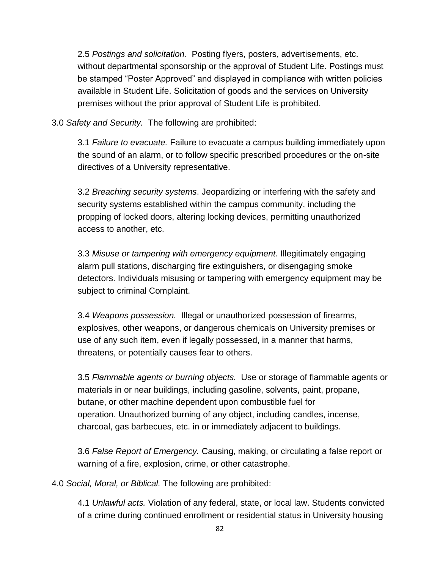2.5 *Postings and solicitation*. Posting flyers, posters, advertisements, etc. without departmental sponsorship or the approval of Student Life. Postings must be stamped "Poster Approved" and displayed in compliance with written policies available in Student Life. Solicitation of goods and the services on University premises without the prior approval of Student Life is prohibited.

3.0 *Safety and Security.* The following are prohibited:

3.1 *Failure to evacuate.* Failure to evacuate a campus building immediately upon the sound of an alarm, or to follow specific prescribed procedures or the on-site directives of a University representative.

3.2 *Breaching security systems*. Jeopardizing or interfering with the safety and security systems established within the campus community, including the propping of locked doors, altering locking devices, permitting unauthorized access to another, etc.

3.3 *Misuse or tampering with emergency equipment.* Illegitimately engaging alarm pull stations, discharging fire extinguishers, or disengaging smoke detectors. Individuals misusing or tampering with emergency equipment may be subject to criminal Complaint.

3.4 *Weapons possession.* Illegal or unauthorized possession of firearms, explosives, other weapons, or dangerous chemicals on University premises or use of any such item, even if legally possessed, in a manner that harms, threatens, or potentially causes fear to others.

3.5 *Flammable agents or burning objects.* Use or storage of flammable agents or materials in or near buildings, including gasoline, solvents, paint, propane, butane, or other machine dependent upon combustible fuel for operation. Unauthorized burning of any object, including candles, incense, charcoal, gas barbecues, etc. in or immediately adjacent to buildings.

3.6 *False Report of Emergency.* Causing, making, or circulating a false report or warning of a fire, explosion, crime, or other catastrophe.

4.0 *Social, Moral, or Biblical.* The following are prohibited:

4.1 *Unlawful acts.* Violation of any federal, state, or local law. Students convicted of a crime during continued enrollment or residential status in University housing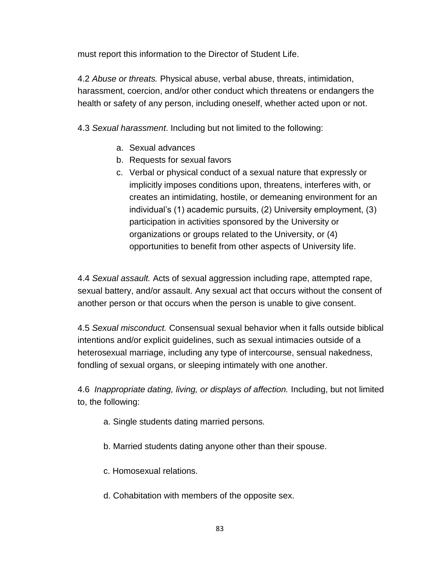must report this information to the Director of Student Life.

4.2 *Abuse or threats.* Physical abuse, verbal abuse, threats, intimidation, harassment, coercion, and/or other conduct which threatens or endangers the health or safety of any person, including oneself, whether acted upon or not.

4.3 *Sexual harassment*. Including but not limited to the following:

- a. Sexual advances
- b. Requests for sexual favors
- c. Verbal or physical conduct of a sexual nature that expressly or implicitly imposes conditions upon, threatens, interferes with, or creates an intimidating, hostile, or demeaning environment for an individual's (1) academic pursuits, (2) University employment, (3) participation in activities sponsored by the University or organizations or groups related to the University, or (4) opportunities to benefit from other aspects of University life.

4.4 *Sexual assault.* Acts of sexual aggression including rape, attempted rape, sexual battery, and/or assault. Any sexual act that occurs without the consent of another person or that occurs when the person is unable to give consent.

4.5 *Sexual misconduct.* Consensual sexual behavior when it falls outside biblical intentions and/or explicit guidelines, such as sexual intimacies outside of a heterosexual marriage, including any type of intercourse, sensual nakedness, fondling of sexual organs, or sleeping intimately with one another.

4.6 *Inappropriate dating, living, or displays of affection.* Including, but not limited to, the following:

- a. Single students dating married persons.
- b. Married students dating anyone other than their spouse.
- c. Homosexual relations.
- d. Cohabitation with members of the opposite sex.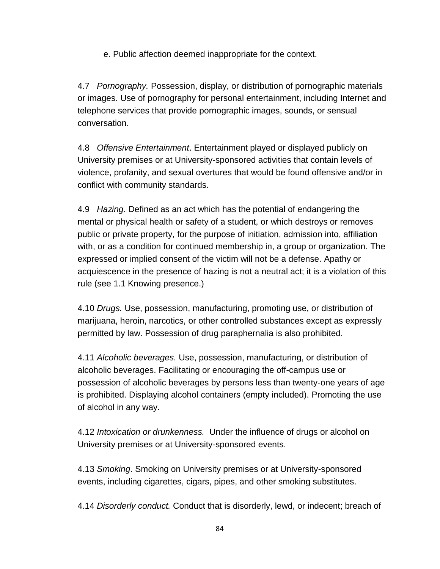e. Public affection deemed inappropriate for the context.

4.7 *Pornography.* Possession, display, or distribution of pornographic materials or images*.* Use of pornography for personal entertainment, including Internet and telephone services that provide pornographic images, sounds, or sensual conversation.

4.8 *Offensive Entertainment*. Entertainment played or displayed publicly on University premises or at University-sponsored activities that contain levels of violence, profanity, and sexual overtures that would be found offensive and/or in conflict with community standards.

4.9 *Hazing.* Defined as an act which has the potential of endangering the mental or physical health or safety of a student, or which destroys or removes public or private property, for the purpose of initiation, admission into, affiliation with, or as a condition for continued membership in, a group or organization. The expressed or implied consent of the victim will not be a defense. Apathy or acquiescence in the presence of hazing is not a neutral act; it is a violation of this rule (see 1.1 Knowing presence.)

4.10 *Drugs.* Use, possession, manufacturing, promoting use, or distribution of marijuana, heroin, narcotics, or other controlled substances except as expressly permitted by law. Possession of drug paraphernalia is also prohibited.

4.11 *Alcoholic beverages.* Use, possession, manufacturing, or distribution of alcoholic beverages. Facilitating or encouraging the off-campus use or possession of alcoholic beverages by persons less than twenty-one years of age is prohibited. Displaying alcohol containers (empty included). Promoting the use of alcohol in any way.

4.12 *Intoxication or drunkenness.* Under the influence of drugs or alcohol on University premises or at University-sponsored events.

4.13 *Smoking*. Smoking on University premises or at University-sponsored events, including cigarettes, cigars, pipes, and other smoking substitutes.

4.14 *Disorderly conduct.* Conduct that is disorderly, lewd, or indecent; breach of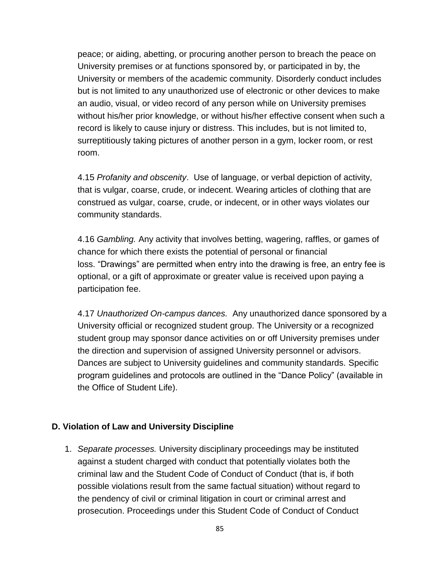peace; or aiding, abetting, or procuring another person to breach the peace on University premises or at functions sponsored by, or participated in by, the University or members of the academic community. Disorderly conduct includes but is not limited to any unauthorized use of electronic or other devices to make an audio, visual, or video record of any person while on University premises without his/her prior knowledge, or without his/her effective consent when such a record is likely to cause injury or distress. This includes, but is not limited to, surreptitiously taking pictures of another person in a gym, locker room, or rest room.

4.15 *Profanity and obscenity*. Use of language, or verbal depiction of activity, that is vulgar, coarse, crude, or indecent. Wearing articles of clothing that are construed as vulgar, coarse, crude, or indecent, or in other ways violates our community standards.

4.16 *Gambling.* Any activity that involves betting, wagering, raffles, or games of chance for which there exists the potential of personal or financial loss. "Drawings" are permitted when entry into the drawing is free, an entry fee is optional, or a gift of approximate or greater value is received upon paying a participation fee.

4.17 *Unauthorized On-campus dances.* Any unauthorized dance sponsored by a University official or recognized student group. The University or a recognized student group may sponsor dance activities on or off University premises under the direction and supervision of assigned University personnel or advisors. Dances are subject to University guidelines and community standards. Specific program guidelines and protocols are outlined in the "Dance Policy" (available in the Office of Student Life).

#### **D. Violation of Law and University Discipline**

1. *Separate processes.* University disciplinary proceedings may be instituted against a student charged with conduct that potentially violates both the criminal law and the Student Code of Conduct of Conduct (that is, if both possible violations result from the same factual situation) without regard to the pendency of civil or criminal litigation in court or criminal arrest and prosecution. Proceedings under this Student Code of Conduct of Conduct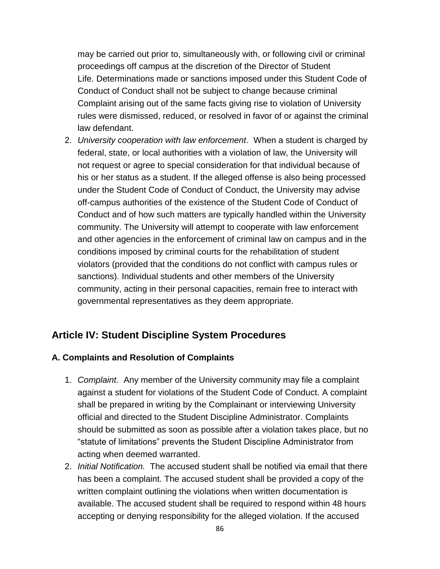may be carried out prior to, simultaneously with, or following civil or criminal proceedings off campus at the discretion of the Director of Student Life. Determinations made or sanctions imposed under this Student Code of Conduct of Conduct shall not be subject to change because criminal Complaint arising out of the same facts giving rise to violation of University rules were dismissed, reduced, or resolved in favor of or against the criminal law defendant.

2. *University cooperation with law enforcement*. When a student is charged by federal, state, or local authorities with a violation of law, the University will not request or agree to special consideration for that individual because of his or her status as a student. If the alleged offense is also being processed under the Student Code of Conduct of Conduct, the University may advise off-campus authorities of the existence of the Student Code of Conduct of Conduct and of how such matters are typically handled within the University community. The University will attempt to cooperate with law enforcement and other agencies in the enforcement of criminal law on campus and in the conditions imposed by criminal courts for the rehabilitation of student violators (provided that the conditions do not conflict with campus rules or sanctions). Individual students and other members of the University community, acting in their personal capacities, remain free to interact with governmental representatives as they deem appropriate.

## **Article IV: Student Discipline System Procedures**

#### **A. Complaints and Resolution of Complaints**

- 1. *Complaint.* Any member of the University community may file a complaint against a student for violations of the Student Code of Conduct. A complaint shall be prepared in writing by the Complainant or interviewing University official and directed to the Student Discipline Administrator. Complaints should be submitted as soon as possible after a violation takes place, but no "statute of limitations" prevents the Student Discipline Administrator from acting when deemed warranted.
- 2. *Initial Notification.* The accused student shall be notified via email that there has been a complaint. The accused student shall be provided a copy of the written complaint outlining the violations when written documentation is available. The accused student shall be required to respond within 48 hours accepting or denying responsibility for the alleged violation. If the accused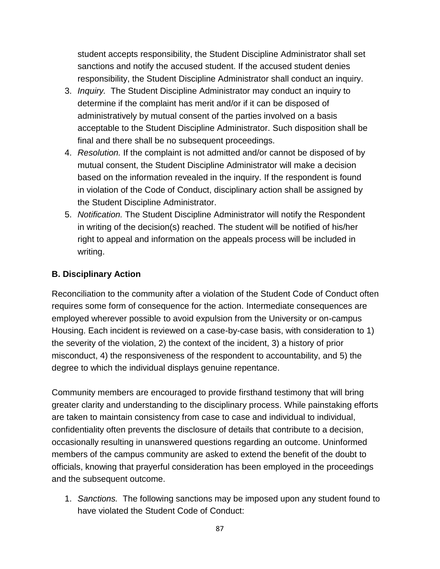student accepts responsibility, the Student Discipline Administrator shall set sanctions and notify the accused student. If the accused student denies responsibility, the Student Discipline Administrator shall conduct an inquiry.

- 3. *Inquiry.* The Student Discipline Administrator may conduct an inquiry to determine if the complaint has merit and/or if it can be disposed of administratively by mutual consent of the parties involved on a basis acceptable to the Student Discipline Administrator. Such disposition shall be final and there shall be no subsequent proceedings.
- 4. *Resolution.* If the complaint is not admitted and/or cannot be disposed of by mutual consent, the Student Discipline Administrator will make a decision based on the information revealed in the inquiry. If the respondent is found in violation of the Code of Conduct, disciplinary action shall be assigned by the Student Discipline Administrator.
- 5. *Notification.* The Student Discipline Administrator will notify the Respondent in writing of the decision(s) reached. The student will be notified of his/her right to appeal and information on the appeals process will be included in writing.

## **B. Disciplinary Action**

Reconciliation to the community after a violation of the Student Code of Conduct often requires some form of consequence for the action. Intermediate consequences are employed wherever possible to avoid expulsion from the University or on-campus Housing. Each incident is reviewed on a case-by-case basis, with consideration to 1) the severity of the violation, 2) the context of the incident, 3) a history of prior misconduct, 4) the responsiveness of the respondent to accountability, and 5) the degree to which the individual displays genuine repentance.

Community members are encouraged to provide firsthand testimony that will bring greater clarity and understanding to the disciplinary process. While painstaking efforts are taken to maintain consistency from case to case and individual to individual, confidentiality often prevents the disclosure of details that contribute to a decision, occasionally resulting in unanswered questions regarding an outcome. Uninformed members of the campus community are asked to extend the benefit of the doubt to officials, knowing that prayerful consideration has been employed in the proceedings and the subsequent outcome.

1. *Sanctions.* The following sanctions may be imposed upon any student found to have violated the Student Code of Conduct: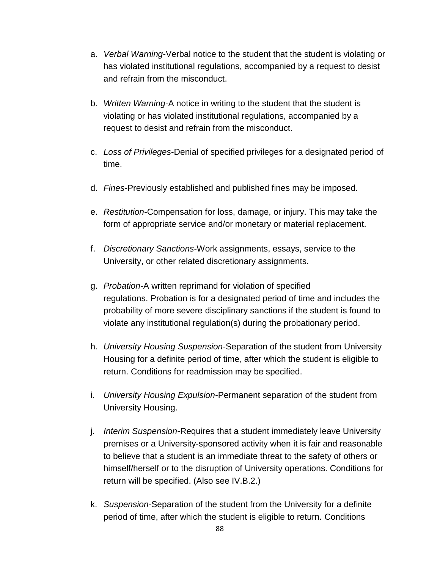- a. *Verbal Warning*-Verbal notice to the student that the student is violating or has violated institutional regulations, accompanied by a request to desist and refrain from the misconduct.
- b. *Written Warning*-A notice in writing to the student that the student is violating or has violated institutional regulations, accompanied by a request to desist and refrain from the misconduct.
- c. *Loss of Privileges*-Denial of specified privileges for a designated period of time.
- d. *Fines*-Previously established and published fines may be imposed.
- e. *Restitution*-Compensation for loss, damage, or injury. This may take the form of appropriate service and/or monetary or material replacement.
- f. *Discretionary Sanctions*-Work assignments, essays, service to the University, or other related discretionary assignments.
- g. *Probation*-A written reprimand for violation of specified regulations. Probation is for a designated period of time and includes the probability of more severe disciplinary sanctions if the student is found to violate any institutional regulation(s) during the probationary period.
- h. *University Housing Suspension*-Separation of the student from University Housing for a definite period of time, after which the student is eligible to return. Conditions for readmission may be specified.
- i. *University Housing Expulsion*-Permanent separation of the student from University Housing.
- j. *Interim Suspension*-Requires that a student immediately leave University premises or a University-sponsored activity when it is fair and reasonable to believe that a student is an immediate threat to the safety of others or himself/herself or to the disruption of University operations. Conditions for return will be specified. (Also see IV.B.2.)
- k. *Suspension*-Separation of the student from the University for a definite period of time, after which the student is eligible to return. Conditions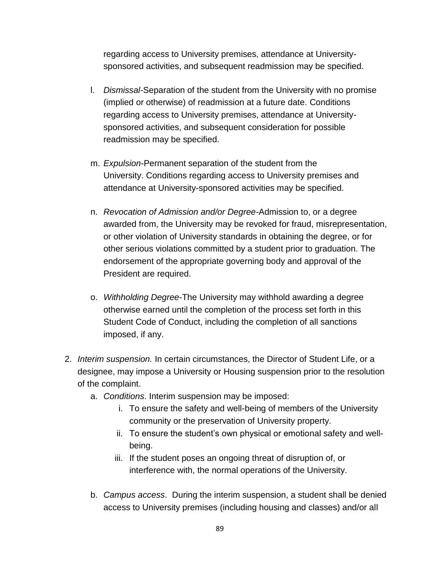regarding access to University premises, attendance at Universitysponsored activities, and subsequent readmission may be specified.

- l. *Dismissal-*Separation of the student from the University with no promise (implied or otherwise) of readmission at a future date. Conditions regarding access to University premises, attendance at Universitysponsored activities, and subsequent consideration for possible readmission may be specified.
- m. *Expulsion*-Permanent separation of the student from the University. Conditions regarding access to University premises and attendance at University-sponsored activities may be specified.
- n. *Revocation of Admission and/or Degree-*Admission to, or a degree awarded from, the University may be revoked for fraud, misrepresentation, or other violation of University standards in obtaining the degree, or for other serious violations committed by a student prior to graduation. The endorsement of the appropriate governing body and approval of the President are required.
- o. *Withholding Degree*-The University may withhold awarding a degree otherwise earned until the completion of the process set forth in this Student Code of Conduct, including the completion of all sanctions imposed, if any.
- 2. *Interim suspension.* In certain circumstances, the Director of Student Life, or a designee, may impose a University or Housing suspension prior to the resolution of the complaint.
	- a. *Conditions*. Interim suspension may be imposed:
		- i. To ensure the safety and well-being of members of the University community or the preservation of University property.
		- ii. To ensure the student's own physical or emotional safety and wellbeing.
		- iii. If the student poses an ongoing threat of disruption of, or interference with, the normal operations of the University.
	- b. *Campus access*. During the interim suspension, a student shall be denied access to University premises (including housing and classes) and/or all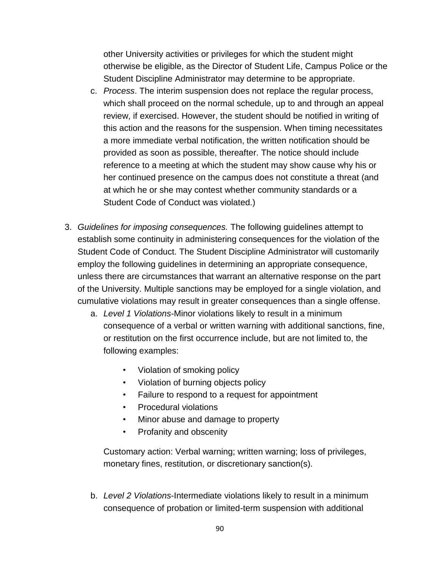other University activities or privileges for which the student might otherwise be eligible, as the Director of Student Life, Campus Police or the Student Discipline Administrator may determine to be appropriate.

- c. *Process*. The interim suspension does not replace the regular process, which shall proceed on the normal schedule, up to and through an appeal review, if exercised. However, the student should be notified in writing of this action and the reasons for the suspension. When timing necessitates a more immediate verbal notification, the written notification should be provided as soon as possible, thereafter. The notice should include reference to a meeting at which the student may show cause why his or her continued presence on the campus does not constitute a threat (and at which he or she may contest whether community standards or a Student Code of Conduct was violated.)
- 3. *Guidelines for imposing consequences.* The following guidelines attempt to establish some continuity in administering consequences for the violation of the Student Code of Conduct. The Student Discipline Administrator will customarily employ the following guidelines in determining an appropriate consequence, unless there are circumstances that warrant an alternative response on the part of the University. Multiple sanctions may be employed for a single violation, and cumulative violations may result in greater consequences than a single offense.
	- a. *Level 1 Violations*-Minor violations likely to result in a minimum consequence of a verbal or written warning with additional sanctions, fine, or restitution on the first occurrence include, but are not limited to, the following examples:
		- Violation of smoking policy
		- Violation of burning objects policy
		- Failure to respond to a request for appointment
		- Procedural violations
		- Minor abuse and damage to property
		- Profanity and obscenity

Customary action: Verbal warning; written warning; loss of privileges, monetary fines, restitution, or discretionary sanction(s).

b. *Level 2 Violations*-Intermediate violations likely to result in a minimum consequence of probation or limited-term suspension with additional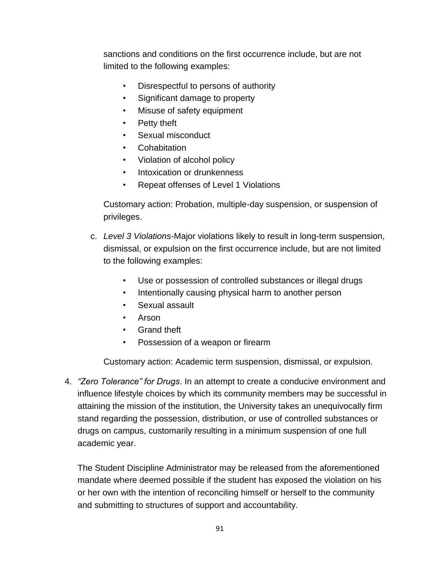sanctions and conditions on the first occurrence include, but are not limited to the following examples:

- Disrespectful to persons of authority
- Significant damage to property
- Misuse of safety equipment
- Petty theft
- Sexual misconduct
- Cohabitation
- Violation of alcohol policy
- Intoxication or drunkenness
- Repeat offenses of Level 1 Violations

Customary action: Probation, multiple-day suspension, or suspension of privileges.

- c. *Level 3 Violations*-Major violations likely to result in long-term suspension, dismissal, or expulsion on the first occurrence include, but are not limited to the following examples:
	- Use or possession of controlled substances or illegal drugs
	- Intentionally causing physical harm to another person
	- Sexual assault
	- Arson
	- Grand theft
	- Possession of a weapon or firearm

Customary action: Academic term suspension, dismissal, or expulsion.

4. *"Zero Tolerance" for Drugs*. In an attempt to create a conducive environment and influence lifestyle choices by which its community members may be successful in attaining the mission of the institution, the University takes an unequivocally firm stand regarding the possession, distribution, or use of controlled substances or drugs on campus, customarily resulting in a minimum suspension of one full academic year.

The Student Discipline Administrator may be released from the aforementioned mandate where deemed possible if the student has exposed the violation on his or her own with the intention of reconciling himself or herself to the community and submitting to structures of support and accountability.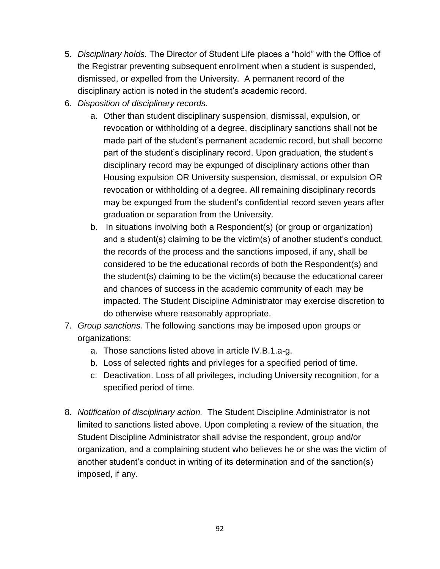- 5. *Disciplinary holds.* The Director of Student Life places a "hold" with the Office of the Registrar preventing subsequent enrollment when a student is suspended, dismissed, or expelled from the University. A permanent record of the disciplinary action is noted in the student's academic record.
- 6. *Disposition of disciplinary records.*
	- a. Other than student disciplinary suspension, dismissal, expulsion, or revocation or withholding of a degree, disciplinary sanctions shall not be made part of the student's permanent academic record, but shall become part of the student's disciplinary record. Upon graduation, the student's disciplinary record may be expunged of disciplinary actions other than Housing expulsion OR University suspension, dismissal, or expulsion OR revocation or withholding of a degree. All remaining disciplinary records may be expunged from the student's confidential record seven years after graduation or separation from the University.
	- b. In situations involving both a Respondent(s) (or group or organization) and a student(s) claiming to be the victim(s) of another student's conduct, the records of the process and the sanctions imposed, if any, shall be considered to be the educational records of both the Respondent(s) and the student(s) claiming to be the victim(s) because the educational career and chances of success in the academic community of each may be impacted. The Student Discipline Administrator may exercise discretion to do otherwise where reasonably appropriate.
- 7. *Group sanctions.* The following sanctions may be imposed upon groups or organizations:
	- a. Those sanctions listed above in article IV.B.1.a-g.
	- b. Loss of selected rights and privileges for a specified period of time.
	- c. Deactivation. Loss of all privileges, including University recognition, for a specified period of time.
- 8. *Notification of disciplinary action.* The Student Discipline Administrator is not limited to sanctions listed above. Upon completing a review of the situation, the Student Discipline Administrator shall advise the respondent, group and/or organization, and a complaining student who believes he or she was the victim of another student's conduct in writing of its determination and of the sanction(s) imposed, if any.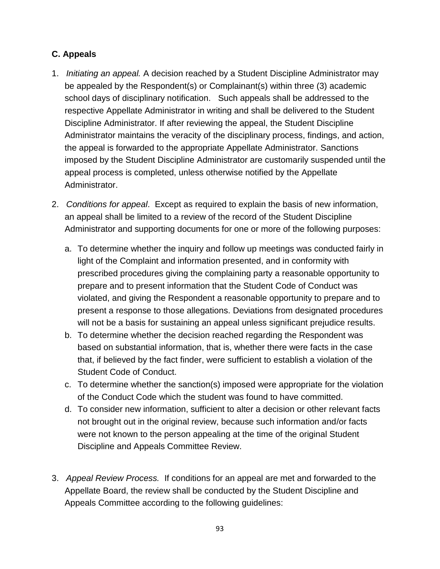## **C. Appeals**

- 1. *Initiating an appeal.* A decision reached by a Student Discipline Administrator may be appealed by the Respondent(s) or Complainant(s) within three (3) academic school days of disciplinary notification. Such appeals shall be addressed to the respective Appellate Administrator in writing and shall be delivered to the Student Discipline Administrator. If after reviewing the appeal, the Student Discipline Administrator maintains the veracity of the disciplinary process, findings, and action, the appeal is forwarded to the appropriate Appellate Administrator. Sanctions imposed by the Student Discipline Administrator are customarily suspended until the appeal process is completed, unless otherwise notified by the Appellate Administrator.
- 2. *Conditions for appeal*. Except as required to explain the basis of new information, an appeal shall be limited to a review of the record of the Student Discipline Administrator and supporting documents for one or more of the following purposes:
	- a. To determine whether the inquiry and follow up meetings was conducted fairly in light of the Complaint and information presented, and in conformity with prescribed procedures giving the complaining party a reasonable opportunity to prepare and to present information that the Student Code of Conduct was violated, and giving the Respondent a reasonable opportunity to prepare and to present a response to those allegations. Deviations from designated procedures will not be a basis for sustaining an appeal unless significant prejudice results.
	- b. To determine whether the decision reached regarding the Respondent was based on substantial information, that is, whether there were facts in the case that, if believed by the fact finder, were sufficient to establish a violation of the Student Code of Conduct.
	- c. To determine whether the sanction(s) imposed were appropriate for the violation of the Conduct Code which the student was found to have committed.
	- d. To consider new information, sufficient to alter a decision or other relevant facts not brought out in the original review, because such information and/or facts were not known to the person appealing at the time of the original Student Discipline and Appeals Committee Review.
- 3. *Appeal Review Process.* If conditions for an appeal are met and forwarded to the Appellate Board, the review shall be conducted by the Student Discipline and Appeals Committee according to the following guidelines: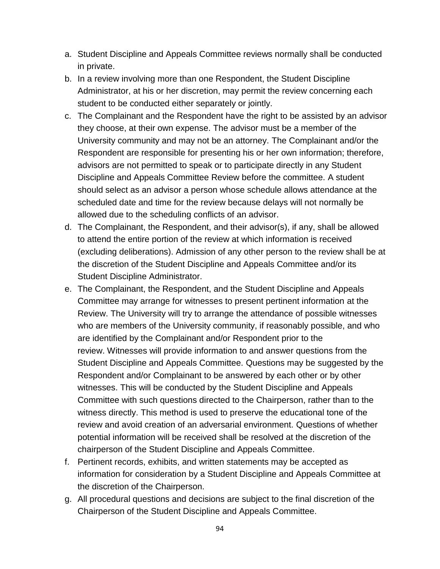- a. Student Discipline and Appeals Committee reviews normally shall be conducted in private.
- b. In a review involving more than one Respondent, the Student Discipline Administrator, at his or her discretion, may permit the review concerning each student to be conducted either separately or jointly.
- c. The Complainant and the Respondent have the right to be assisted by an advisor they choose, at their own expense. The advisor must be a member of the University community and may not be an attorney. The Complainant and/or the Respondent are responsible for presenting his or her own information; therefore, advisors are not permitted to speak or to participate directly in any Student Discipline and Appeals Committee Review before the committee. A student should select as an advisor a person whose schedule allows attendance at the scheduled date and time for the review because delays will not normally be allowed due to the scheduling conflicts of an advisor.
- d. The Complainant, the Respondent, and their advisor(s), if any, shall be allowed to attend the entire portion of the review at which information is received (excluding deliberations). Admission of any other person to the review shall be at the discretion of the Student Discipline and Appeals Committee and/or its Student Discipline Administrator.
- e. The Complainant, the Respondent, and the Student Discipline and Appeals Committee may arrange for witnesses to present pertinent information at the Review. The University will try to arrange the attendance of possible witnesses who are members of the University community, if reasonably possible, and who are identified by the Complainant and/or Respondent prior to the review. Witnesses will provide information to and answer questions from the Student Discipline and Appeals Committee. Questions may be suggested by the Respondent and/or Complainant to be answered by each other or by other witnesses. This will be conducted by the Student Discipline and Appeals Committee with such questions directed to the Chairperson, rather than to the witness directly. This method is used to preserve the educational tone of the review and avoid creation of an adversarial environment. Questions of whether potential information will be received shall be resolved at the discretion of the chairperson of the Student Discipline and Appeals Committee.
- f. Pertinent records, exhibits, and written statements may be accepted as information for consideration by a Student Discipline and Appeals Committee at the discretion of the Chairperson.
- g. All procedural questions and decisions are subject to the final discretion of the Chairperson of the Student Discipline and Appeals Committee.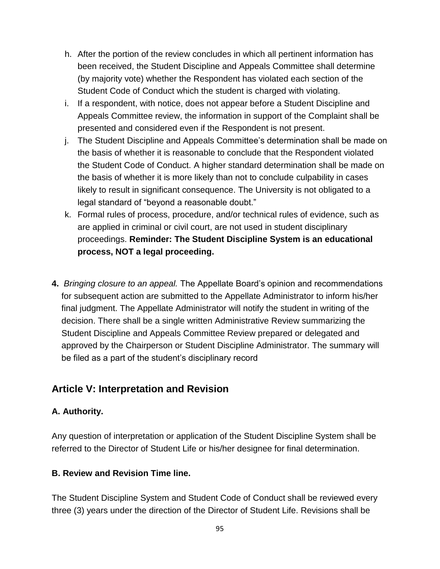- h. After the portion of the review concludes in which all pertinent information has been received, the Student Discipline and Appeals Committee shall determine (by majority vote) whether the Respondent has violated each section of the Student Code of Conduct which the student is charged with violating.
- i. If a respondent, with notice, does not appear before a Student Discipline and Appeals Committee review, the information in support of the Complaint shall be presented and considered even if the Respondent is not present.
- j. The Student Discipline and Appeals Committee's determination shall be made on the basis of whether it is reasonable to conclude that the Respondent violated the Student Code of Conduct. A higher standard determination shall be made on the basis of whether it is more likely than not to conclude culpability in cases likely to result in significant consequence. The University is not obligated to a legal standard of "beyond a reasonable doubt."
- k. Formal rules of process, procedure, and/or technical rules of evidence, such as are applied in criminal or civil court, are not used in student disciplinary proceedings. **Reminder: The Student Discipline System is an educational process, NOT a legal proceeding.**
- **4.** *Bringing closure to an appeal.* The Appellate Board's opinion and recommendations for subsequent action are submitted to the Appellate Administrator to inform his/her final judgment. The Appellate Administrator will notify the student in writing of the decision. There shall be a single written Administrative Review summarizing the Student Discipline and Appeals Committee Review prepared or delegated and approved by the Chairperson or Student Discipline Administrator. The summary will be filed as a part of the student's disciplinary record

# **Article V: Interpretation and Revision**

#### **A. Authority.**

Any question of interpretation or application of the Student Discipline System shall be referred to the Director of Student Life or his/her designee for final determination.

#### **B. Review and Revision Time line.**

The Student Discipline System and Student Code of Conduct shall be reviewed every three (3) years under the direction of the Director of Student Life. Revisions shall be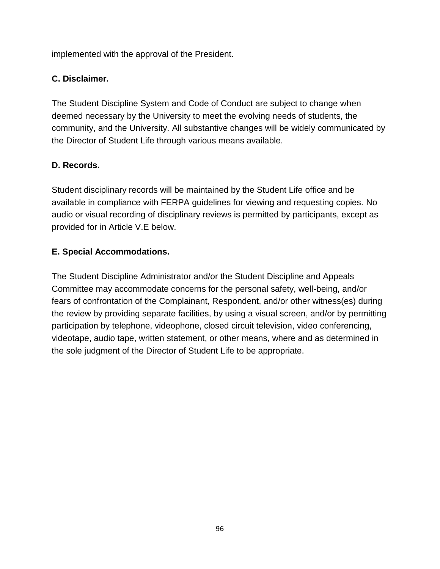implemented with the approval of the President.

#### **C. Disclaimer.**

The Student Discipline System and Code of Conduct are subject to change when deemed necessary by the University to meet the evolving needs of students, the community, and the University. All substantive changes will be widely communicated by the Director of Student Life through various means available.

## **D. Records.**

Student disciplinary records will be maintained by the Student Life office and be available in compliance with FERPA guidelines for viewing and requesting copies. No audio or visual recording of disciplinary reviews is permitted by participants, except as provided for in Article V.E below.

## **E. Special Accommodations.**

The Student Discipline Administrator and/or the Student Discipline and Appeals Committee may accommodate concerns for the personal safety, well-being, and/or fears of confrontation of the Complainant, Respondent, and/or other witness(es) during the review by providing separate facilities, by using a visual screen, and/or by permitting participation by telephone, videophone, closed circuit television, video conferencing, videotape, audio tape, written statement, or other means, where and as determined in the sole judgment of the Director of Student Life to be appropriate.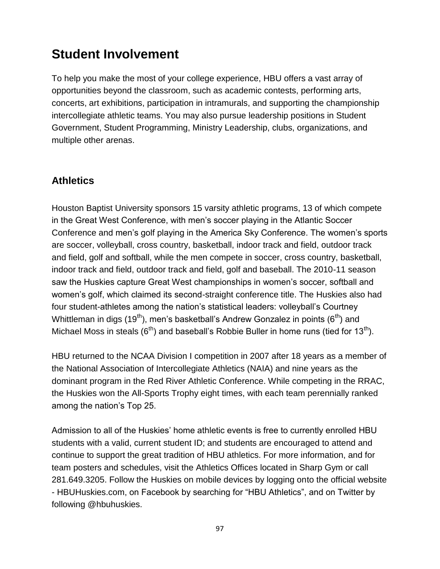# **Student Involvement**

To help you make the most of your college experience, HBU offers a vast array of opportunities beyond the classroom, such as academic contests, performing arts, concerts, art exhibitions, participation in intramurals, and supporting the championship intercollegiate athletic teams. You may also pursue leadership positions in Student Government, Student Programming, Ministry Leadership, clubs, organizations, and multiple other arenas.

# **Athletics**

Houston Baptist University sponsors 15 varsity athletic programs, 13 of which compete in the Great West Conference, with men's soccer playing in the Atlantic Soccer Conference and men's golf playing in the America Sky Conference. The women's sports are soccer, volleyball, cross country, basketball, indoor track and field, outdoor track and field, golf and softball, while the men compete in soccer, cross country, basketball, indoor track and field, outdoor track and field, golf and baseball. The 2010-11 season saw the Huskies capture Great West championships in women's soccer, softball and women's golf, which claimed its second-straight conference title. The Huskies also had four student-athletes among the nation's statistical leaders: volleyball's Courtney Whittleman in digs (19<sup>th</sup>), men's basketball's Andrew Gonzalez in points ( $6<sup>th</sup>$ ) and Michael Moss in steals  $(6<sup>th</sup>)$  and baseball's Robbie Buller in home runs (tied for 13<sup>th</sup>).

HBU returned to the NCAA Division I competition in 2007 after 18 years as a member of the National Association of Intercollegiate Athletics (NAIA) and nine years as the dominant program in the Red River Athletic Conference. While competing in the RRAC, the Huskies won the All-Sports Trophy eight times, with each team perennially ranked among the nation's Top 25.

Admission to all of the Huskies' home athletic events is free to currently enrolled HBU students with a valid, current student ID; and students are encouraged to attend and continue to support the great tradition of HBU athletics. For more information, and for team posters and schedules, visit the Athletics Offices located in Sharp Gym or call 281.649.3205. Follow the Huskies on mobile devices by logging onto the official website - [HBUHuskies.com,](http://www.hbuhuskies.com/) on Facebook by searching for "HBU Athletics", and on Twitter by following @hbuhuskies.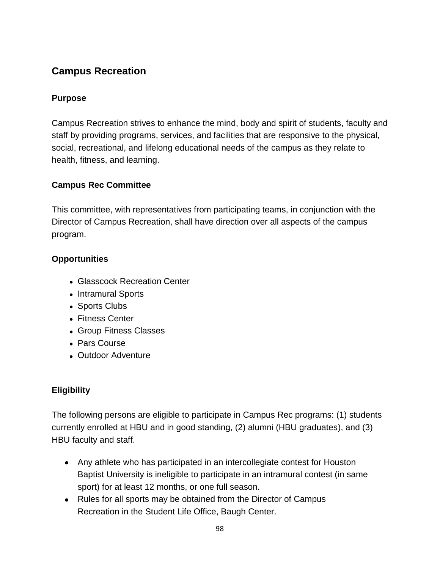# **Campus Recreation**

## **Purpose**

Campus Recreation strives to enhance the mind, body and spirit of students, faculty and staff by providing programs, services, and facilities that are responsive to the physical, social, recreational, and lifelong educational needs of the campus as they relate to health, fitness, and learning.

## **Campus Rec Committee**

This committee, with representatives from participating teams, in conjunction with the Director of Campus Recreation, shall have direction over all aspects of the campus program.

## **Opportunities**

- Glasscock Recreation Center
- Intramural Sports
- Sports Clubs
- Fitness Center
- Group Fitness Classes
- Pars Course
- Outdoor Adventure

# **Eligibility**

The following persons are eligible to participate in Campus Rec programs: (1) students currently enrolled at HBU and in good standing, (2) alumni (HBU graduates), and (3) HBU faculty and staff.

- Any athlete who has participated in an intercollegiate contest for Houston Baptist University is ineligible to participate in an intramural contest (in same sport) for at least 12 months, or one full season.
- Rules for all sports may be obtained from the Director of Campus [Recreation](https://hbu.edu/Students-Alumni/Student-Information/Student-Life/Campus-Recreation/Contact.aspx) in the Student Life Office, Baugh Center.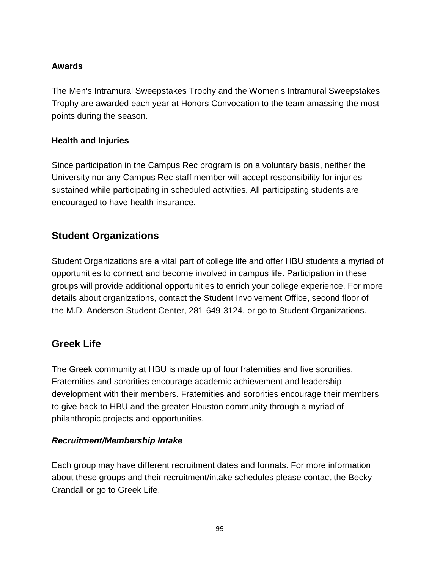## **Awards**

The Men's Intramural Sweepstakes Trophy and the Women's Intramural Sweepstakes Trophy are awarded each year at Honors Convocation to the team amassing the most points during the season.

#### **Health and Injuries**

Since participation in the Campus Rec program is on a voluntary basis, neither the University nor any Campus Rec staff member will accept responsibility for injuries sustained while participating in scheduled activities. All participating students are encouraged to have health insurance.

# **Student Organizations**

Student Organizations are a vital part of college life and offer HBU students a myriad of opportunities to connect and become involved in campus life. Participation in these groups will provide additional opportunities to enrich your college experience. For more details about organizations, contact the [Student Involvement Office,](https://hbu.edu/Students-Alumni/Student-Information/Student-Life/Student-Involvement.aspx) second floor of the M.D. Anderson Student Center, 281-649-3124, or go to [Student Organizations.](https://hbu.edu/Students-Alumni/Student-Information/Student-Organizations.aspx)

# **Greek Life**

The Greek community at HBU is made up of four fraternities and five sororities. Fraternities and sororities encourage academic achievement and leadership development with their members. Fraternities and sororities encourage their members to give back to HBU and the greater Houston community through a myriad of philanthropic projects and opportunities.

#### *Recruitment/Membership Intake*

Each group may have different recruitment dates and formats. For more information about these groups and their recruitment/intake schedules please contact the [Becky](mailto:rcrandall@hbu.edu)  [Crandall](mailto:rcrandall@hbu.edu) or go to [Greek Life.](https://hbu.edu/Students-Alumni/Student-Information/Student-Organizations/Greek.aspx)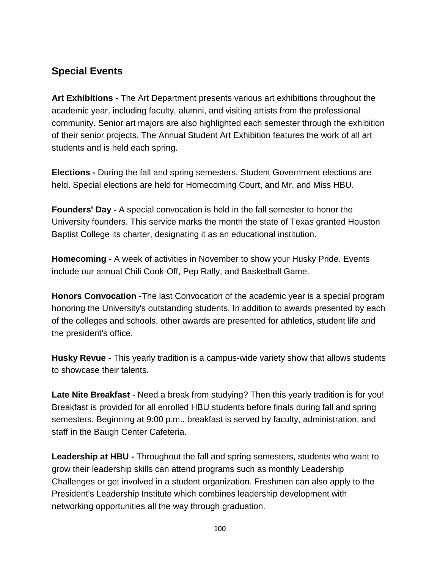# **Special Events**

**Art Exhibitions** - The Art Department presents various art exhibitions throughout the academic year, including faculty, alumni, and visiting artists from the professional community. Senior art majors are also highlighted each semester through the exhibition of their senior projects. The Annual Student Art Exhibition features the work of all art students and is held each spring.

**Elections -** During the fall and spring semesters, Student Government elections are held. Special elections are held for Homecoming Court, and Mr. and Miss HBU.

**Founders' Day -** A special convocation is held in the fall semester to honor the University founders. This service marks the month the state of Texas granted Houston Baptist College its charter, designating it as an educational institution.

**Homecoming** - A week of activities in November to show your Husky Pride. Events include our annual Chili Cook-Off, Pep Rally, and Basketball Game.

**Honors Convocation** -The last Convocation of the academic year is a special program honoring the University's outstanding students. In addition to awards presented by each of the colleges and schools, other awards are presented for athletics, student life and the president's office.

**Husky Revue** - This yearly tradition is a campus-wide variety show that allows students to showcase their talents.

Late Nite Breakfast - Need a break from studying? Then this yearly tradition is for you! Breakfast is provided for all enrolled HBU students before finals during fall and spring semesters. Beginning at 9:00 p.m., breakfast is served by faculty, administration, and staff in the Baugh Center Cafeteria.

**Leadership at HBU -** Throughout the fall and spring semesters, students who want to grow their leadership skills can attend programs such as monthly Leadership Challenges or get involved in a student organization. Freshmen can also apply to the President's Leadership Institute which combines leadership development with networking opportunities all the way through graduation.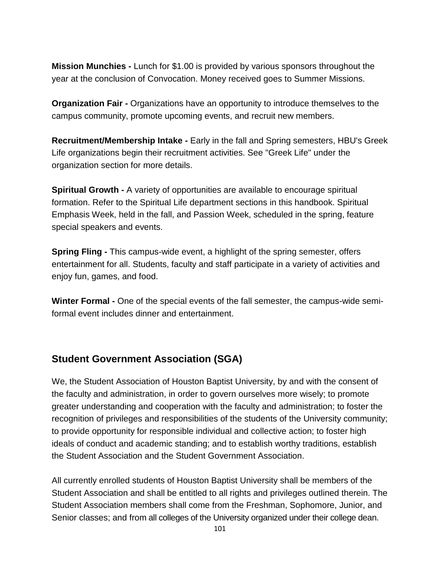**Mission Munchies -** Lunch for \$1.00 is provided by various sponsors throughout the year at the conclusion of Convocation. Money received goes to Summer Missions.

**Organization Fair -** Organizations have an opportunity to introduce themselves to the campus community, promote upcoming events, and recruit new members.

**Recruitment/Membership Intake -** Early in the fall and Spring semesters, HBU's Greek Life organizations begin their recruitment activities. See "Greek Life" under the organization section for more details.

**Spiritual Growth -** A variety of opportunities are available to encourage spiritual formation. Refer to the Spiritual Life department sections in this handbook. Spiritual Emphasis Week, held in the fall, and Passion Week, scheduled in the spring, feature special speakers and events.

**Spring Fling -** This campus-wide event, a highlight of the spring semester, offers entertainment for all. Students, faculty and staff participate in a variety of activities and enjoy fun, games, and food.

**Winter Formal -** One of the special events of the fall semester, the campus-wide semiformal event includes dinner and entertainment.

# **Student Government Association (SGA)**

We, the Student Association of Houston Baptist University, by and with the consent of the faculty and administration, in order to govern ourselves more wisely; to promote greater understanding and cooperation with the faculty and administration; to foster the recognition of privileges and responsibilities of the students of the University community; to provide opportunity for responsible individual and collective action; to foster high ideals of conduct and academic standing; and to establish worthy traditions, establish the Student Association and the Student Government Association.

All currently enrolled students of Houston Baptist University shall be members of the Student Association and shall be entitled to all rights and privileges outlined therein. The Student Association members shall come from the Freshman, Sophomore, Junior, and Senior classes; and from all colleges of the University organized under their college dean.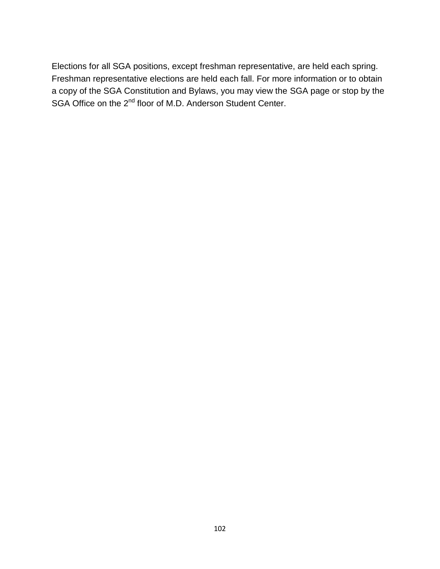Elections for all [SGA positions,](https://hbu.edu/Students-Alumni/Student-Information/Student-Organizations/Leadership-Governing.aspx) except freshman representative, are held each spring. Freshman representative elections are held each fall. For more information or to obtain a copy of the SGA Constitution and Bylaws, you may view the [SGA page](https://hbu.edu/Students-Alumni/Student-Information/Student-Organizations/Leadership-Governing.aspx) or stop by the SGA Office on the 2<sup>nd</sup> floor of M.D. Anderson Student Center.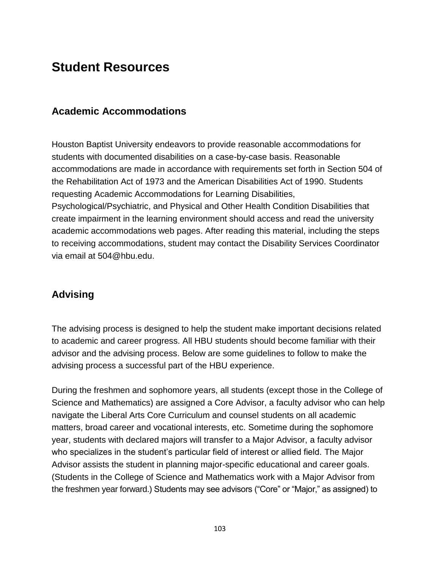# **Student Resources**

## **Academic Accommodations**

Houston Baptist University endeavors to provide reasonable accommodations for students with documented disabilities on a case-by-case basis. Reasonable accommodations are made in accordance with requirements set forth in Section 504 of the Rehabilitation Act of 1973 and the American Disabilities Act of 1990. Students requesting Academic Accommodations for Learning Disabilities, Psychological/Psychiatric, and Physical and Other Health Condition Disabilities that create impairment in the learning environment should access and read the [university](https://hbu.edu/Choosing-HBU/Academics/Resources/Academic-Accommodations.aspx)  [academic accommodations web pages.](https://hbu.edu/Choosing-HBU/Academics/Resources/Academic-Accommodations.aspx) After reading this material, including the steps to receiving accommodations, student may contact the Disability Services Coordinator via email at [504@hbu.edu.](mailto:504@hbu.edu)

# **Advising**

The advising process is designed to help the student make important decisions related to academic and career progress. All HBU students should become familiar with their advisor and the advising process. Below are some guidelines to follow to make the advising process a successful part of the HBU experience.

During the freshmen and sophomore years, all students (except those in the College of Science and Mathematics) are assigned a Core Advisor, a faculty advisor who can help navigate the Liberal Arts Core Curriculum and counsel students on all academic matters, broad career and vocational interests, etc. Sometime during the sophomore year, students with declared majors will transfer to a Major Advisor, a faculty advisor who specializes in the student's particular field of interest or allied field. The Major Advisor assists the student in planning major-specific educational and career goals. (Students in the College of Science and Mathematics work with a Major Advisor from the freshmen year forward.) Students may see advisors ("Core" or "Major," as assigned) to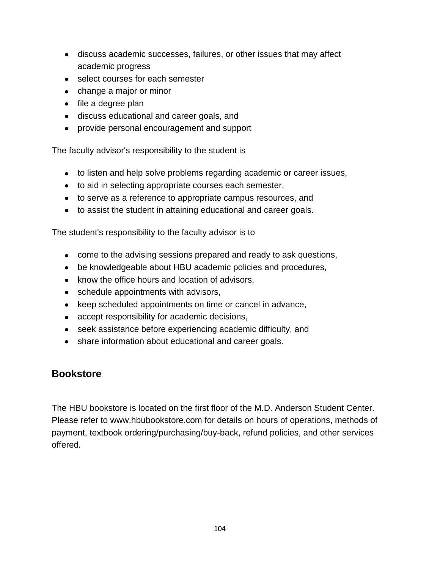- discuss academic successes, failures, or other issues that may affect academic progress
- select courses for each semester
- change a major or minor
- file a degree plan
- discuss educational and career goals, and
- provide personal encouragement and support

The faculty advisor's responsibility to the student is

- to listen and help solve problems regarding academic or career issues,
- to aid in selecting appropriate courses each semester,
- to serve as a reference to appropriate campus resources, and
- to assist the student in attaining educational and career goals.

The student's responsibility to the faculty advisor is to

- come to the advising sessions prepared and ready to ask questions,
- be knowledgeable about HBU academic policies and procedures,
- know the office hours and location of advisors,
- schedule appointments with advisors,
- keep scheduled appointments on time or cancel in advance,
- accept responsibility for academic decisions,
- seek assistance before experiencing academic difficulty, and
- share information about educational and career goals.

# **Bookstore**

The HBU bookstore is located on the first floor of the M.D. Anderson Student Center. Please refer to [www.hbubookstore.com](http://www.hbubookstore.com/) for details on hours of operations, methods of payment, textbook ordering/purchasing/buy-back, refund policies, and other services offered.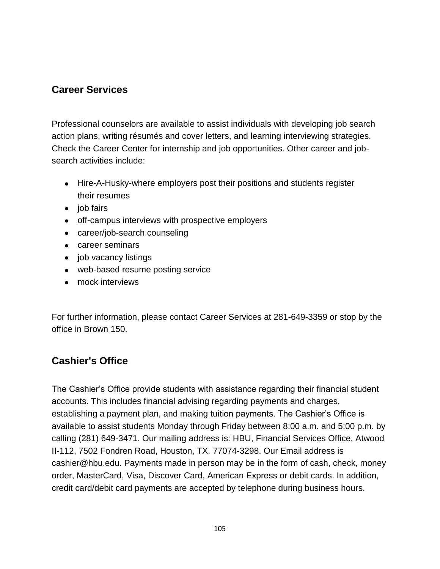# **Career Services**

Professional counselors are available to assist individuals with developing job search action plans, writing résumés and cover letters, and learning interviewing strategies. Check the [Career Center](https://hbu.edu/Students-Alumni/Student-Resources/The-Career-Center.aspx) for internship and job opportunities. Other career and jobsearch activities include:

- Hire-A-Husky-where employers post their positions and students register their resumes
- $\bullet$  job fairs
- off-campus interviews with prospective employers
- career/job-search counseling
- career seminars
- job vacancy listings
- web-based resume posting service
- mock interviews

For further information, please [contact Career Services](https://hbu.edu/Students-Alumni/Student-Resources/The-Career-Center/Contact.aspx) at 281-649-3359 or stop by the office in Brown 150.

# **Cashier's Office**

The Cashier's Office provide students with assistance regarding their financial student accounts. This includes financial advising regarding payments and charges, establishing a payment plan, and making tuition payments. The Cashier's Office is available to assist students Monday through Friday between 8:00 a.m. and 5:00 p.m. by calling (281) 649-3471. Our mailing address is: HBU, Financial Services Office, Atwood II-112, 7502 Fondren Road, Houston, TX. 77074-3298. Our Email address is [cashier@hbu.edu.](mailto:cashier@hbu.edu) Payments made in person may be in the form of cash, check, money order, MasterCard, Visa, Discover Card, American Express or debit cards. In addition, credit card/debit card payments are accepted by telephone during business hours.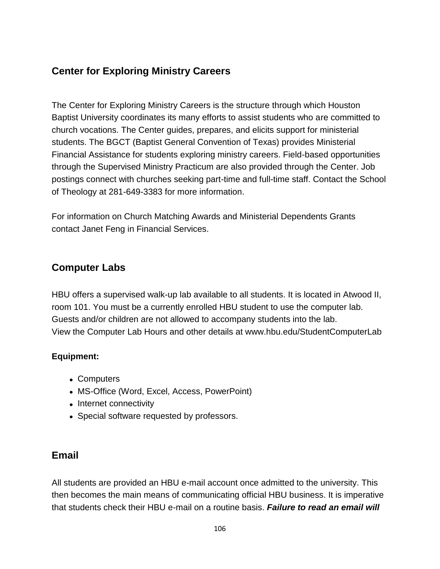# **Center for Exploring Ministry Careers**

The Center for Exploring Ministry Careers is the structure through which Houston Baptist University coordinates its many efforts to assist students who are committed to church vocations. The Center guides, prepares, and elicits support for ministerial students. The BGCT (Baptist General Convention of Texas) provides Ministerial Financial Assistance for students exploring ministry careers. Field-based opportunities through the Supervised Ministry Practicum are also provided through the Center. Job postings connect with churches seeking part-time and full-time staff. Contact the School of Theology at 281-649-3383 for more information.

For information on Church Matching Awards and Ministerial Dependents Grants contact [Janet Feng](mailto:jfeng@hbu.edu) in Financial Services.

# **Computer Labs**

HBU offers a supervised walk-up lab available to all students. It is located in Atwood II, room 101. You must be a currently enrolled HBU student to use the computer lab. Guests and/or children are not allowed to accompany students into the lab. View the Computer Lab Hours and other details at www.hbu.edu/StudentComputerLab

## **Equipment:**

- Computers
- MS-Office (Word, Excel, Access, PowerPoint)
- Internet connectivity
- Special software requested by professors.

# **Email**

All students are provided an HBU e-mail account once admitted to the university. This then becomes the main means of communicating official HBU business. It is imperative that students check their HBU e-mail on a routine basis. *Failure to read an email will*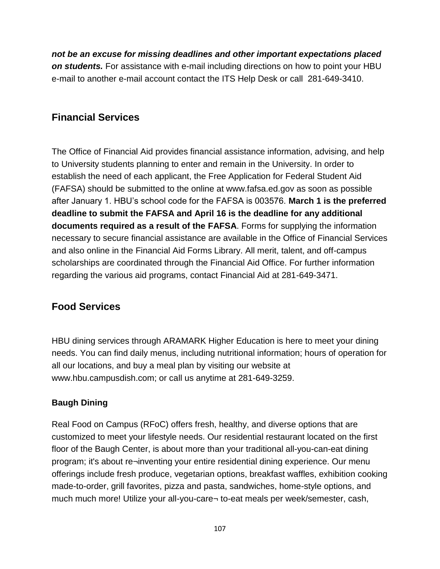*not be an excuse for missing deadlines and other important expectations placed on students.* For assistance with e-mail including directions on how to point your HBU e-mail to another e-mail account contact the [ITS Help Desk](https://hbu.edu/Students-Alumni/Student-Resources/Information-Technology-Services-(ITS).aspx) or call 281-649-3410.

# **Financial Services**

The Office of Financial Aid provides financial assistance information, advising, and help to University students planning to enter and remain in the University. In order to establish the need of each applicant, the Free Application for Federal Student Aid (FAFSA) should be submitted to the online at www.fafsa.ed.gov as soon as possible after January 1. HBU's school code for the FAFSA is 003576. **March 1 is the preferred deadline to submit the FAFSA and April 16 is the deadline for any additional documents required as a result of the FAFSA**. Forms for supplying the information necessary to secure financial assistance are available in the Office of Financial Services and also online in the [Financial Aid Forms Library.](https://hbu.edu/Choosing-HBU/Admissions/Financing-Your-Education/Forms.aspx) All merit, talent, and off-campus scholarships are coordinated through the Financial Aid Office. For further information regarding the various aid programs, contact Financial Aid at 281-649-3471.

# **Food Services**

HBU dining services through ARAMARK Higher Education is here to meet your dining needs. You can find daily menus, including nutritional information; hours of operation for all our locations, and buy a meal plan by visiting our website at www.hbu.campusdish.com; or call us anytime at 281-649-3259.

## **Baugh Dining**

Real Food on Campus (RFoC) offers fresh, healthy, and diverse options that are customized to meet your lifestyle needs. Our residential restaurant located on the first floor of the Baugh Center, is about more than your traditional all-you-can-eat dining program; it's about re¬inventing your entire residential dining experience. Our menu offerings include fresh produce, vegetarian options, breakfast waffles, exhibition cooking made-to-order, grill favorites, pizza and pasta, sandwiches, home-style options, and much much more! Utilize your all-you-care¬ to-eat meals per week/semester, cash,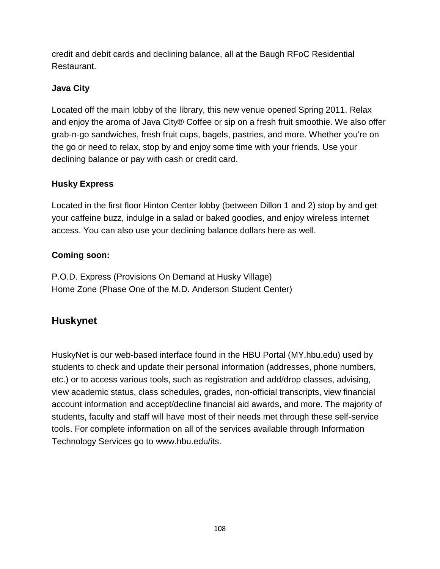credit and debit cards and declining balance, all at the Baugh RFoC Residential Restaurant.

## **Java City**

Located off the main lobby of the library, this new venue opened Spring 2011. Relax and enjoy the aroma of Java City® Coffee or sip on a fresh fruit smoothie. We also offer grab-n-go sandwiches, fresh fruit cups, bagels, pastries, and more. Whether you're on the go or need to relax, stop by and enjoy some time with your friends. Use your declining balance or pay with cash or credit card.

## **Husky Express**

Located in the first floor Hinton Center lobby (between Dillon 1 and 2) stop by and get your caffeine buzz, indulge in a salad or baked goodies, and enjoy wireless internet access. You can also use your declining balance dollars here as well.

## **Coming soon:**

P.O.D. Express (Provisions On Demand at Husky Village) Home Zone (Phase One of the M.D. Anderson Student Center)

# **Huskynet**

HuskyNet is our web-based interface found in the HBU Portal [\(MY.hbu.edu\)](http://my.hbu.edu/) used by students to check and update their personal information (addresses, phone numbers, etc.) or to access various tools, such as registration and add/drop classes, advising, view academic status, class schedules, grades, non-official transcripts, view financial account information and accept/decline financial aid awards, and more. The majority of students, faculty and staff will have most of their needs met through these self-service tools. For complete information on all of the services available through Information Technology Services go to [www.hbu.edu/its.](https://hbu.edu/Students-Alumni/Student-Resources/Information-Technology-Services-(ITS).aspx)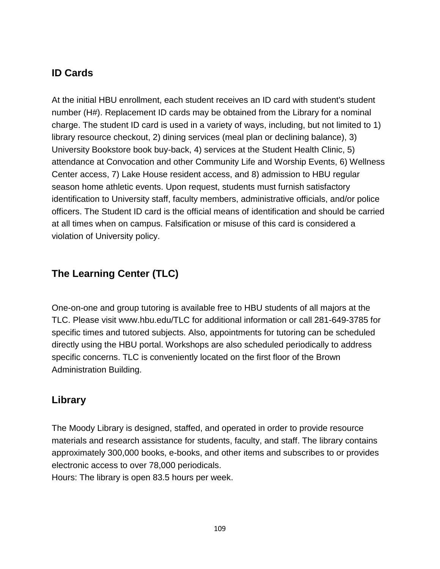# **ID Cards**

At the initial HBU enrollment, each student receives an ID card with student's student number (H#). Replacement ID cards may be obtained from the Library for a nominal charge. The student ID card is used in a variety of ways, including, but not limited to 1) library resource checkout, 2) dining services (meal plan or declining balance), 3) University Bookstore book buy-back, 4) services at the Student Health Clinic, 5) attendance at Convocation and other Community Life and Worship Events, 6) Wellness Center access, 7) Lake House resident access, and 8) admission to HBU regular season home athletic events. Upon request, students must furnish satisfactory identification to University staff, faculty members, administrative officials, and/or police officers. The Student ID card is the official means of identification and should be carried at all times when on campus. Falsification or misuse of this card is considered a violation of University policy.

# **The Learning Center (TLC)**

One-on-one and group tutoring is available free to HBU students of all majors at the TLC. Please visit [www.hbu.edu/TLC](http://www.hbu.edu/TLC) for additional information or call 281-649-3785 for specific times and tutored subjects. Also, appointments for tutoring can be scheduled directly using the HBU portal. Workshops are also scheduled periodically to address specific concerns. TLC is conveniently located on the first floor of the Brown Administration Building.

# **Library**

The Moody Library is designed, staffed, and operated in order to provide resource materials and research assistance for students, faculty, and staff. The library contains approximately 300,000 books, e-books, and other items and subscribes to or provides electronic access to over 78,000 periodicals. Hours: The library is open 83.5 hours per week.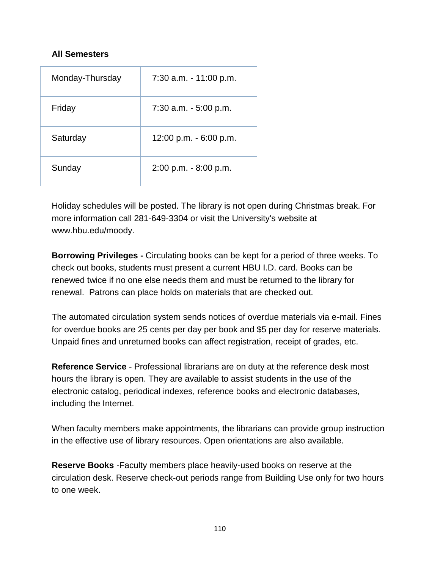### **All Semesters**

| Monday-Thursday | 7:30 a.m. - 11:00 p.m.   |
|-----------------|--------------------------|
| Friday          | 7:30 a.m. - 5:00 p.m.    |
| Saturday        | 12:00 p.m. - 6:00 p.m.   |
| Sunday          | $2:00$ p.m. $-8:00$ p.m. |

Holiday schedules will be posted. The library is not open during Christmas break. For more information call 281-649-3304 or visit the University's website at [www.hbu.edu/moody.](http://www.hbu.edu/moodylibrary)

**Borrowing Privileges -** Circulating books can be kept for a period of three weeks. To check out books, students must present a current HBU I.D. card. Books can be renewed twice if no one else needs them and must be returned to the library for renewal. Patrons can place holds on materials that are checked out.

The automated circulation system sends notices of overdue materials via e-mail. Fines for overdue books are 25 cents per day per book and \$5 per day for reserve materials. Unpaid fines and unreturned books can affect registration, receipt of grades, etc.

**Reference Service** - Professional librarians are on duty at the reference desk most hours the library is open. They are available to assist students in the use of the electronic catalog, periodical indexes, reference books and electronic databases, including the Internet.

When faculty members make appointments, the librarians can provide group instruction in the effective use of library resources. Open orientations are also available.

**Reserve Books** -Faculty members place heavily-used books on reserve at the circulation desk. Reserve check-out periods range from Building Use only for two hours to one week.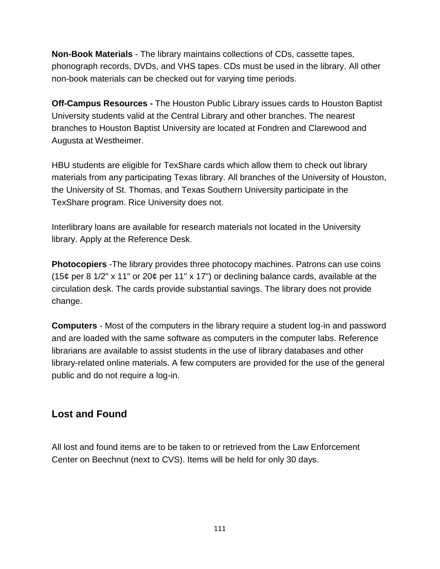**Non-Book Materials** - The library maintains collections of CDs, cassette tapes, phonograph records, DVDs, and VHS tapes. CDs must be used in the library. All other non-book materials can be checked out for varying time periods.

**Off-Campus Resources -** The Houston Public Library issues cards to Houston Baptist University students valid at the Central Library and other branches. The nearest branches to Houston Baptist University are located at Fondren and Clarewood and Augusta at Westheimer.

HBU students are eligible for TexShare cards which allow them to check out library materials from any participating Texas library. All branches of the University of Houston, the University of St. Thomas, and Texas Southern University participate in the TexShare program. Rice University does not.

Interlibrary loans are available for research materials not located in the University library. Apply at the Reference Desk.

**Photocopiers** -The library provides three photocopy machines. Patrons can use coins (15¢ per 8 1/2" x 11" or 20¢ per 11" x 17") or declining balance cards, available at the circulation desk. The cards provide substantial savings. The library does not provide change.

**Computers** - Most of the computers in the library require a student log-in and password and are loaded with the same software as computers in the computer labs. Reference librarians are available to assist students in the use of library databases and other library-related online materials. A few computers are provided for the use of the general public and do not require a log-in.

## **Lost and Found**

All lost and found items are to be taken to or retrieved from the Law Enforcement Center on Beechnut (next to CVS). Items will be held for only 30 days.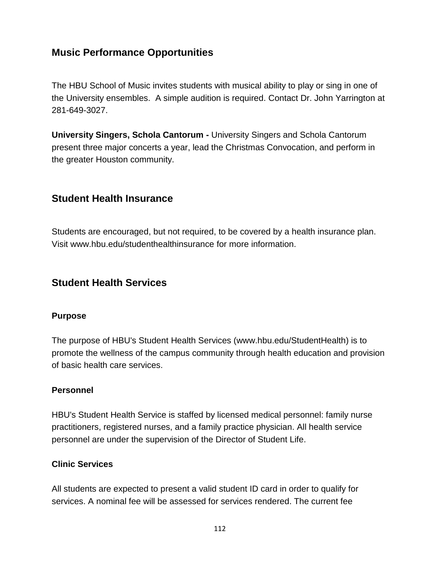## **Music Performance Opportunities**

The HBU School of Music invites students with musical ability to play or sing in one of the University ensembles. A simple audition is required. Contact Dr. John Yarrington at 281-649-3027.

**University Singers, Schola Cantorum -** University Singers and Schola Cantorum present three major concerts a year, lead the Christmas Convocation, and perform in the greater Houston community.

## **Student Health Insurance**

Students are encouraged, but not required, to be covered by a health insurance plan. Visit [www.hbu.edu/studenthealthinsurance](http://www.hbu.edu/studenthealthinsurance) for more information.

## **Student Health Services**

### **Purpose**

The purpose of HBU's Student Health Services [\(www.hbu.edu/StudentHealth\)](http://www.hbu.edu/StudentHealth) is to promote the wellness of the campus community through health education and provision of basic health care services.

### **Personnel**

HBU's Student Health Service is staffed by licensed medical personnel: family nurse practitioners, registered nurses, and a family practice physician. All health service personnel are under the supervision of the Director of Student Life.

#### **Clinic Services**

All students are expected to present a valid student ID card in order to qualify for services. A nominal fee will be assessed for services rendered. The current fee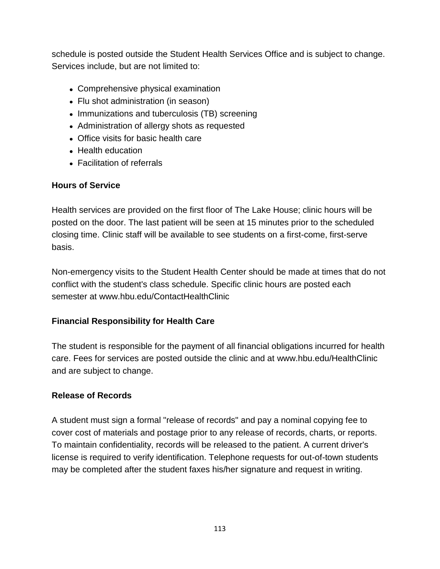schedule is posted outside the Student Health Services Office and is subject to change. Services include, but are not limited to:

- Comprehensive physical examination
- Flu shot administration (in season)
- Immunizations and tuberculosis (TB) screening
- Administration of allergy shots as requested
- Office visits for basic health care
- Health education
- Facilitation of referrals

## **Hours of Service**

Health services are provided on the first floor of The Lake House; clinic hours will be posted on the door. The last patient will be seen at 15 minutes prior to the scheduled closing time. Clinic staff will be available to see students on a first-come, first-serve basis.

Non-emergency visits to the Student Health Center should be made at times that do not conflict with the student's class schedule. Specific clinic hours are posted each semester at [www.hbu.edu/ContactHealthClinic](http://www.hbu.edu/ContactHealthClinic) 

## **Financial Responsibility for Health Care**

The student is responsible for the payment of all financial obligations incurred for health care. Fees for services are posted outside the clinic and at [www.hbu.edu/HealthClinic](http://www.hbu.edu/hbu/Basic_Health_Care_Services.asp?SnID=1333461131) and are subject to change.

### **Release of Records**

A student must sign a formal "release of records" and pay a nominal copying fee to cover cost of materials and postage prior to any release of records, charts, or reports. To maintain confidentiality, records will be released to the patient. A current driver's license is required to verify identification. Telephone requests for out-of-town students may be completed after the student faxes his/her signature and request in writing.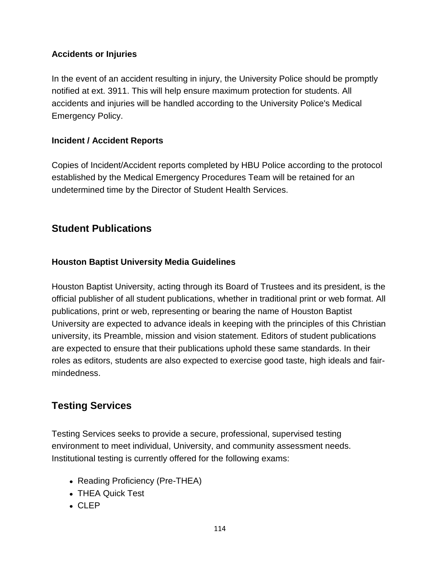### **Accidents or Injuries**

In the event of an accident resulting in injury, the University Police should be promptly notified at ext. 3911. This will help ensure maximum protection for students. All accidents and injuries will be handled according to the University Police's Medical Emergency Policy.

## **Incident / Accident Reports**

Copies of Incident/Accident reports completed by HBU Police according to the protocol established by the Medical Emergency Procedures Team will be retained for an undetermined time by the Director of Student Health Services.

## **Student Publications**

## **Houston Baptist University Media Guidelines**

Houston Baptist University, acting through its Board of Trustees and its president, is the official publisher of all student publications, whether in traditional print or web format. All publications, print or web, representing or bearing the name of Houston Baptist University are expected to advance ideals in keeping with the principles of this Christian university, its Preamble, mission and vision statement. Editors of student publications are expected to ensure that their publications uphold these same standards. In their roles as editors, students are also expected to exercise good taste, high ideals and fairmindedness.

## **Testing Services**

Testing Services seeks to provide a secure, professional, supervised testing environment to meet individual, University, and community assessment needs. Institutional testing is currently offered for the following exams:

- Reading Proficiency (Pre-THEA)
- THEA Quick Test
- CLEP